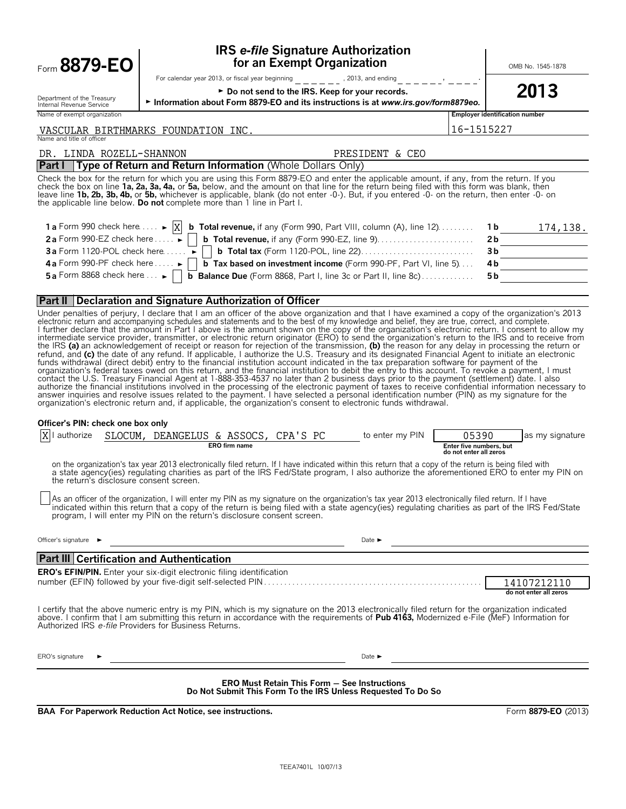| Form 8879-EO                                                                 |                                                                         | <b>IRS e-file Signature Authorization</b><br>for an Exempt Organization                                                                                                                                                                                                                                                                                                                                                                                                                                                                                                                                                                                                                                                                                                                                                                                                                                                                                                                                                                                                                                                                                                                                                                                                                                                                                                   |                            |                                                   |                                       | OMB No. 1545-1878                     |
|------------------------------------------------------------------------------|-------------------------------------------------------------------------|---------------------------------------------------------------------------------------------------------------------------------------------------------------------------------------------------------------------------------------------------------------------------------------------------------------------------------------------------------------------------------------------------------------------------------------------------------------------------------------------------------------------------------------------------------------------------------------------------------------------------------------------------------------------------------------------------------------------------------------------------------------------------------------------------------------------------------------------------------------------------------------------------------------------------------------------------------------------------------------------------------------------------------------------------------------------------------------------------------------------------------------------------------------------------------------------------------------------------------------------------------------------------------------------------------------------------------------------------------------------------|----------------------------|---------------------------------------------------|---------------------------------------|---------------------------------------|
|                                                                              |                                                                         | For calendar year 2013, or fiscal year beginning $\frac{1}{2}$ = $\frac{1}{2}$ = $\frac{1}{2}$ = $\frac{1}{2}$ = $\frac{1}{2}$ = $\frac{1}{2}$ = $\frac{1}{2}$ = $\frac{1}{2}$ = $\frac{1}{2}$ = $\frac{1}{2}$ = $\frac{1}{2}$ = $\frac{1}{2}$ = $\frac{1}{2}$ = $\frac{1}{2}$ = $\frac{$                                                                                                                                                                                                                                                                                                                                                                                                                                                                                                                                                                                                                                                                                                                                                                                                                                                                                                                                                                                                                                                                                 |                            |                                                   |                                       |                                       |
| Department of the Treasury                                                   |                                                                         | ► Do not send to the IRS. Keep for your records.<br>Information about Form 8879-EO and its instructions is at www.irs.gov/form8879eo.                                                                                                                                                                                                                                                                                                                                                                                                                                                                                                                                                                                                                                                                                                                                                                                                                                                                                                                                                                                                                                                                                                                                                                                                                                     |                            |                                                   |                                       | 2013                                  |
| Internal Revenue Service<br>Name of exempt organization                      |                                                                         |                                                                                                                                                                                                                                                                                                                                                                                                                                                                                                                                                                                                                                                                                                                                                                                                                                                                                                                                                                                                                                                                                                                                                                                                                                                                                                                                                                           |                            |                                                   | <b>Employer identification number</b> |                                       |
| VASCULAR BIRTHMARKS FOUNDATION INC.                                          |                                                                         |                                                                                                                                                                                                                                                                                                                                                                                                                                                                                                                                                                                                                                                                                                                                                                                                                                                                                                                                                                                                                                                                                                                                                                                                                                                                                                                                                                           |                            | 16-1515227                                        |                                       |                                       |
| Name and title of officer                                                    |                                                                         |                                                                                                                                                                                                                                                                                                                                                                                                                                                                                                                                                                                                                                                                                                                                                                                                                                                                                                                                                                                                                                                                                                                                                                                                                                                                                                                                                                           |                            |                                                   |                                       |                                       |
| DR. LINDA ROZELL-SHANNON                                                     |                                                                         |                                                                                                                                                                                                                                                                                                                                                                                                                                                                                                                                                                                                                                                                                                                                                                                                                                                                                                                                                                                                                                                                                                                                                                                                                                                                                                                                                                           | PRESIDENT & CEO            |                                                   |                                       |                                       |
| the applicable line below. Do not complete more than 1 line in Part I.       |                                                                         | <b>Part I</b> Type of Return and Return Information (Whole Dollars Only)<br>Check the box for the return for which you are using this Form 8879-EO and enter the applicable amount, if any, from the return. If you<br>check the box on line 1a, 2a, 3a, 4a, or 5a, below, and the amount on that line for the return being filed with this form was blank, then<br>leave line 1b, 2b, 3b, 4b, or 5b, whichever is applicable, blank (do not enter -0-). But, if you entered -0- on the return, then enter -0- on                                                                                                                                                                                                                                                                                                                                                                                                                                                                                                                                                                                                                                                                                                                                                                                                                                                         |                            |                                                   |                                       |                                       |
|                                                                              |                                                                         | <b>1a</b> Form 990 check here $\dots \rightarrow  X $ <b>b</b> Total revenue, if any (Form 990, Part VIII, column (A), line 12) $\dots \dots$                                                                                                                                                                                                                                                                                                                                                                                                                                                                                                                                                                                                                                                                                                                                                                                                                                                                                                                                                                                                                                                                                                                                                                                                                             |                            |                                                   | 1 b                                   | 174,138.                              |
|                                                                              |                                                                         | 2a Form 990-EZ check here $\dots$     b Total revenue, if any (Form 990-EZ, line 9). $\dots$ . $\dots$                                                                                                                                                                                                                                                                                                                                                                                                                                                                                                                                                                                                                                                                                                                                                                                                                                                                                                                                                                                                                                                                                                                                                                                                                                                                    |                            |                                                   | 2 <sub>b</sub>                        |                                       |
|                                                                              |                                                                         |                                                                                                                                                                                                                                                                                                                                                                                                                                                                                                                                                                                                                                                                                                                                                                                                                                                                                                                                                                                                                                                                                                                                                                                                                                                                                                                                                                           |                            |                                                   | 3 <sub>b</sub>                        |                                       |
| 4a Form 990-PF check here $\blacktriangleright$                              |                                                                         | <b>b</b> Tax based on investment income (Form 990-PF, Part VI, line 5)                                                                                                                                                                                                                                                                                                                                                                                                                                                                                                                                                                                                                                                                                                                                                                                                                                                                                                                                                                                                                                                                                                                                                                                                                                                                                                    |                            |                                                   | 4b                                    |                                       |
|                                                                              |                                                                         | 5a Form 8868 check here $\ldots$     $\overline{b}$ Balance Due (Form 8868, Part I, line 3c or Part II, line 8c)                                                                                                                                                                                                                                                                                                                                                                                                                                                                                                                                                                                                                                                                                                                                                                                                                                                                                                                                                                                                                                                                                                                                                                                                                                                          |                            |                                                   | 5 b                                   |                                       |
| Part II Declaration and Signature Authorization of Officer                   |                                                                         |                                                                                                                                                                                                                                                                                                                                                                                                                                                                                                                                                                                                                                                                                                                                                                                                                                                                                                                                                                                                                                                                                                                                                                                                                                                                                                                                                                           |                            |                                                   |                                       |                                       |
| Officer's PIN: check one box only                                            |                                                                         | I further declare that the amount in Part I above is the amount shown on the copy of the organization's electronic return. I consent to allow my<br>intermediate service provider, transmitter, or electronic return originator (<br>the IRS (a) an acknowledgement of receipt or reason for rejection of the transmission, (b) the reason for any delay in processing the return or refund, and (c) the date of any refund. If applicable, I authorize the U.S. Tr<br>funds withdrawal (direct debit) entry to the financial institution account indicated in the tax preparation software for payment of the<br>organization's federal taxes owed on this return, and the financial institution to debit the entry to this account. To revoke a payment, I must<br>contact the U.S. Treasury Financial Agent at 1-888-353-4537 no later than 2 business days prior to the payment (settlement) date. I also<br>authorize the financial institutions involved in the processing of the electronic payment of taxes to receive confidential information necessary to<br>answer inquiries and resolve issues related to the payment. I have selected a personal identification number (PIN) as my signature for the organization's electronic return and, if applicable, the organization's consent to<br>X authorize SLOCUM, DEANGELUS & ASSOCS, CPA'S PC to enter my PIN |                            | 05390                                             |                                       | as my signature                       |
|                                                                              | <b>ERO</b> firm name                                                    | on the organization's tax year 2013 electronically filed return. If I have indicated within this return that a copy of the return is being filed with                                                                                                                                                                                                                                                                                                                                                                                                                                                                                                                                                                                                                                                                                                                                                                                                                                                                                                                                                                                                                                                                                                                                                                                                                     |                            | Enter five numbers, but<br>do not enter all zeros |                                       |                                       |
| the return's disclosure consent screen.                                      |                                                                         | a state agency(ies) regulating charities as part of the IRS Fed/State program, I also authorize the aforementioned ERO to enter my PIN on                                                                                                                                                                                                                                                                                                                                                                                                                                                                                                                                                                                                                                                                                                                                                                                                                                                                                                                                                                                                                                                                                                                                                                                                                                 |                            |                                                   |                                       |                                       |
|                                                                              | program, I will enter my PIN on the return's disclosure consent screen. | As an officer of the organization, I will enter my PIN as my signature on the organization's tax year 2013 electronically filed return. If I have<br>indicated within this return that a copy of the return is being filed with a state agency(ies) regulating charities as part of the IRS Fed/State                                                                                                                                                                                                                                                                                                                                                                                                                                                                                                                                                                                                                                                                                                                                                                                                                                                                                                                                                                                                                                                                     |                            |                                                   |                                       |                                       |
| Officer's signature $\blacktriangleright$                                    |                                                                         |                                                                                                                                                                                                                                                                                                                                                                                                                                                                                                                                                                                                                                                                                                                                                                                                                                                                                                                                                                                                                                                                                                                                                                                                                                                                                                                                                                           | Date $\blacktriangleright$ |                                                   |                                       |                                       |
| <b>Part III Certification and Authentication</b>                             |                                                                         |                                                                                                                                                                                                                                                                                                                                                                                                                                                                                                                                                                                                                                                                                                                                                                                                                                                                                                                                                                                                                                                                                                                                                                                                                                                                                                                                                                           |                            |                                                   |                                       |                                       |
| <b>ERO's EFIN/PIN.</b> Enter your six-digit electronic filing identification |                                                                         |                                                                                                                                                                                                                                                                                                                                                                                                                                                                                                                                                                                                                                                                                                                                                                                                                                                                                                                                                                                                                                                                                                                                                                                                                                                                                                                                                                           |                            |                                                   |                                       | 14107212110<br>do not enter all zeros |
| Authorized IRS e-file Providers for Business Returns.                        |                                                                         | I certify that the above numeric entry is my PIN, which is my signature on the 2013 electronically filed return for the organization indicated<br>above. I confirm that I am submitting this return in accordance with the requirements of Pub 4163, Modernized e-File (MeF) Information for                                                                                                                                                                                                                                                                                                                                                                                                                                                                                                                                                                                                                                                                                                                                                                                                                                                                                                                                                                                                                                                                              |                            |                                                   |                                       |                                       |
| ERO's signature                                                              |                                                                         |                                                                                                                                                                                                                                                                                                                                                                                                                                                                                                                                                                                                                                                                                                                                                                                                                                                                                                                                                                                                                                                                                                                                                                                                                                                                                                                                                                           | Date $\blacktriangleright$ |                                                   |                                       |                                       |
|                                                                              |                                                                         | <b>ERO Must Retain This Form - See Instructions</b><br>Do Not Submit This Form To the IRS Unless Requested To Do So                                                                                                                                                                                                                                                                                                                                                                                                                                                                                                                                                                                                                                                                                                                                                                                                                                                                                                                                                                                                                                                                                                                                                                                                                                                       |                            |                                                   |                                       |                                       |
| BAA For Paperwork Reduction Act Notice, see instructions.                    |                                                                         |                                                                                                                                                                                                                                                                                                                                                                                                                                                                                                                                                                                                                                                                                                                                                                                                                                                                                                                                                                                                                                                                                                                                                                                                                                                                                                                                                                           |                            |                                                   |                                       | Form 8879-EO (2013)                   |

TEEA7401L 10/07/13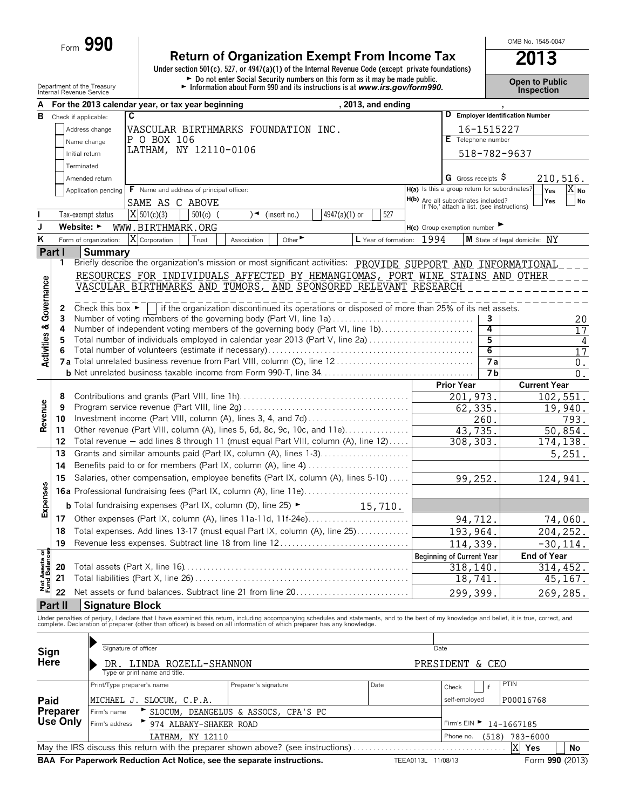Form **990**

## **Return of Organization Exempt From Income Tax 2013**

**Under section 501(c), 527, or 4947(a)(1) of the Internal Revenue Code (except private foundations)** Department of the Treasury<br> **Example 2018** Do not enter Social Security numbers on this form as it may be made public.<br>
Information about Form 990 and its instructions is at www.irs.gov/form990.<br>
Inspection

OMB No. 1545-0047

| А                         |                      |                                      | , 2013, and ending<br>For the 2013 calendar year, or tax year beginning                                                                                                                                                        |                                                                                          |              |                                  |
|---------------------------|----------------------|--------------------------------------|--------------------------------------------------------------------------------------------------------------------------------------------------------------------------------------------------------------------------------|------------------------------------------------------------------------------------------|--------------|----------------------------------|
| B                         | Check if applicable: |                                      | C                                                                                                                                                                                                                              |                                                                                          |              | D Employer Identification Number |
|                           |                      | Address change                       | VASCULAR BIRTHMARKS FOUNDATION INC.                                                                                                                                                                                            |                                                                                          | 16-1515227   |                                  |
|                           |                      | Name change                          | P O BOX 106                                                                                                                                                                                                                    | E Telephone number                                                                       |              |                                  |
|                           | Initial return       |                                      | LATHAM, NY 12110-0106                                                                                                                                                                                                          |                                                                                          | 518-782-9637 |                                  |
|                           | Terminated           |                                      |                                                                                                                                                                                                                                |                                                                                          |              |                                  |
|                           |                      | Amended return                       |                                                                                                                                                                                                                                | G Gross receipts $\varsigma$                                                             |              | 210,516.                         |
|                           |                      | Application pending                  | F Name and address of principal officer:                                                                                                                                                                                       | H(a) Is this a group return for subordinates?                                            |              | X <sub>No</sub><br>Yes           |
|                           |                      |                                      |                                                                                                                                                                                                                                |                                                                                          |              | Yes<br>No                        |
|                           |                      |                                      | SAME AS C ABOVE                                                                                                                                                                                                                | <b>H(b)</b> Are all subordinates included?<br>If 'No,' attach a list. (see instructions) |              |                                  |
| L                         |                      | Tax-exempt status                    | $X$ 501(c)(3)<br>527<br>$501(c)$ (<br>4947(a)(1) or<br>(insert no.)<br>)◄                                                                                                                                                      |                                                                                          |              |                                  |
| J                         | Website: ►           |                                      | WWW.BIRTHMARK.ORG                                                                                                                                                                                                              | $H(c)$ Group exemption number                                                            |              |                                  |
| $\overline{\mathsf{K}}$   |                      | Form of organization:                | X Corporation<br>L Year of formation: 1994<br>Trust<br>Other<br>Association                                                                                                                                                    |                                                                                          |              | M State of legal domicile: NY    |
| Part I                    |                      | <b>Summary</b>                       |                                                                                                                                                                                                                                |                                                                                          |              |                                  |
|                           | 1                    |                                      | Briefly describe the organization's mission or most significant activities: PROVIDE SUPPORT AND INFORMATIONAL                                                                                                                  |                                                                                          |              |                                  |
|                           |                      |                                      | RESOURCES FOR INDIVIDUALS AFFECTED BY HEMANGIOMAS, PORT WINE STAINS AND OTHER                                                                                                                                                  |                                                                                          |              |                                  |
| Governance                |                      |                                      | VASCULAR BIRTHMARKS AND TUMORS, AND SPONSORED RELEVANT RESEARCH                                                                                                                                                                |                                                                                          |              |                                  |
|                           |                      |                                      |                                                                                                                                                                                                                                |                                                                                          |              |                                  |
|                           | 2                    | Check this box $\blacktriangleright$ | if the organization discontinued its operations or disposed of more than 25% of its net assets.                                                                                                                                |                                                                                          |              |                                  |
|                           | 3<br>4               |                                      | Number of voting members of the governing body (Part VI, line 1a)<br>Number of independent voting members of the governing body (Part VI, line 1b)                                                                             |                                                                                          | 3<br>4       | 20                               |
|                           | 5                    |                                      | Total number of individuals employed in calendar year 2013 (Part V, line 2a)                                                                                                                                                   |                                                                                          | 5            | 17                               |
|                           | 6                    |                                      |                                                                                                                                                                                                                                |                                                                                          | 6            | 4<br>17                          |
| <b>Activities &amp;</b>   |                      |                                      |                                                                                                                                                                                                                                |                                                                                          | <b>7a</b>    | $\overline{0}$ .                 |
|                           |                      |                                      |                                                                                                                                                                                                                                |                                                                                          | 7 b          | 0.                               |
|                           |                      |                                      |                                                                                                                                                                                                                                | <b>Prior Year</b>                                                                        |              | <b>Current Year</b>              |
|                           | 8                    |                                      |                                                                                                                                                                                                                                | 201,973.                                                                                 |              | 102,551.                         |
|                           | 9                    |                                      |                                                                                                                                                                                                                                | 62,335.                                                                                  |              | 19,940.                          |
| Revenue                   | 10                   |                                      |                                                                                                                                                                                                                                |                                                                                          | 260.         | 793.                             |
|                           | 11                   |                                      | Other revenue (Part VIII, column (A), lines 5, 6d, 8c, 9c, 10c, and 11e)                                                                                                                                                       | 43,735.                                                                                  |              | 50,854.                          |
|                           | 12                   |                                      | Total revenue - add lines 8 through 11 (must equal Part VIII, column (A), line 12)                                                                                                                                             | 308, 303.                                                                                |              | 174, 138.                        |
|                           | 13                   |                                      | Grants and similar amounts paid (Part IX, column (A), lines 1-3)                                                                                                                                                               |                                                                                          |              | 5,251.                           |
|                           | 14                   |                                      | Benefits paid to or for members (Part IX, column (A), line 4)                                                                                                                                                                  |                                                                                          |              |                                  |
|                           | 15                   |                                      | Salaries, other compensation, employee benefits (Part IX, column (A), lines 5-10)                                                                                                                                              |                                                                                          |              |                                  |
|                           |                      |                                      |                                                                                                                                                                                                                                | 99,252.                                                                                  |              | 124,941.                         |
| Expenses                  |                      |                                      |                                                                                                                                                                                                                                |                                                                                          |              |                                  |
|                           |                      |                                      | <b>b</b> Total fundraising expenses (Part IX, column (D), line 25) $\blacktriangleright$<br>15,710.                                                                                                                            |                                                                                          |              |                                  |
|                           | 17                   |                                      |                                                                                                                                                                                                                                | 94,712.                                                                                  |              | 74,060.                          |
|                           | 18                   |                                      | Total expenses. Add lines 13-17 (must equal Part IX, column (A), line 25)                                                                                                                                                      | 193,964.                                                                                 |              | 204, 252.                        |
|                           | 19                   |                                      | Revenue less expenses. Subtract line 18 from line 12                                                                                                                                                                           | 114,339.                                                                                 |              | $-30, 114.$                      |
| ិទ្ធិ                     |                      |                                      |                                                                                                                                                                                                                                | <b>Beginning of Current Year</b>                                                         |              | <b>End of Year</b>               |
| Net Assets<br>Fund Balano | 20                   |                                      |                                                                                                                                                                                                                                | 318,140                                                                                  |              | 314,452.                         |
|                           | 21                   |                                      |                                                                                                                                                                                                                                | 18,741                                                                                   |              | 45,167.                          |
|                           | 22                   |                                      | Net assets or fund balances. Subtract line 21 from line 20                                                                                                                                                                     | 299,399.                                                                                 |              | 269,285.                         |
|                           | Part II              | <b>Signature Block</b>               |                                                                                                                                                                                                                                |                                                                                          |              |                                  |
|                           |                      |                                      |                                                                                                                                                                                                                                |                                                                                          |              |                                  |
|                           |                      |                                      | Under penalties of perjury, I declare that I have examined this return, including accompanying schedules and statements, and to the best of my knowledge and belief, it is true, correct, and complete. Declaration of prepare |                                                                                          |              |                                  |
|                           |                      |                                      |                                                                                                                                                                                                                                |                                                                                          |              |                                  |
| Sign                      |                      |                                      | Signature of officer                                                                                                                                                                                                           | Date                                                                                     |              |                                  |
| Here                      |                      |                                      | DR. LINDA ROZELL-SHANNON                                                                                                                                                                                                       | PRESIDENT & CEO                                                                          |              |                                  |
|                           |                      |                                      | Type or print name and title.                                                                                                                                                                                                  |                                                                                          |              |                                  |
|                           |                      |                                      | Print/Type preparer's name<br>Preparer's signature<br>Date                                                                                                                                                                     | Check                                                                                    | PTIN<br>if   |                                  |
|                           |                      |                                      |                                                                                                                                                                                                                                |                                                                                          |              |                                  |
| Paid                      |                      |                                      | MICHAEL J. SLOCUM, C.P.A.                                                                                                                                                                                                      | self-employed                                                                            |              | P00016768                        |
|                           | Preparer<br>Use Only | Firm's name                          | SLOCUM, DEANGELUS & ASSOCS, CPA'S PC                                                                                                                                                                                           |                                                                                          |              |                                  |
|                           |                      | Firm's address                       | 974 ALBANY-SHAKER ROAD                                                                                                                                                                                                         | Firm's EIN ▶                                                                             | 14-1667185   |                                  |
|                           |                      |                                      | LATHAM, NY 12110                                                                                                                                                                                                               | Phone no.                                                                                | (518)        | 783-6000                         |
|                           |                      |                                      | May the IRS discuss this return with the preparer shown above? (see instructions)                                                                                                                                              |                                                                                          |              | X<br>Yes<br>No                   |
|                           |                      |                                      | BAA For Paperwork Reduction Act Notice, see the separate instructions.                                                                                                                                                         | TEEA0113L 11/08/13                                                                       |              | Form 990 (2013)                  |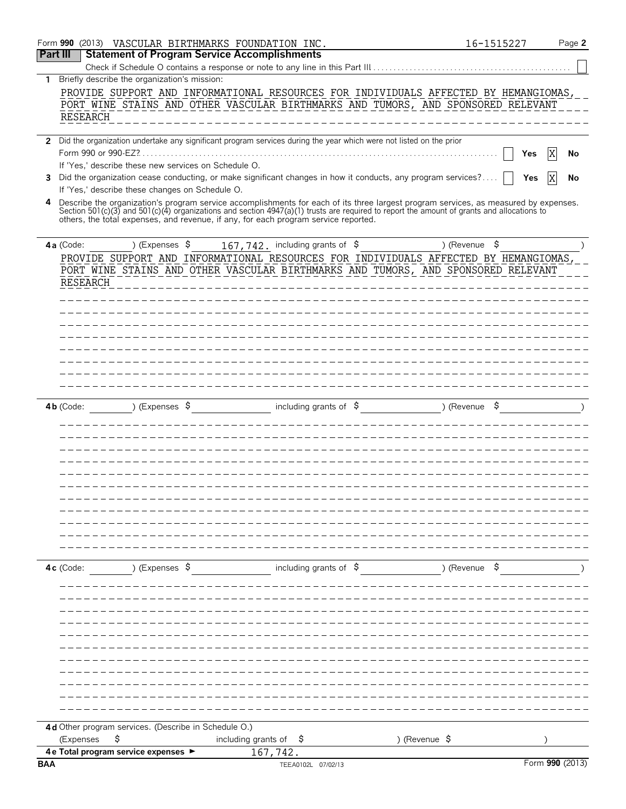|                                                    | Form 990 (2013) VASCULAR BIRTHMARKS FOUNDATION INC.  |                                                                                                                                                                                                                                   | 16-1515227               | Page 2          |
|----------------------------------------------------|------------------------------------------------------|-----------------------------------------------------------------------------------------------------------------------------------------------------------------------------------------------------------------------------------|--------------------------|-----------------|
| <b>Part III</b>                                    | <b>Statement of Program Service Accomplishments</b>  |                                                                                                                                                                                                                                   |                          |                 |
|                                                    |                                                      | Check if Schedule O contains a response or note to any line in this Part III                                                                                                                                                      |                          |                 |
| 1<br>RESEARCH                                      | Briefly describe the organization's mission:         | PROVIDE SUPPORT AND INFORMATIONAL RESOURCES FOR INDIVIDUALS AFFECTED BY HEMANGIOMAS,<br>PORT WINE STAINS AND OTHER VASCULAR BIRTHMARKS AND TUMORS, AND SPONSORED RELEVANT                                                         |                          |                 |
| $\mathbf{2}$                                       |                                                      | Did the organization undertake any significant program services during the year which were not listed on the prior                                                                                                                |                          | Yes<br>No       |
| 3                                                  | If 'Yes,' describe these new services on Schedule O. | Did the organization cease conducting, or make significant changes in how it conducts, any program services?                                                                                                                      |                          | Yes<br>No       |
| 4                                                  | If 'Yes,' describe these changes on Schedule O.      | Describe the organization's program service accomplishments for each of its three largest program services, as measured by expenses.                                                                                              |                          |                 |
|                                                    |                                                      | Section 501(c)(3) and 501(c)(4) organizations and section 4947(a)(1) trusts are required to report the amount of grants and allocations to<br>others, the total expenses, and revenue, if any, for each program service reported. |                          |                 |
| $4a$ (Code:                                        | ) (Expenses $\sqrt{5}$                               | 167, 742. including grants of \$                                                                                                                                                                                                  | ) (Revenue \$            |                 |
| <b>RESEARCH</b>                                    |                                                      | PROVIDE SUPPORT AND INFORMATIONAL RESOURCES FOR INDIVIDUALS AFFECTED BY HEMANGIOMAS<br>PORT WINE STAINS AND OTHER VASCULAR BIRTHMARKS AND TUMORS, AND SPONSORED RELEVANT                                                          |                          |                 |
|                                                    |                                                      |                                                                                                                                                                                                                                   |                          |                 |
|                                                    |                                                      |                                                                                                                                                                                                                                   |                          |                 |
|                                                    |                                                      |                                                                                                                                                                                                                                   |                          |                 |
|                                                    |                                                      |                                                                                                                                                                                                                                   |                          |                 |
|                                                    |                                                      |                                                                                                                                                                                                                                   |                          |                 |
| $4b$ (Code:                                        | ) (Expenses $\sqrt{5}$                               | including grants of $\frac{1}{2}$                                                                                                                                                                                                 | ) (Revenue               |                 |
|                                                    |                                                      |                                                                                                                                                                                                                                   |                          |                 |
|                                                    |                                                      |                                                                                                                                                                                                                                   |                          |                 |
|                                                    |                                                      |                                                                                                                                                                                                                                   |                          |                 |
|                                                    |                                                      |                                                                                                                                                                                                                                   |                          |                 |
| $4c$ (Code:                                        | ) (Expenses \$                                       | including grants of $\sqrt{5}$                                                                                                                                                                                                    | ) (Revenue \$            |                 |
|                                                    |                                                      |                                                                                                                                                                                                                                   |                          |                 |
|                                                    |                                                      |                                                                                                                                                                                                                                   |                          |                 |
|                                                    |                                                      |                                                                                                                                                                                                                                   |                          |                 |
|                                                    |                                                      |                                                                                                                                                                                                                                   |                          |                 |
|                                                    |                                                      |                                                                                                                                                                                                                                   |                          |                 |
|                                                    |                                                      |                                                                                                                                                                                                                                   |                          |                 |
|                                                    | 4d Other program services. (Describe in Schedule O.) |                                                                                                                                                                                                                                   |                          |                 |
| \$<br>(Expenses                                    |                                                      | including grants of<br>-\$                                                                                                                                                                                                        | ) (Revenue $\frac{1}{2}$ |                 |
| 4 e Total program service expenses ▶<br><b>BAA</b> |                                                      | 167,742.<br>TEEA0102L 07/02/13                                                                                                                                                                                                    |                          | Form 990 (2013) |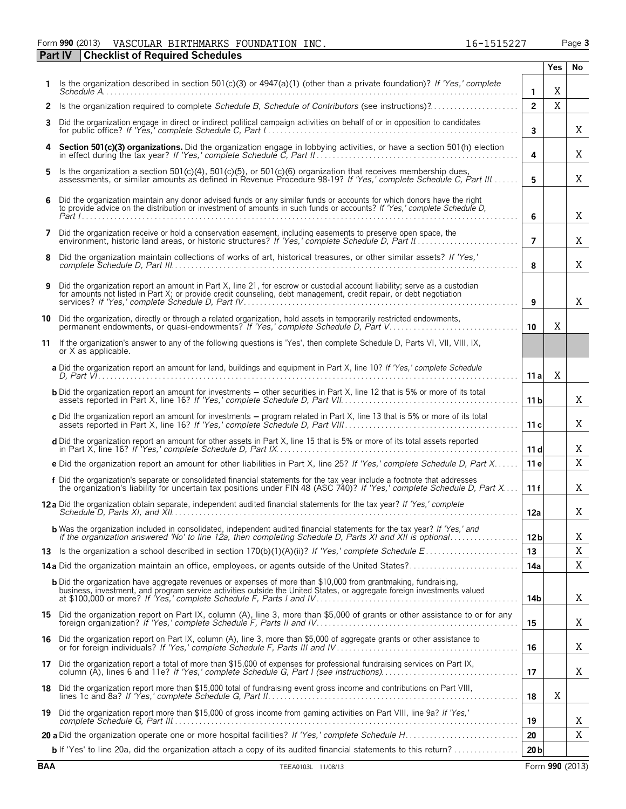#### Form **990** (2013) Page **3** VASCULAR BIRTHMARKS FOUNDATION INC. 16-1515227 **Part IV Checklist of Required Schedules**

|    |                                                                                                                                                                                                                                                     |                 | <b>Yes</b>  | No |
|----|-----------------------------------------------------------------------------------------------------------------------------------------------------------------------------------------------------------------------------------------------------|-----------------|-------------|----|
|    | Is the organization described in section 501(c)(3) or $4947(a)(1)$ (other than a private foundation)? If 'Yes,' complete<br>$S$ chedule $A$                                                                                                         | $\mathbf{1}$    | Χ           |    |
|    | 2 Is the organization required to complete Schedule B, Schedule of Contributors (see instructions)?                                                                                                                                                 | $\overline{2}$  | $\mathbf X$ |    |
| 3  | Did the organization engage in direct or indirect political campaign activities on behalf of or in opposition to candidates                                                                                                                         | $\mathbf{3}$    |             | X  |
| 4  | Section 501(c)(3) organizations. Did the organization engage in lobbying activities, or have a section 501(h) election                                                                                                                              | 4               |             | Χ  |
| 5. | Is the organization a section $501(c)(4)$ , $501(c)(5)$ , or $501(c)(6)$ organization that receives membership dues,<br>assessments, or similar amounts as defined in Revenue Procedure 98-19? If 'Yes,' complete Schedule C, Part III              | 5               |             | Χ  |
| 6  | Did the organization maintain any donor advised funds or any similar funds or accounts for which donors have the right<br>to provide advice on the distribution or investment of amounts in such funds or accounts? If 'Yes,' complete Schedule D,  | 6               |             | X  |
| 7  | Did the organization receive or hold a conservation easement, including easements to preserve open space, the                                                                                                                                       | $\overline{7}$  |             | Χ  |
| 8  | Did the organization maintain collections of works of art, historical treasures, or other similar assets? If 'Yes,'                                                                                                                                 | 8               |             | Χ  |
| 9  | Did the organization report an amount in Part X, line 21, for escrow or custodial account liability; serve as a custodian<br>for amounts not listed in Part X; or provide credit counseling, debt management, credit repair, or debt negotiation    | 9               |             | X  |
| 10 | Did the organization, directly or through a related organization, hold assets in temporarily restricted endowments,<br>permanent endowments, or quasi-endowments? If 'Yes,' complete Schedule D, Part V                                             | 10              | X           |    |
|    | 11 If the organization's answer to any of the following questions is 'Yes', then complete Schedule D, Parts VI, VII, VIII, IX,<br>or X as applicable.                                                                                               |                 |             |    |
|    | a Did the organization report an amount for land, buildings and equipment in Part X, line 10? If 'Yes,' complete Schedule                                                                                                                           | 11a             | X           |    |
|    | <b>b</b> Did the organization report an amount for investments - other securities in Part X, line 12 that is 5% or more of its total                                                                                                                | 11 <sub>b</sub> |             | Χ  |
|    | c Did the organization report an amount for investments - program related in Part X, line 13 that is 5% or more of its total                                                                                                                        | 11c             |             | Χ  |
|    | d Did the organization report an amount for other assets in Part X, line 15 that is 5% or more of its total assets reported                                                                                                                         | 11d             |             | Χ  |
|    | e Did the organization report an amount for other liabilities in Part X, line 25? If 'Yes,' complete Schedule D, Part X                                                                                                                             | 11 e            |             | X  |
|    | f Did the organization's separate or consolidated financial statements for the tax year include a footnote that addresses<br>the organization's liability for uncertain tax positions under FIN 48 (ASC 740)? If 'Yes,' complete Schedule D, Part X | 11f             |             | Χ  |
|    | 12a Did the organization obtain separate, independent audited financial statements for the tax year? If 'Yes,' complete                                                                                                                             | 12a             |             | Χ  |
|    | <b>b</b> Was the organization included in consolidated, independent audited financial statements for the tax year? If 'Yes,' and if the organization answered 'No' to line 12a, then completing Schedule D, Parts XI and XII is opt                 | 12 <sub>b</sub> |             | Χ  |
|    |                                                                                                                                                                                                                                                     | 13              |             | X  |
|    | 14a Did the organization maintain an office, employees, or agents outside of the United States?                                                                                                                                                     | 14a             |             | Χ  |
|    | <b>b</b> Did the organization have aggregate revenues or expenses of more than \$10,000 from grantmaking, fundraising,                                                                                                                              | 14b             |             | X  |
|    | 15 Did the organization report on Part IX, column (A), line 3, more than \$5,000 of grants or other assistance to or for any                                                                                                                        | 15              |             | Χ  |
|    | 16 Did the organization report on Part IX, column (A), line 3, more than \$5,000 of aggregate grants or other assistance to                                                                                                                         | 16              |             | X  |
|    | 17 Did the organization report a total of more than \$15,000 of expenses for professional fundraising services on Part IX,                                                                                                                          | 17              |             | X  |
|    | 18 Did the organization report more than \$15,000 total of fundraising event gross income and contributions on Part VIII,                                                                                                                           | 18              | Χ           |    |
| 19 | Did the organization report more than \$15,000 of gross income from gaming activities on Part VIII, line 9a? If 'Yes,'                                                                                                                              | 19              |             | X  |
|    |                                                                                                                                                                                                                                                     | 20              |             | Χ  |
|    | b If 'Yes' to line 20a, did the organization attach a copy of its audited financial statements to this return?                                                                                                                                      | 20 <sub>b</sub> |             |    |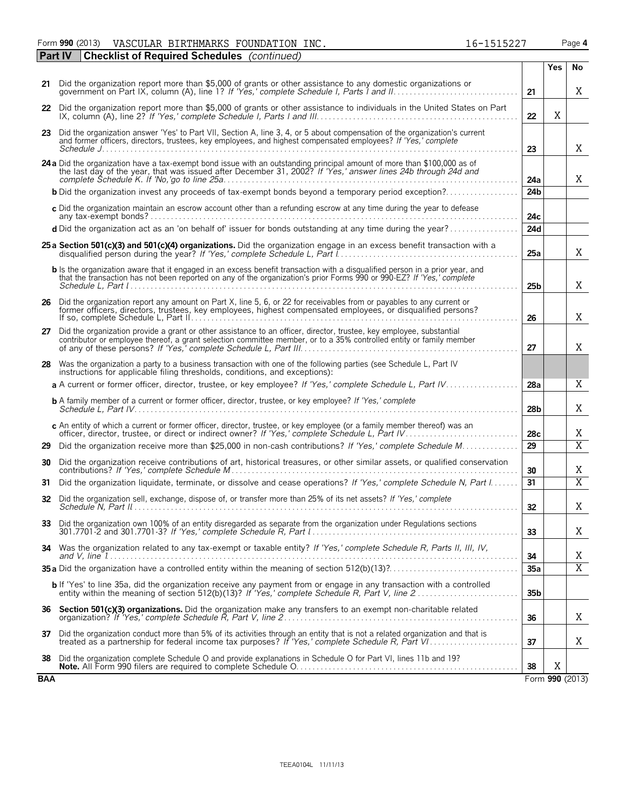Form **990** (2013) Page **4** VASCULAR BIRTHMARKS FOUNDATION INC. 16-1515227

|     | <b>Checklist of Required Schedules</b> (continued)<br><b>Part IV</b>                                                                                                                                                                                  |                 |     |                 |
|-----|-------------------------------------------------------------------------------------------------------------------------------------------------------------------------------------------------------------------------------------------------------|-----------------|-----|-----------------|
|     |                                                                                                                                                                                                                                                       |                 | Yes | No              |
|     | 21 Did the organization report more than \$5,000 of grants or other assistance to any domestic organizations or                                                                                                                                       | 21              |     | X               |
|     | 22 Did the organization report more than \$5,000 of grants or other assistance to individuals in the United States on Part                                                                                                                            | 22              | X   |                 |
|     | 23 Did the organization answer 'Yes' to Part VII, Section A, line 3, 4, or 5 about compensation of the organization's current<br>and former officers, directors, trustees, key employees, and highest compensated employees? If 'Yes,' complete       |                 |     |                 |
|     |                                                                                                                                                                                                                                                       | 23              |     | X               |
|     | 24 a Did the organization have a tax-exempt bond issue with an outstanding principal amount of more than \$100,000 as of<br>the last day of the year, that was issued after December 31, 2002? If 'Yes,' answer lines 24b through 24d and             | 24a             |     | X               |
|     | <b>b</b> Did the organization invest any proceeds of tax-exempt bonds beyond a temporary period exception?                                                                                                                                            | 24 <sub>b</sub> |     |                 |
|     | c Did the organization maintain an escrow account other than a refunding escrow at any time during the year to defease                                                                                                                                | 24c             |     |                 |
|     | d Did the organization act as an 'on behalf of' issuer for bonds outstanding at any time during the year?                                                                                                                                             | 24d             |     |                 |
|     | 25 a Section 501(c)(3) and 501(c)(4) organizations. Did the organization engage in an excess benefit transaction with a                                                                                                                               | 25a             |     | X               |
|     | b Is the organization aware that it engaged in an excess benefit transaction with a disqualified person in a prior year, and<br>that the transaction has not been reported on any of the organization's prior Forms 990 or 990-EZ? If 'Yes,' complete | 25 <sub>b</sub> |     | X               |
|     | 26 Did the organization report any amount on Part X, line 5, 6, or 22 for receivables from or payables to any current or<br>former officers, directors, trustees, key employees, highest compensated employees, or disqualified persons?              | 26              |     | X               |
| 27  | Did the organization provide a grant or other assistance to an officer, director, trustee, key employee, substantial<br>contributor or employee thereof, a grant selection committee member, or to a 35% controlled entity or family member           | 27              |     | Χ               |
| 28  | Was the organization a party to a business transaction with one of the following parties (see Schedule L, Part IV<br>instructions for applicable filing thresholds, conditions, and exceptions):                                                      |                 |     |                 |
|     | a A current or former officer, director, trustee, or key employee? If 'Yes,' complete Schedule L, Part IV                                                                                                                                             | 28a             |     | X               |
|     | <b>b</b> A family member of a current or former officer, director, trustee, or key employee? If 'Yes,' complete                                                                                                                                       | 28 <sub>b</sub> |     | Χ               |
|     | c An entity of which a current or former officer, director, trustee, or key employee (or a family member thereof) was an                                                                                                                              | 28c             |     | Χ               |
| 29  | Did the organization receive more than \$25,000 in non-cash contributions? If 'Yes,' complete Schedule M                                                                                                                                              | $\overline{29}$ |     | $\overline{X}$  |
| 30  | Did the organization receive contributions of art, historical treasures, or other similar assets, or qualified conservation                                                                                                                           | 30              |     | Χ               |
| 31  | Did the organization liquidate, terminate, or dissolve and cease operations? If 'Yes,' complete Schedule N, Part I                                                                                                                                    | 31              |     | $\overline{X}$  |
| 32  | Did the organization sell, exchange, dispose of, or transfer more than 25% of its net assets? If 'Yes,' complete                                                                                                                                      | 32              |     | Χ               |
| 33  | Did the organization own 100% of an entity disregarded as separate from the organization under Regulations sections                                                                                                                                   | 33              |     | Χ               |
| 34  | Was the organization related to any tax-exempt or taxable entity? If 'Yes,' complete Schedule R, Parts II, III, IV,                                                                                                                                   | 34              |     | Χ               |
|     |                                                                                                                                                                                                                                                       | 35a             |     | $\overline{X}$  |
|     | <b>b</b> If 'Yes' to line 35a, did the organization receive any payment from or engage in any transaction with a controlled                                                                                                                           | 35 <sub>b</sub> |     |                 |
| 36  | Section 501(c)(3) organizations. Did the organization make any transfers to an exempt non-charitable related                                                                                                                                          | 36              |     | Χ               |
| 37  | Did the organization conduct more than 5% of its activities through an entity that is not a related organization and that is<br>treated as a partnership for federal income tax purposes? If 'Yes,' complete Schedule R, Part VI                      | 37              |     | Χ               |
| 38  | Did the organization complete Schedule O and provide explanations in Schedule O for Part VI, lines 11b and 19?                                                                                                                                        | 38              | Χ   |                 |
| BAA |                                                                                                                                                                                                                                                       |                 |     | Form 990 (2013) |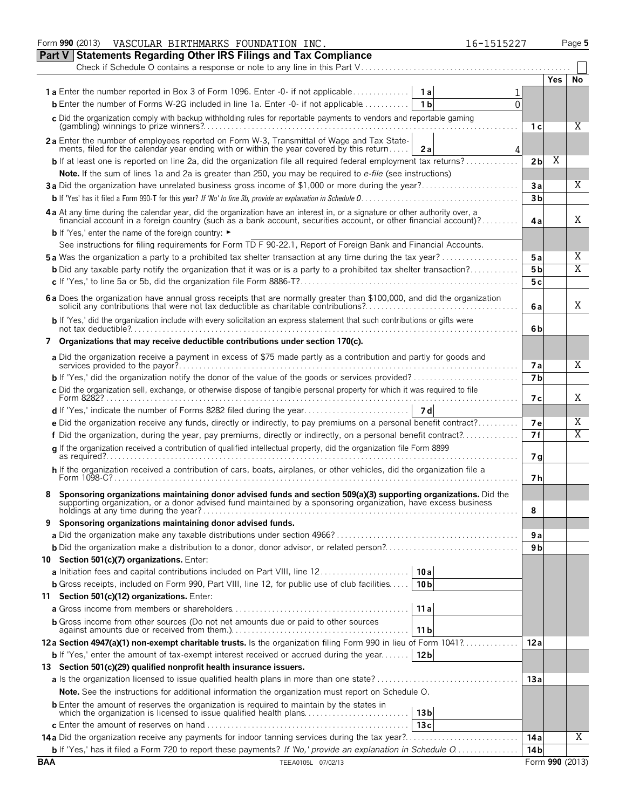|                                                                                                  | Form 990 (2013)<br>VASCULAR BIRTHMARKS FOUNDATION INC.                                                                                                                                                                             | 16-1515227 |                       | Page 5         |  |  |  |  |  |  |
|--------------------------------------------------------------------------------------------------|------------------------------------------------------------------------------------------------------------------------------------------------------------------------------------------------------------------------------------|------------|-----------------------|----------------|--|--|--|--|--|--|
|                                                                                                  | <b>Part V Statements Regarding Other IRS Filings and Tax Compliance</b>                                                                                                                                                            |            |                       |                |  |  |  |  |  |  |
|                                                                                                  | Check if Schedule O contains a response or note to any line in this Part V                                                                                                                                                         |            |                       |                |  |  |  |  |  |  |
|                                                                                                  |                                                                                                                                                                                                                                    |            | Yes.                  | No             |  |  |  |  |  |  |
|                                                                                                  | <b>1a</b> Enter the number reported in Box 3 of Form 1096. Enter -0- if not applicable<br>1 a l                                                                                                                                    |            |                       |                |  |  |  |  |  |  |
|                                                                                                  | <b>b</b> Enter the number of Forms W-2G included in line 1a. Enter -0- if not applicable $\ldots$<br>1 <sub>b</sub>                                                                                                                | U          |                       |                |  |  |  |  |  |  |
|                                                                                                  | c Did the organization comply with backup withholding rules for reportable payments to vendors and reportable gaming                                                                                                               |            |                       |                |  |  |  |  |  |  |
|                                                                                                  |                                                                                                                                                                                                                                    |            | 1 с                   | Χ              |  |  |  |  |  |  |
|                                                                                                  | 2a Enter the number of employees reported on Form W-3, Transmittal of Wage and Tax State-                                                                                                                                          |            |                       |                |  |  |  |  |  |  |
|                                                                                                  | ments, filed for the calendar year ending with or within the year covered by this return<br>2a                                                                                                                                     | 4          |                       |                |  |  |  |  |  |  |
|                                                                                                  | <b>b</b> If at least one is reported on line 2a, did the organization file all required federal employment tax returns?                                                                                                            |            | Χ<br>2 <sub>b</sub>   |                |  |  |  |  |  |  |
|                                                                                                  | Note. If the sum of lines 1a and 2a is greater than 250, you may be required to e-file (see instructions)                                                                                                                          |            | 3a                    | Χ              |  |  |  |  |  |  |
| 3a Did the organization have unrelated business gross income of \$1,000 or more during the year? |                                                                                                                                                                                                                                    |            |                       |                |  |  |  |  |  |  |
|                                                                                                  |                                                                                                                                                                                                                                    |            | 3 <sub>b</sub>        |                |  |  |  |  |  |  |
|                                                                                                  | 4 a At any time during the calendar year, did the organization have an interest in, or a signature or other authority over, a financial account in a foreign country (such as a bank account, securities account, or other fin     |            |                       | X              |  |  |  |  |  |  |
|                                                                                                  | <b>b</b> If 'Yes,' enter the name of the foreign country: ►                                                                                                                                                                        |            | 4 a                   |                |  |  |  |  |  |  |
|                                                                                                  | See instructions for filing requirements for Form TD F 90-22.1, Report of Foreign Bank and Financial Accounts.                                                                                                                     |            |                       |                |  |  |  |  |  |  |
|                                                                                                  | <b>5a</b> Was the organization a party to a prohibited tax shelter transaction at any time during the tax year?                                                                                                                    |            |                       | Χ              |  |  |  |  |  |  |
|                                                                                                  |                                                                                                                                                                                                                                    |            | 5 a<br>5 <sub>b</sub> | X              |  |  |  |  |  |  |
|                                                                                                  | <b>b</b> Did any taxable party notify the organization that it was or is a party to a prohibited tax shelter transaction?                                                                                                          |            |                       |                |  |  |  |  |  |  |
|                                                                                                  |                                                                                                                                                                                                                                    |            | 5 c                   |                |  |  |  |  |  |  |
|                                                                                                  | 6 a Does the organization have annual gross receipts that are normally greater than \$100,000, and did the organization solicit any contributions that were not tax deductible as charitable contributions?                        |            | 6 a                   | Χ              |  |  |  |  |  |  |
|                                                                                                  | b If 'Yes,' did the organization include with every solicitation an express statement that such contributions or gifts were                                                                                                        |            | 6b                    |                |  |  |  |  |  |  |
|                                                                                                  | 7 Organizations that may receive deductible contributions under section 170(c).                                                                                                                                                    |            |                       |                |  |  |  |  |  |  |
|                                                                                                  | a Did the organization receive a payment in excess of \$75 made partly as a contribution and partly for goods and                                                                                                                  |            | 7а                    | X              |  |  |  |  |  |  |
|                                                                                                  |                                                                                                                                                                                                                                    |            | 7 <sub>b</sub>        |                |  |  |  |  |  |  |
|                                                                                                  | c Did the organization sell, exchange, or otherwise dispose of tangible personal property for which it was required to file                                                                                                        |            |                       |                |  |  |  |  |  |  |
|                                                                                                  |                                                                                                                                                                                                                                    |            | 7 с                   | Χ              |  |  |  |  |  |  |
|                                                                                                  |                                                                                                                                                                                                                                    |            |                       |                |  |  |  |  |  |  |
|                                                                                                  | e Did the organization receive any funds, directly or indirectly, to pay premiums on a personal benefit contract?                                                                                                                  |            | 7е                    | Χ              |  |  |  |  |  |  |
|                                                                                                  | f Did the organization, during the year, pay premiums, directly or indirectly, on a personal benefit contract?                                                                                                                     |            | 7f                    | $\overline{X}$ |  |  |  |  |  |  |
|                                                                                                  | g If the organization received a contribution of qualified intellectual property, did the organization file Form 8899                                                                                                              |            | 7 g                   |                |  |  |  |  |  |  |
|                                                                                                  | h If the organization received a contribution of cars, boats, airplanes, or other vehicles, did the organization file a                                                                                                            |            | 7h                    |                |  |  |  |  |  |  |
|                                                                                                  | Sponsoring organizations maintaining donor advised funds and section 509(a)(3) supporting organizations. Did the<br>supporting organization, or a donor advised fund maintained by a sponsoring organization, have excess business |            |                       |                |  |  |  |  |  |  |
|                                                                                                  | holdings at any time during the year?.                                                                                                                                                                                             | 8          |                       |                |  |  |  |  |  |  |
| 9                                                                                                | Sponsoring organizations maintaining donor advised funds.                                                                                                                                                                          |            |                       |                |  |  |  |  |  |  |
|                                                                                                  |                                                                                                                                                                                                                                    |            | 9а                    |                |  |  |  |  |  |  |
|                                                                                                  |                                                                                                                                                                                                                                    |            | 9 b                   |                |  |  |  |  |  |  |
|                                                                                                  | 10 Section 501(c)(7) organizations. Enter:                                                                                                                                                                                         |            |                       |                |  |  |  |  |  |  |
|                                                                                                  | a Initiation fees and capital contributions included on Part VIII, line 12<br>10a                                                                                                                                                  |            |                       |                |  |  |  |  |  |  |
|                                                                                                  | <b>b</b> Gross receipts, included on Form 990, Part VIII, line 12, for public use of club facilities<br>10 <sub>b</sub>                                                                                                            |            |                       |                |  |  |  |  |  |  |
|                                                                                                  | 11 Section 501(c)(12) organizations. Enter:                                                                                                                                                                                        |            |                       |                |  |  |  |  |  |  |
|                                                                                                  | 11a                                                                                                                                                                                                                                |            |                       |                |  |  |  |  |  |  |
|                                                                                                  | <b>b</b> Gross income from other sources (Do not net amounts due or paid to other sources<br>11 <sub>b</sub>                                                                                                                       |            |                       |                |  |  |  |  |  |  |
|                                                                                                  | 12a Section 4947(a)(1) non-exempt charitable trusts. Is the organization filing Form 990 in lieu of Form 1041?                                                                                                                     |            | 12 a                  |                |  |  |  |  |  |  |
|                                                                                                  | 12 <sub>b</sub><br><b>b</b> If 'Yes,' enter the amount of tax-exempt interest received or accrued during the year                                                                                                                  |            |                       |                |  |  |  |  |  |  |
|                                                                                                  | 13 Section 501(c)(29) qualified nonprofit health insurance issuers.                                                                                                                                                                |            |                       |                |  |  |  |  |  |  |
|                                                                                                  | a Is the organization licensed to issue qualified health plans in more than one state?                                                                                                                                             | 13a        |                       |                |  |  |  |  |  |  |
|                                                                                                  | Note. See the instructions for additional information the organization must report on Schedule O.                                                                                                                                  |            |                       |                |  |  |  |  |  |  |
|                                                                                                  | <b>b</b> Enter the amount of reserves the organization is required to maintain by the states in<br>which the organization is licensed to issue qualified health plans<br>13 <sub>b</sub>                                           |            |                       |                |  |  |  |  |  |  |
|                                                                                                  | 13c                                                                                                                                                                                                                                |            |                       |                |  |  |  |  |  |  |
|                                                                                                  | 14a Did the organization receive any payments for indoor tanning services during the tax year?                                                                                                                                     |            | 14 a                  | Χ              |  |  |  |  |  |  |
|                                                                                                  | b If 'Yes,' has it filed a Form 720 to report these payments? If 'No,' provide an explanation in Schedule O                                                                                                                        |            | 14 <sub>b</sub>       |                |  |  |  |  |  |  |
| <b>BAA</b>                                                                                       | TEEA0105L 07/02/13                                                                                                                                                                                                                 |            | Form 990 (2013)       |                |  |  |  |  |  |  |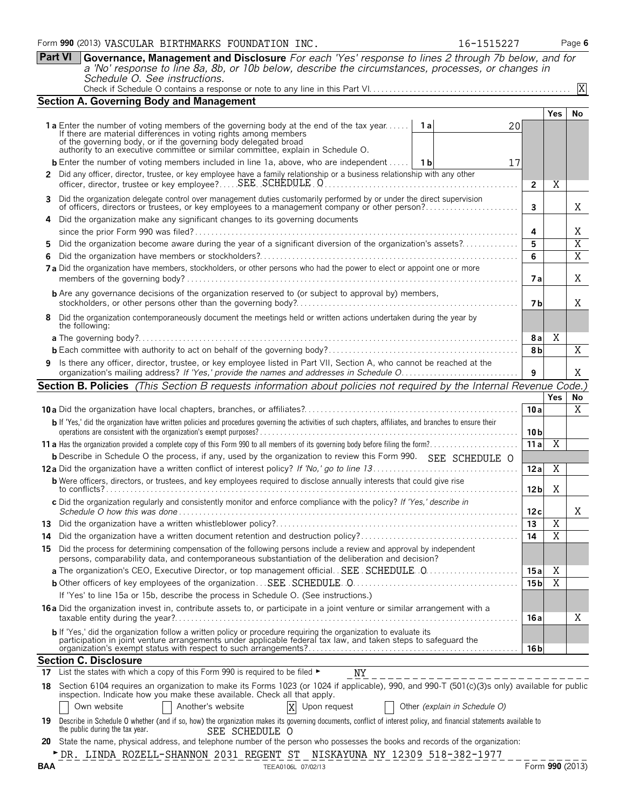|          | <b>Part VI</b>                                                                                                                                                                                                              | Governance, Management and Disclosure For each 'Yes' response to lines 2 through 7b below, and for<br>a 'No' response to line 8a, 8b, or 10b below, describe the circumstances, processes, or changes in<br>Schedule O. See instructions.                                                                                                |                 |                         |                     |  |  |  |  |
|----------|-----------------------------------------------------------------------------------------------------------------------------------------------------------------------------------------------------------------------------|------------------------------------------------------------------------------------------------------------------------------------------------------------------------------------------------------------------------------------------------------------------------------------------------------------------------------------------|-----------------|-------------------------|---------------------|--|--|--|--|
|          |                                                                                                                                                                                                                             |                                                                                                                                                                                                                                                                                                                                          |                 |                         | X                   |  |  |  |  |
|          |                                                                                                                                                                                                                             | <b>Section A. Governing Body and Management</b>                                                                                                                                                                                                                                                                                          |                 |                         |                     |  |  |  |  |
|          |                                                                                                                                                                                                                             | <b>1a</b> Enter the number of voting members of the governing body at the end of the tax year<br>⊤ 1 al<br>20<br>If there are material differences in voting rights among members<br>of the governing body, or if the governing body delegated broad<br>authority to an executive committee or similar committee, explain in Schedule O. |                 | <b>Yes</b>              | No                  |  |  |  |  |
|          |                                                                                                                                                                                                                             | <b>b</b> Enter the number of voting members included in line 1a, above, who are independent<br>- 1 b<br>17                                                                                                                                                                                                                               |                 |                         |                     |  |  |  |  |
|          |                                                                                                                                                                                                                             | 2 Did any officer, director, trustee, or key employee have a family relationship or a business relationship with any other<br>officer, director, trustee or key employee? SEE SCHEDULE O                                                                                                                                                 | $\overline{2}$  | Χ                       |                     |  |  |  |  |
|          | Did the organization delegate control over management duties customarily performed by or under the direct supervision<br>of officers, directors or trustees, or key employees to a management company or other person?<br>3 |                                                                                                                                                                                                                                                                                                                                          |                 |                         |                     |  |  |  |  |
| 4        |                                                                                                                                                                                                                             | Did the organization make any significant changes to its governing documents                                                                                                                                                                                                                                                             |                 |                         |                     |  |  |  |  |
| 5        |                                                                                                                                                                                                                             | Did the organization become aware during the year of a significant diversion of the organization's assets?                                                                                                                                                                                                                               | 4<br>5          |                         | Χ<br>$\overline{X}$ |  |  |  |  |
|          |                                                                                                                                                                                                                             |                                                                                                                                                                                                                                                                                                                                          | 6               |                         | $\overline{X}$      |  |  |  |  |
|          |                                                                                                                                                                                                                             | 7a Did the organization have members, stockholders, or other persons who had the power to elect or appoint one or more                                                                                                                                                                                                                   | 7 a             |                         | X                   |  |  |  |  |
|          |                                                                                                                                                                                                                             | <b>b</b> Are any governance decisions of the organization reserved to (or subject to approval by) members,                                                                                                                                                                                                                               | 7 <sub>b</sub>  |                         | Χ                   |  |  |  |  |
| 8        |                                                                                                                                                                                                                             | Did the organization contemporaneously document the meetings held or written actions undertaken during the year by<br>the following:                                                                                                                                                                                                     |                 |                         |                     |  |  |  |  |
|          |                                                                                                                                                                                                                             |                                                                                                                                                                                                                                                                                                                                          | 8а              | Χ                       |                     |  |  |  |  |
|          |                                                                                                                                                                                                                             |                                                                                                                                                                                                                                                                                                                                          | 8b              |                         | $\overline{X}$      |  |  |  |  |
| 9        |                                                                                                                                                                                                                             | Is there any officer, director, trustee, or key employee listed in Part VII, Section A, who cannot be reached at the                                                                                                                                                                                                                     | 9               |                         | X                   |  |  |  |  |
|          |                                                                                                                                                                                                                             | Section B. Policies (This Section B requests information about policies not required by the Internal Revenue Code.)                                                                                                                                                                                                                      |                 |                         |                     |  |  |  |  |
|          |                                                                                                                                                                                                                             |                                                                                                                                                                                                                                                                                                                                          |                 | <b>Yes</b>              | No                  |  |  |  |  |
|          |                                                                                                                                                                                                                             |                                                                                                                                                                                                                                                                                                                                          | 10a             |                         | X                   |  |  |  |  |
|          |                                                                                                                                                                                                                             | b If 'Yes,' did the organization have written policies and procedures governing the activities of such chapters, affiliates, and branches to ensure their                                                                                                                                                                                | 10 <sub>b</sub> |                         |                     |  |  |  |  |
|          |                                                                                                                                                                                                                             |                                                                                                                                                                                                                                                                                                                                          | 11a             | $\overline{X}$          |                     |  |  |  |  |
|          |                                                                                                                                                                                                                             | <b>b</b> Describe in Schedule O the process, if any, used by the organization to review this Form 990. SEE SCHEDULE O                                                                                                                                                                                                                    |                 | $\overline{\mathbf{X}}$ |                     |  |  |  |  |
|          |                                                                                                                                                                                                                             | <b>b</b> Were officers, directors, or trustees, and key employees required to disclose annually interests that could give rise                                                                                                                                                                                                           | 12a             |                         |                     |  |  |  |  |
|          |                                                                                                                                                                                                                             | to conflicts? The contract of the contract of the contract of the contract of the contract of the contract of the contract of the contract of the contract of the contract of the contract of the contract of the contract of                                                                                                            | 12 <sub>b</sub> | Χ                       |                     |  |  |  |  |
|          |                                                                                                                                                                                                                             | c Did the organization regularly and consistently monitor and enforce compliance with the policy? If 'Yes,' describe in<br>Schedule O how this was done                                                                                                                                                                                  | 12c             |                         | A                   |  |  |  |  |
| 13       |                                                                                                                                                                                                                             |                                                                                                                                                                                                                                                                                                                                          | 13              | Χ                       |                     |  |  |  |  |
| 14       |                                                                                                                                                                                                                             |                                                                                                                                                                                                                                                                                                                                          | 14              | $\overline{X}$          |                     |  |  |  |  |
| 15       |                                                                                                                                                                                                                             | Did the process for determining compensation of the following persons include a review and approval by independent<br>persons, comparability data, and contemporaneous substantiation of the deliberation and decision?                                                                                                                  |                 |                         |                     |  |  |  |  |
|          |                                                                                                                                                                                                                             | a The organization's CEO, Executive Director, or top management official. SEE SCHEDULE 0                                                                                                                                                                                                                                                 | 15 a            | Χ                       |                     |  |  |  |  |
|          |                                                                                                                                                                                                                             |                                                                                                                                                                                                                                                                                                                                          | 15 <sub>b</sub> | $\overline{X}$          |                     |  |  |  |  |
|          |                                                                                                                                                                                                                             | If 'Yes' to line 15a or 15b, describe the process in Schedule O. (See instructions.)<br>16 a Did the organization invest in, contribute assets to, or participate in a joint venture or similar arrangement with a                                                                                                                       |                 |                         | Χ                   |  |  |  |  |
|          |                                                                                                                                                                                                                             | b If 'Yes,' did the organization follow a written policy or procedure requiring the organization to evaluate its                                                                                                                                                                                                                         | 16 a            |                         |                     |  |  |  |  |
|          |                                                                                                                                                                                                                             | participation in joint venture arrangements under applicable federal tax law, and taken steps to safeguard the                                                                                                                                                                                                                           | 16 b            |                         |                     |  |  |  |  |
|          |                                                                                                                                                                                                                             | <b>Section C. Disclosure</b><br>List the states with which a copy of this Form 990 is required to be filed ►                                                                                                                                                                                                                             |                 |                         |                     |  |  |  |  |
| 17<br>18 |                                                                                                                                                                                                                             | ΝY<br>Section 6104 requires an organization to make its Forms 1023 (or 1024 if applicable), 990, and 990-T (501(c)(3)s only) available for public                                                                                                                                                                                        |                 |                         |                     |  |  |  |  |
|          |                                                                                                                                                                                                                             | inspection. Indicate how you make these available. Check all that apply.<br>Another's website<br>X<br>Own website<br>Upon request<br>Other (explain in Schedule O)                                                                                                                                                                       |                 |                         |                     |  |  |  |  |
| 19       |                                                                                                                                                                                                                             | Describe in Schedule O whether (and if so, how) the organization makes its governing documents, conflict of interest policy, and financial statements available to<br>the public during the tax year.<br>SEE SCHEDULE O                                                                                                                  |                 |                         |                     |  |  |  |  |
| 20       |                                                                                                                                                                                                                             | State the name, physical address, and telephone number of the person who possesses the books and records of the organization:                                                                                                                                                                                                            |                 |                         |                     |  |  |  |  |
| BAA      |                                                                                                                                                                                                                             | ►DR. LINDA ROZELL-SHANNON 2031 REGENT ST  NISKAYUNA NY 12309 518-382-1977<br>TEEA0106L 07/02/13                                                                                                                                                                                                                                          |                 |                         | Form 990 (2013)     |  |  |  |  |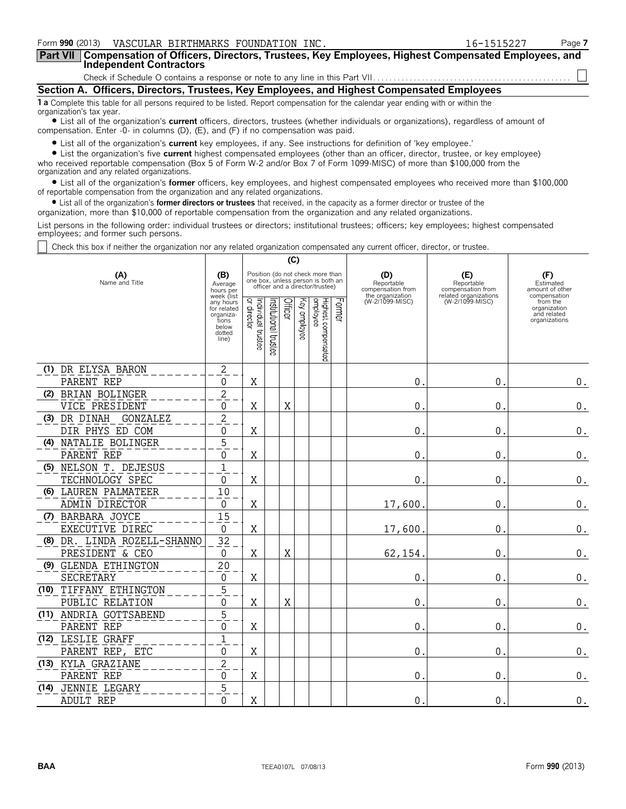| Form 990 (2013) VASCULAR BIRTHMARKS FOUNDATION INC.                                                                                                                                                                         | 16-1515227 | Page 7 |  |  |  |  |  |
|-----------------------------------------------------------------------------------------------------------------------------------------------------------------------------------------------------------------------------|------------|--------|--|--|--|--|--|
| Part VII   Compensation of Officers, Directors, Trustees, Key Employees, Highest Compensated Employees, and<br>Independent Contractors                                                                                      |            |        |  |  |  |  |  |
|                                                                                                                                                                                                                             |            |        |  |  |  |  |  |
| Section A. Officers, Directors, Trustees, Key Employees, and Highest Compensated Employees                                                                                                                                  |            |        |  |  |  |  |  |
| 1 a Complete this table for all persons required to be listed. Report compensation for the calendar year ending with or within the<br>organization's tax year.                                                              |            |        |  |  |  |  |  |
| • List all of the organization's current officers, directors, trustees (whether individuals or organizations), regardless of amount of<br>compensation. Enter -0- in columns (D), (E), and (F) if no compensation was paid. |            |        |  |  |  |  |  |

? List all of the organization's **current** key employees, if any. See instructions for definition of 'key employee.'

? List the organization's five **current** highest compensated employees (other than an officer, director, trustee, or key employee) who received reportable compensation (Box 5 of Form W-2 and/or Box 7 of Form 1099-MISC) of more than \$100,000 from the organization and any related organizations.

? List all of the organization's **former** officers, key employees, and highest compensated employees who received more than \$100,000 of reportable compensation from the organization and any related organizations.

? List all of the organization's **former directors or trustees** that received, in the capacity as a former director or trustee of the

organization, more than \$10,000 of reportable compensation from the organization and any related organizations.

List persons in the following order: individual trustees or directors; institutional trustees; officers; key employees; highest compensated employees; and former such persons.

Check this box if neither the organization nor any related organization compensated any current officer, director, or trustee.

|                       |                             |                                                                                          |                                        |                       | (C)     |                 |                                                                                                          |        |                                        |                                          |                                                                          |
|-----------------------|-----------------------------|------------------------------------------------------------------------------------------|----------------------------------------|-----------------------|---------|-----------------|----------------------------------------------------------------------------------------------------------|--------|----------------------------------------|------------------------------------------|--------------------------------------------------------------------------|
| (A)<br>Name and Title |                             | (B)<br>Average<br>hours per                                                              |                                        |                       |         |                 | Position (do not check more than<br>one box, unless person is both an<br>officer and a director/trustee) |        | (D)<br>Reportable<br>compensation from | (E)<br>Reportable<br>compensation from   | (F)<br>Estimated<br>amount of other                                      |
|                       |                             | week (list<br>any hours<br>for related<br>organiza-<br>tions<br>below<br>dotted<br>line) | Individual 1<br>or director<br>trustee | Institutional trustee | Officer | Уеу<br>employee | Highest compensated<br>employee                                                                          | Former | the organization<br>(W-2/1099-MISC)    | related organizations<br>(W-2/1099-MISC) | compensation<br>from the<br>organization<br>and related<br>organizations |
|                       | (1) DR ELYSA BARON          | 2                                                                                        |                                        |                       |         |                 |                                                                                                          |        |                                        |                                          |                                                                          |
|                       | PARENT REP                  | 0                                                                                        | Χ                                      |                       |         |                 |                                                                                                          |        | $\mathbf{0}$                           | $\mathbf 0$ .                            | $\boldsymbol{0}$ .                                                       |
|                       | (2) BRIAN BOLINGER          | 2                                                                                        |                                        |                       |         |                 |                                                                                                          |        |                                        |                                          |                                                                          |
|                       | VICE PRESIDENT              | 0                                                                                        | Χ                                      |                       | X       |                 |                                                                                                          |        | $\mathbf 0$ .                          | 0.                                       | $\boldsymbol{0}$ .                                                       |
|                       | (3) DR DINAH<br>GONZALEZ    | $\overline{c}$                                                                           |                                        |                       |         |                 |                                                                                                          |        |                                        |                                          |                                                                          |
|                       | DIR PHYS ED COM             | 0                                                                                        | Χ                                      |                       |         |                 |                                                                                                          |        | $\mathbf{0}$                           | 0                                        | $\boldsymbol{0}$ .                                                       |
|                       | (4) NATALIE BOLINGER        | 5                                                                                        |                                        |                       |         |                 |                                                                                                          |        |                                        |                                          |                                                                          |
|                       | PARENT REP                  | 0                                                                                        | Χ                                      |                       |         |                 |                                                                                                          |        | $\mathbf{0}$                           | $\mathbf 0$ .                            | $\boldsymbol{0}$ .                                                       |
|                       | (5) NELSON T. DEJESUS       | $\mathbf 1$                                                                              |                                        |                       |         |                 |                                                                                                          |        |                                        |                                          |                                                                          |
|                       | TECHNOLOGY SPEC             | 0                                                                                        | Χ                                      |                       |         |                 |                                                                                                          |        | $\mathbf{0}$                           | $\mathbf 0$ .                            | $\boldsymbol{0}$ .                                                       |
|                       | (6) LAUREN PALMATEER        | 10                                                                                       |                                        |                       |         |                 |                                                                                                          |        |                                        |                                          |                                                                          |
|                       | ADMIN DIRECTOR              | 0                                                                                        | X                                      |                       |         |                 |                                                                                                          |        | 17,600                                 | 0.                                       | $\boldsymbol{0}$ .                                                       |
|                       | (7) BARBARA JOYCE           | 15                                                                                       |                                        |                       |         |                 |                                                                                                          |        |                                        |                                          |                                                                          |
|                       | EXECUTIVE DIREC             | 0                                                                                        | Χ                                      |                       |         |                 |                                                                                                          |        | 17,600                                 | $\mathbf 0$ .                            | $\boldsymbol{0}$ .                                                       |
|                       | (8) DR. LINDA ROZELL-SHANNO | 32                                                                                       |                                        |                       |         |                 |                                                                                                          |        |                                        |                                          |                                                                          |
|                       | PRESIDENT & CEO             | 0                                                                                        | X                                      |                       | Χ       |                 |                                                                                                          |        | 62,154                                 | $\mathbf 0$ .                            | $\boldsymbol{0}$ .                                                       |
|                       | (9) GLENDA ETHINGTON        | 20                                                                                       |                                        |                       |         |                 |                                                                                                          |        |                                        |                                          |                                                                          |
|                       | SECRETARY                   | 0                                                                                        | Χ                                      |                       |         |                 |                                                                                                          |        | $\mathbf 0$ .                          | $\mathbf{0}$ .                           | $\boldsymbol{0}$ .                                                       |
|                       | (10) TIFFANY ETHINGTON      | 5                                                                                        |                                        |                       |         |                 |                                                                                                          |        |                                        |                                          |                                                                          |
|                       | PUBLIC RELATION             | 0                                                                                        | Χ                                      |                       | Χ       |                 |                                                                                                          |        | 0.                                     | 0.                                       | $\boldsymbol{0}$ .                                                       |
|                       | (11) ANDRIA GOTTSABEND      | 5                                                                                        |                                        |                       |         |                 |                                                                                                          |        |                                        |                                          |                                                                          |
|                       | PARENT REP                  | 0                                                                                        | Χ                                      |                       |         |                 |                                                                                                          |        | $\mathbf{0}$ .                         | 0.                                       | $\boldsymbol{0}$ .                                                       |
|                       | (12) LESLIE GRAFF           | $\mathbf{1}$                                                                             |                                        |                       |         |                 |                                                                                                          |        |                                        |                                          |                                                                          |
|                       | PARENT REP, ETC             | 0                                                                                        | X                                      |                       |         |                 |                                                                                                          |        | 0.                                     | 0.                                       | $\boldsymbol{0}$ .                                                       |
|                       | (13) KYLA GRAZIANE          | $\mathbf{2}$                                                                             |                                        |                       |         |                 |                                                                                                          |        |                                        |                                          |                                                                          |
|                       | PARENT REP                  | 0                                                                                        | X                                      |                       |         |                 |                                                                                                          |        | $\mathbf{0}$                           | $\mathbf 0$ .                            | $\boldsymbol{0}$ .                                                       |
| (14)                  | JENNIE LEGARY               | 5                                                                                        |                                        |                       |         |                 |                                                                                                          |        |                                        |                                          |                                                                          |
|                       | <b>ADULT REP</b>            | $\Omega$                                                                                 | X                                      |                       |         |                 |                                                                                                          |        | $\mathbf{0}$                           | 0.                                       | $\boldsymbol{0}$ .                                                       |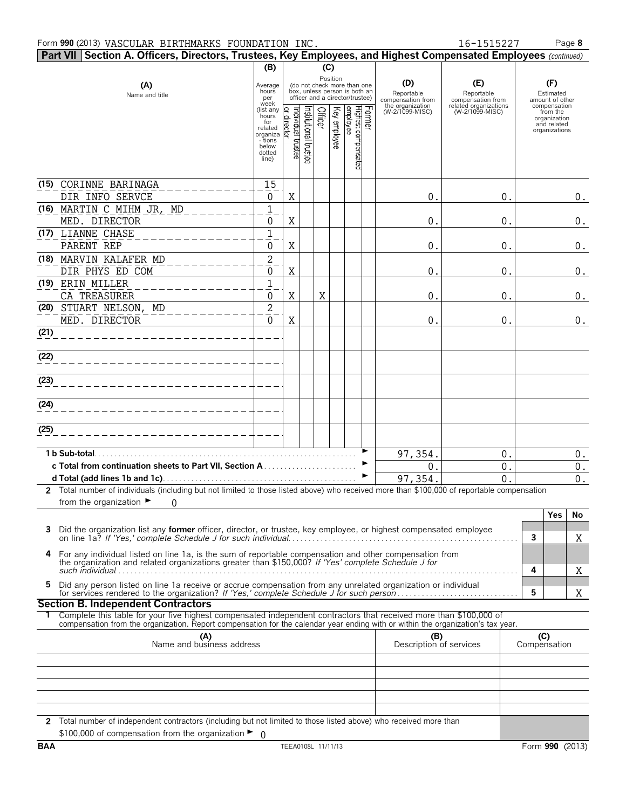|      | Part VII Section A. Officers, Directors, Trustees, Key Employees, and Highest Compensated Employees (continued)                                                                                                               |                                                              |                   |                   |         |              |                                                                                                 |        |                                                                               |                                                                                    |   |                                                                                                |                    |
|------|-------------------------------------------------------------------------------------------------------------------------------------------------------------------------------------------------------------------------------|--------------------------------------------------------------|-------------------|-------------------|---------|--------------|-------------------------------------------------------------------------------------------------|--------|-------------------------------------------------------------------------------|------------------------------------------------------------------------------------|---|------------------------------------------------------------------------------------------------|--------------------|
|      |                                                                                                                                                                                                                               | (B)                                                          |                   |                   | (C)     |              |                                                                                                 |        |                                                                               |                                                                                    |   |                                                                                                |                    |
|      | (A)<br>Name and title                                                                                                                                                                                                         | Average<br>hours<br>per<br>week<br>(list any<br>hours<br>for | ridividual        |                   | Officer | Position     | (do not check more than one<br>box, unless person is both an<br>officer and a director/trustee) | Former | (D)<br>Reportable<br>compensation from<br>the organization<br>(W-2/1099-MISC) | (E)<br>Reportable<br>compensation from<br>related organizations<br>(W-2/1099-MISC) |   | (F)<br>Estimated<br>amount of other<br>compensation<br>from the<br>organization<br>and related |                    |
|      |                                                                                                                                                                                                                               | related<br>organiza<br>- tions<br>below<br>dotted<br>line)   | rector<br>trustee | highboral trustee |         | Key employee | Highest compensated<br>employee                                                                 |        |                                                                               |                                                                                    |   | organizations                                                                                  |                    |
|      | (15) CORINNE BARINAGA<br>DIR INFO SERVCE                                                                                                                                                                                      | 15<br>0                                                      | Χ                 |                   |         |              |                                                                                                 |        | 0.                                                                            | 0.                                                                                 |   |                                                                                                | $0_{.}$            |
|      | (16) MARTIN C MIHM JR, MD<br>MED. DIRECTOR                                                                                                                                                                                    | 1<br>0                                                       | X                 |                   |         |              |                                                                                                 |        | 0.                                                                            | 0.                                                                                 |   |                                                                                                | $0_{.}$            |
|      | (17) LIANNE CHASE<br>PARENT REP                                                                                                                                                                                               | 1<br>0                                                       | X                 |                   |         |              |                                                                                                 |        | 0.                                                                            | 0.                                                                                 |   |                                                                                                | 0.                 |
|      | (18) MARVIN KALAFER MD<br>DIR PHYS ED COM                                                                                                                                                                                     | $\sqrt{2}$<br>0                                              | Χ                 |                   |         |              |                                                                                                 |        | 0.                                                                            | 0.                                                                                 |   |                                                                                                | $\boldsymbol{0}$ . |
|      | (19) ERIN MILLER<br>CA TREASURER                                                                                                                                                                                              | $\mathbf{1}$<br>0                                            | X                 |                   | Χ       |              |                                                                                                 |        | 0.                                                                            | 0.                                                                                 |   |                                                                                                | $\boldsymbol{0}$ . |
|      | (20) STUART NELSON, MD<br>MED. DIRECTOR                                                                                                                                                                                       | $\overline{c}$<br>$\mathbf 0$                                | X                 |                   |         |              |                                                                                                 |        | 0.                                                                            | 0.                                                                                 |   |                                                                                                | 0.                 |
| (21) |                                                                                                                                                                                                                               |                                                              |                   |                   |         |              |                                                                                                 |        |                                                                               |                                                                                    |   |                                                                                                |                    |
| (22) |                                                                                                                                                                                                                               |                                                              |                   |                   |         |              |                                                                                                 |        |                                                                               |                                                                                    |   |                                                                                                |                    |
| (23) |                                                                                                                                                                                                                               |                                                              |                   |                   |         |              |                                                                                                 |        |                                                                               |                                                                                    |   |                                                                                                |                    |
| (24) |                                                                                                                                                                                                                               |                                                              |                   |                   |         |              |                                                                                                 |        |                                                                               |                                                                                    |   |                                                                                                |                    |
| (25) |                                                                                                                                                                                                                               |                                                              |                   |                   |         |              |                                                                                                 |        |                                                                               |                                                                                    |   |                                                                                                |                    |
|      | 1 b Sub-total.                                                                                                                                                                                                                |                                                              |                   |                   |         |              |                                                                                                 |        | 97,354.                                                                       | 0.                                                                                 |   |                                                                                                | $0$ .              |
|      |                                                                                                                                                                                                                               |                                                              |                   |                   |         |              |                                                                                                 | ▶      | 0.                                                                            | 0.                                                                                 |   |                                                                                                | $\boldsymbol{0}$ . |
|      |                                                                                                                                                                                                                               |                                                              |                   |                   |         |              |                                                                                                 | ►      | 97, 354.                                                                      | 0                                                                                  |   |                                                                                                | 0.                 |
|      | 2 Total number of individuals (including but not limited to those listed above) who received more than \$100,000 of reportable compensation                                                                                   |                                                              |                   |                   |         |              |                                                                                                 |        |                                                                               |                                                                                    |   |                                                                                                |                    |
|      | from the organization $\blacktriangleright$<br>$\Omega$                                                                                                                                                                       |                                                              |                   |                   |         |              |                                                                                                 |        |                                                                               |                                                                                    |   |                                                                                                |                    |
|      |                                                                                                                                                                                                                               |                                                              |                   |                   |         |              |                                                                                                 |        |                                                                               |                                                                                    |   | Yes                                                                                            | No                 |
|      | Did the organization list any <b>former</b> officer, director, or trustee, key employee, or highest compensated employee                                                                                                      |                                                              |                   |                   |         |              |                                                                                                 |        |                                                                               |                                                                                    | 3 |                                                                                                | Χ                  |
|      | 4 For any individual listed on line 1a, is the sum of reportable compensation and other compensation from<br>the organization and related organizations greater than \$150,000? If 'Yes' complete Schedule J for              |                                                              |                   |                   |         |              |                                                                                                 |        |                                                                               |                                                                                    | 4 |                                                                                                | Χ                  |
| 5.   | Did any person listed on line 1a receive or accrue compensation from any unrelated organization or individual                                                                                                                 |                                                              |                   |                   |         |              |                                                                                                 |        |                                                                               |                                                                                    | 5 |                                                                                                | Χ                  |
|      | <b>Section B. Independent Contractors</b>                                                                                                                                                                                     |                                                              |                   |                   |         |              |                                                                                                 |        |                                                                               |                                                                                    |   |                                                                                                |                    |
|      | Complete this table for your five highest compensated independent contractors that received more than \$100,000 of                                                                                                            |                                                              |                   |                   |         |              |                                                                                                 |        |                                                                               |                                                                                    |   |                                                                                                |                    |
|      | compensation from the organization. Report compensation for the calendar year ending with or within the organization's tax year.<br>(A)<br>Name and business address<br>(B)<br>(C)<br>Compensation<br>Description of services |                                                              |                   |                   |         |              |                                                                                                 |        |                                                                               |                                                                                    |   |                                                                                                |                    |
|      |                                                                                                                                                                                                                               |                                                              |                   |                   |         |              |                                                                                                 |        |                                                                               |                                                                                    |   |                                                                                                |                    |
|      |                                                                                                                                                                                                                               |                                                              |                   |                   |         |              |                                                                                                 |        |                                                                               |                                                                                    |   |                                                                                                |                    |
|      | 2 Total number of independent contractors (including but not limited to those listed above) who received more than                                                                                                            |                                                              |                   |                   |         |              |                                                                                                 |        |                                                                               |                                                                                    |   |                                                                                                |                    |
|      | \$100,000 of compensation from the organization $\blacktriangleright$ 0                                                                                                                                                       |                                                              |                   |                   |         |              |                                                                                                 |        |                                                                               |                                                                                    |   |                                                                                                |                    |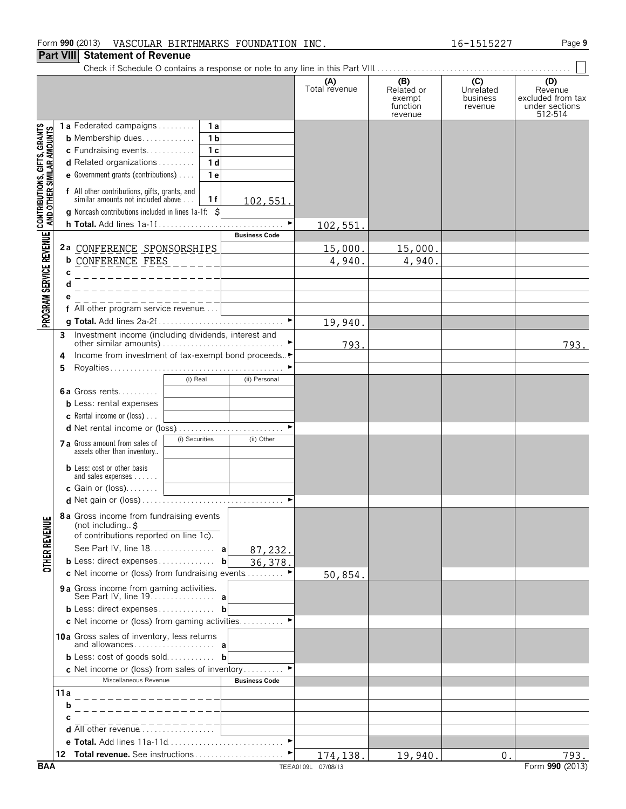### **Part VIII Statement of Revenue**

|                                                                                                               |                                                                                                                                                                                                                | (A)<br>Total revenue       | (B)<br>Related or<br>exempt<br>function<br>revenue | (C)<br>Unrelated<br>business<br>revenue | (D)<br>Revenue<br>excluded from tax<br>under sections<br>512-514 |
|---------------------------------------------------------------------------------------------------------------|----------------------------------------------------------------------------------------------------------------------------------------------------------------------------------------------------------------|----------------------------|----------------------------------------------------|-----------------------------------------|------------------------------------------------------------------|
| PROGRAM SERVICE REVENUE   CONTRIBUTIONS, GIFTS, GRANTS<br>PROGRAM SERVICE REVENUE   AND OTHER SIMILAR AMOUNTS | 1a Federated campaigns<br>1a<br>1 <sub>b</sub><br><b>b</b> Membership dues<br>c Fundraising events<br>1 <sub>c</sub><br>d Related organizations<br>1 <sub>d</sub><br>e Government grants (contributions)<br>1e |                            |                                                    |                                         |                                                                  |
|                                                                                                               | f All other contributions, gifts, grants, and<br>similar amounts not included above<br>1f<br>102,551.<br><b>q</b> Noncash contributions included in lines 1a-1f: \$<br>$\blacktriangleright$                   |                            |                                                    |                                         |                                                                  |
|                                                                                                               | <b>Business Code</b><br>2a CONFERENCE SPONSORSHIPS                                                                                                                                                             | <u>102,551.</u><br>15,000. | 15,000.                                            |                                         |                                                                  |
|                                                                                                               | <b>b</b> CONFERENCE FEES<br>$\frac{1}{2}$ = $\frac{1}{2}$ = $\frac{1}{2}$<br>C                                                                                                                                 | 4,940.                     | 4,940.                                             |                                         |                                                                  |
|                                                                                                               | е<br>f All other program service revenue                                                                                                                                                                       |                            |                                                    |                                         |                                                                  |
|                                                                                                               | $\blacktriangleright$                                                                                                                                                                                          | 19,940.                    |                                                    |                                         |                                                                  |
|                                                                                                               | 3<br>Income from investment of tax-exempt bond proceeds<br>4<br>5                                                                                                                                              | 793.                       |                                                    |                                         | 793.                                                             |
|                                                                                                               | (i) Real<br>(ii) Personal<br>6a Gross rents<br><b>b</b> Less: rental expenses<br><b>c</b> Rental income or (loss) $\ldots$                                                                                     |                            |                                                    |                                         |                                                                  |
|                                                                                                               | (ii) Other<br>(i) Securities<br>7 a Gross amount from sales of<br>assets other than inventory                                                                                                                  |                            |                                                    |                                         |                                                                  |
|                                                                                                               | <b>b</b> Less: cost or other basis<br>and sales expenses<br>c Gain or (loss)                                                                                                                                   |                            |                                                    |                                         |                                                                  |
| <b>OTHER REVENU</b>                                                                                           | 8a Gross income from fundraising events<br>(not including\$<br>of contributions reported on line 1c).<br>See Part IV, line 18. a<br>87,232.                                                                    |                            |                                                    |                                         |                                                                  |
|                                                                                                               | <b>b</b> Less: direct expenses <b>b</b><br>36,378.<br>c Net income or (loss) from fundraising events                                                                                                           | 50,854.                    |                                                    |                                         |                                                                  |
|                                                                                                               | 9a Gross income from gaming activities.                                                                                                                                                                        |                            |                                                    |                                         |                                                                  |
|                                                                                                               | <b>b</b> Less: direct expenses <b>b</b><br>c Net income or (loss) from gaming activities                                                                                                                       |                            |                                                    |                                         |                                                                  |
|                                                                                                               | 10a Gross sales of inventory, less returns<br><b>b</b> Less: cost of goods sold <b>b</b>                                                                                                                       |                            |                                                    |                                         |                                                                  |
|                                                                                                               | c Net income or (loss) from sales of inventory<br>Miscellaneous Revenue<br><b>Business Code</b>                                                                                                                |                            |                                                    |                                         |                                                                  |
|                                                                                                               | 11 a<br>_ _ _ _ _ _ _ _ _ _ _ _ _ _<br>b                                                                                                                                                                       |                            |                                                    |                                         |                                                                  |
|                                                                                                               | d All other revenue<br>$\blacktriangleright$                                                                                                                                                                   |                            |                                                    |                                         |                                                                  |
|                                                                                                               |                                                                                                                                                                                                                | 174,138.                   | 19,940.                                            | 0.                                      | 793.                                                             |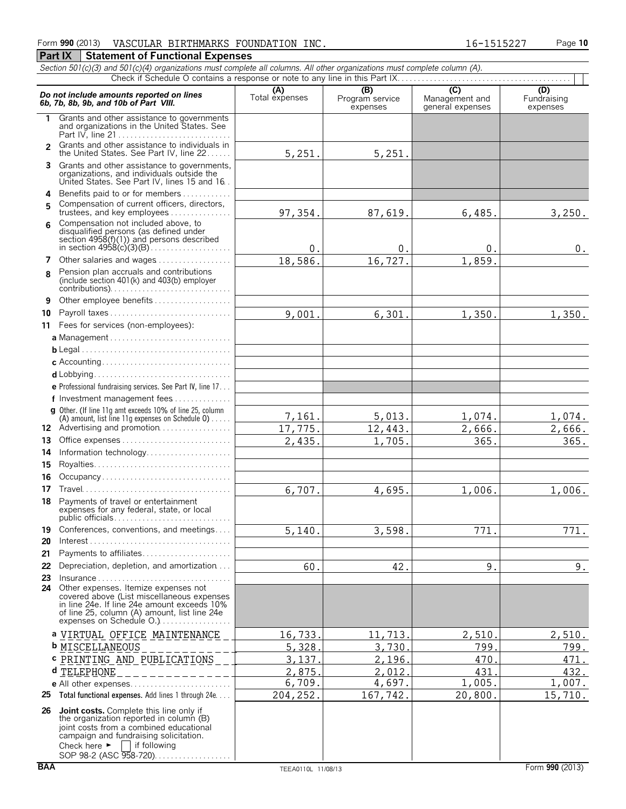#### Form **990** (2013) Page **10** VASCULAR BIRTHMARKS FOUNDATION INC. 16-1515227

## **Part IX** Statement of Functional Expenses

*Section 501(c)(3) and 501(c)(4) organizations must complete all columns. All other organizations must complete column (A).*

|                | Do not include amounts reported on lines<br>6b, 7b, 8b, 9b, and 10b of Part VIII.                                                                                                                                                                            | (A)<br>Total expenses | (B)<br>Program service<br>expenses | $\overline{C}$<br>Management and<br>general expenses | (D)<br>Fundraising<br>expenses |
|----------------|--------------------------------------------------------------------------------------------------------------------------------------------------------------------------------------------------------------------------------------------------------------|-----------------------|------------------------------------|------------------------------------------------------|--------------------------------|
| 1              | Grants and other assistance to governments<br>and organizations in the United States. See                                                                                                                                                                    |                       |                                    |                                                      |                                |
| $\mathfrak{p}$ | Grants and other assistance to individuals in<br>the United States. See Part IV, line 22                                                                                                                                                                     | 5,251.                | 5,251.                             |                                                      |                                |
| 3              | Grants and other assistance to governments,<br>organizations, and individuals outside the<br>United States. See Part IV, lines 15 and 16.                                                                                                                    |                       |                                    |                                                      |                                |
| 4              | Benefits paid to or for members                                                                                                                                                                                                                              |                       |                                    |                                                      |                                |
| 5              | Compensation of current officers, directors,<br>trustees, and key employees                                                                                                                                                                                  | 97,354.               | 87,619.                            | 6,485.                                               | 3,250.                         |
| 6              | Compensation not included above, to<br>disqualified persons (as defined under<br>section $4958(f)(1)$ and persons described                                                                                                                                  | 0 <sub>1</sub>        | 0                                  | 0.                                                   | 0.                             |
| 7              | Other salaries and wages                                                                                                                                                                                                                                     | 18,586.               | 16,727.                            | 1,859.                                               |                                |
| 8              | Pension plan accruals and contributions<br>(include section 401(k) and 403(b) employer                                                                                                                                                                       |                       |                                    |                                                      |                                |
| 9              | Other employee benefits                                                                                                                                                                                                                                      |                       |                                    |                                                      |                                |
| 10             | Payroll taxes                                                                                                                                                                                                                                                | 9,001.                | 6,301.                             | 1,350.                                               | 1,350.                         |
| 11             | Fees for services (non-employees):                                                                                                                                                                                                                           |                       |                                    |                                                      |                                |
|                | a Management                                                                                                                                                                                                                                                 |                       |                                    |                                                      |                                |
|                |                                                                                                                                                                                                                                                              |                       |                                    |                                                      |                                |
|                |                                                                                                                                                                                                                                                              |                       |                                    |                                                      |                                |
|                |                                                                                                                                                                                                                                                              |                       |                                    |                                                      |                                |
|                | e Professional fundraising services. See Part IV, line 17                                                                                                                                                                                                    |                       |                                    |                                                      |                                |
|                | f Investment management fees                                                                                                                                                                                                                                 |                       |                                    |                                                      |                                |
|                | <b>g</b> Other. (If line 11g amt exceeds 10% of line 25, column                                                                                                                                                                                              | 7,161.                | 5,013.                             | 1,074.                                               | 1,074.                         |
|                | (A) amount, list line 11g expenses on Schedule $0$ )<br>12 Advertising and promotion                                                                                                                                                                         | 17,775.               | 12,443.                            | 2,666.                                               | 2,666.                         |
| 13             |                                                                                                                                                                                                                                                              | 2,435.                | 1,705.                             | 365.                                                 | 365.                           |
| 14             | Information technology                                                                                                                                                                                                                                       |                       |                                    |                                                      |                                |
| 15             |                                                                                                                                                                                                                                                              |                       |                                    |                                                      |                                |
| 16             | Occupancy                                                                                                                                                                                                                                                    |                       |                                    |                                                      |                                |
| 17             |                                                                                                                                                                                                                                                              | 6,707.                | 4,695.                             | 1,006.                                               | 1,006.                         |
| 18             | Payments of travel or entertainment<br>expenses for any federal, state, or local<br>public officials.                                                                                                                                                        |                       |                                    |                                                      |                                |
|                | 19 Conferences, conventions, and meetings                                                                                                                                                                                                                    | 5,140                 | 3,598                              | 771                                                  | 771                            |
| 20             |                                                                                                                                                                                                                                                              |                       |                                    |                                                      |                                |
| 21             | Payments to affiliates                                                                                                                                                                                                                                       |                       |                                    |                                                      |                                |
| 22<br>23       | Depreciation, depletion, and amortization<br>$Insurance \ldots \ldots \ldots \ldots \ldots \ldots \ldots \ldots \ldots$                                                                                                                                      | 60.                   | 42.                                | 9.                                                   | 9.                             |
|                | 24 Other expenses. Itemize expenses not<br>covered above (List miscellaneous expenses<br>in line 24e. If line 24e amount exceeds 10%<br>of line 25, column (A) amount, list line 24e<br>expenses on Schedule O.)                                             |                       |                                    |                                                      |                                |
|                | a VIRTUAL OFFICE MAINTENANCE                                                                                                                                                                                                                                 | 16,733.               | 11,713                             | 2,510                                                | 2,510.                         |
|                | <b>b</b> MISCELLANEOUS                                                                                                                                                                                                                                       | 5,328                 | 3,730                              | 799                                                  | 799.                           |
|                | <b>c</b> PRINTING AND PUBLICATIONS                                                                                                                                                                                                                           | 3,137                 | 2,196                              | 470                                                  | 471.                           |
|                | d TELEPHONE<br>_ _ _ _ _ _ _ _ _ _ _ .                                                                                                                                                                                                                       | 2,875                 | 2,012                              | 431                                                  | 432.                           |
|                |                                                                                                                                                                                                                                                              | 6,709.                | 4,697.                             | 1,005.                                               | 1,007.                         |
|                | 25 Total functional expenses. Add lines 1 through 24e                                                                                                                                                                                                        | 204, 252.             | 167,742.                           | 20,800.                                              | 15,710.                        |
|                | 26 Joint costs. Complete this line only if<br>the organization reported in column (B)<br>joint costs from a combined educational<br>campaign and fundraising solicitation.<br>    if following<br>Check here $\blacktriangleright$<br>SOP 98-2 (ASC 958-720) |                       |                                    |                                                      |                                |
| <b>BAA</b>     |                                                                                                                                                                                                                                                              | TEEA0110L 11/08/13    |                                    |                                                      | Form 990 (2013)                |

 $\mathbf{\tau}$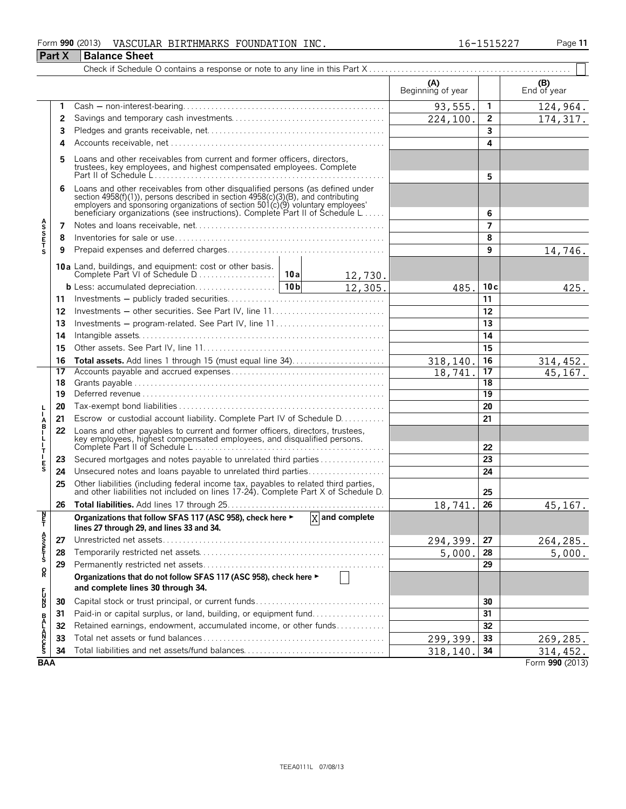#### Form **990** (2013) Page **11** VASCULAR BIRTHMARKS FOUNDATION INC. 16-1515227

|                                 | Part X | <b>Balance Sheet</b>                                                                                                                                                                                                                                                                                                 |          |                    |                          |                 |                        |
|---------------------------------|--------|----------------------------------------------------------------------------------------------------------------------------------------------------------------------------------------------------------------------------------------------------------------------------------------------------------------------|----------|--------------------|--------------------------|-----------------|------------------------|
|                                 |        |                                                                                                                                                                                                                                                                                                                      |          |                    |                          |                 |                        |
|                                 |        |                                                                                                                                                                                                                                                                                                                      |          |                    | (A)<br>Beginning of year |                 | $( B )$<br>End of year |
|                                 | 1      |                                                                                                                                                                                                                                                                                                                      |          |                    | 93,555.                  | 1.              | 124,964.               |
|                                 | 2      |                                                                                                                                                                                                                                                                                                                      | 224,100. | $\mathbf{2}$       | 174,317.                 |                 |                        |
|                                 | 3      |                                                                                                                                                                                                                                                                                                                      |          |                    |                          | 3               |                        |
|                                 | 4      |                                                                                                                                                                                                                                                                                                                      |          | 4                  |                          |                 |                        |
|                                 | 5      | Loans and other receivables from current and former officers, directors, trustees, key employees, and highest compensated employees. Complete                                                                                                                                                                        |          |                    |                          | 5               |                        |
|                                 | 6      | Loans and other receivables from other disqualified persons (as defined under<br>section 4958(f)(1)), persons described in section 4958(c)(3)(B), and contributing<br>employers and sponsoring organizations of section 501(c)(9) voluntary employees<br>beneficiary organizations (see instructions). Complete Part |          | 6                  |                          |                 |                        |
|                                 | 7      |                                                                                                                                                                                                                                                                                                                      |          |                    |                          | $\overline{ }$  |                        |
| <b>ASSETS</b>                   | 8      |                                                                                                                                                                                                                                                                                                                      |          |                    |                          | 8               |                        |
|                                 | 9      |                                                                                                                                                                                                                                                                                                                      |          |                    |                          | 9               | 14,746.                |
|                                 |        |                                                                                                                                                                                                                                                                                                                      |          | 12,730.            |                          |                 |                        |
|                                 |        |                                                                                                                                                                                                                                                                                                                      |          | 12,305.            | 485.                     | 10c             | 425.                   |
|                                 | 11     |                                                                                                                                                                                                                                                                                                                      |          |                    |                          | 11              |                        |
|                                 | 12     |                                                                                                                                                                                                                                                                                                                      |          |                    |                          | 12              |                        |
|                                 | 13     | Investments – program-related. See Part IV, line 11                                                                                                                                                                                                                                                                  |          |                    |                          | 13              |                        |
|                                 | 14     |                                                                                                                                                                                                                                                                                                                      |          | 14                 |                          |                 |                        |
|                                 | 15     |                                                                                                                                                                                                                                                                                                                      |          |                    |                          | 15              |                        |
|                                 | 16     | Total assets. Add lines 1 through 15 (must equal line 34)                                                                                                                                                                                                                                                            |          |                    | 318,140.                 | 16              | 314,452.               |
|                                 | 17     |                                                                                                                                                                                                                                                                                                                      |          |                    | 18,741                   | 17              | 45,167.                |
|                                 | 18     |                                                                                                                                                                                                                                                                                                                      |          |                    |                          | 18              |                        |
|                                 | 19     |                                                                                                                                                                                                                                                                                                                      |          |                    |                          | $\overline{19}$ |                        |
|                                 | 20     | Escrow or custodial account liability. Complete Part IV of Schedule D.                                                                                                                                                                                                                                               |          |                    |                          | 20<br>21        |                        |
| A<br>B<br>I                     | 21     | Loans and other payables to current and former officers, directors, trustees,                                                                                                                                                                                                                                        |          |                    |                          |                 |                        |
| 」<br>「T                         | 22     | key employees, highest compensated employees, and disqualified persons.                                                                                                                                                                                                                                              |          |                    | 22                       |                 |                        |
|                                 | 23     | Secured mortgages and notes payable to unrelated third parties                                                                                                                                                                                                                                                       |          |                    |                          | 23              |                        |
| $\frac{\mathsf{E}}{\mathsf{S}}$ | 24     | Unsecured notes and loans payable to unrelated third parties                                                                                                                                                                                                                                                         |          |                    |                          | 24              |                        |
|                                 | 25     | Other liabilities (including federal income tax, payables to related third parties, and other liabilities not included on lines 17-24). Complete Part X of Schedule D.                                                                                                                                               |          |                    |                          | 25              |                        |
|                                 |        |                                                                                                                                                                                                                                                                                                                      |          |                    | 18.741                   | 26              | 45,167.                |
| $\frac{N}{T}$                   |        | Organizations that follow SFAS 117 (ASC 958), check here ►<br>lines 27 through 29, and lines 33 and 34.                                                                                                                                                                                                              |          | $ X $ and complete |                          |                 |                        |
| ASSON                           | 27     |                                                                                                                                                                                                                                                                                                                      |          |                    | 294,399.                 | 27              | 264,285.               |
|                                 | 28     |                                                                                                                                                                                                                                                                                                                      |          |                    | 5,000.                   | 28              | 5,000.                 |
|                                 | 29     |                                                                                                                                                                                                                                                                                                                      |          |                    |                          | 29              |                        |
| R                               |        | Organizations that do not follow SFAS 117 (ASC 958), check here ►<br>and complete lines 30 through 34.                                                                                                                                                                                                               |          |                    |                          |                 |                        |
| r<br>D                          | 30     |                                                                                                                                                                                                                                                                                                                      |          |                    |                          | 30              |                        |
|                                 | 31     | Paid-in or capital surplus, or land, building, or equipment fund                                                                                                                                                                                                                                                     |          |                    |                          | 31              |                        |
|                                 | 32     | Retained earnings, endowment, accumulated income, or other funds                                                                                                                                                                                                                                                     |          |                    |                          | 32              |                        |
| <b>BALANCES</b>                 | 33     |                                                                                                                                                                                                                                                                                                                      |          |                    | 299,399.                 | 33              | 269,285.               |
|                                 | 34     | Total liabilities and net assets/fund balances                                                                                                                                                                                                                                                                       |          |                    | 318,140                  | 34              | 314,452.               |
| <b>BAA</b>                      |        |                                                                                                                                                                                                                                                                                                                      |          |                    |                          |                 | Form 990 (2013)        |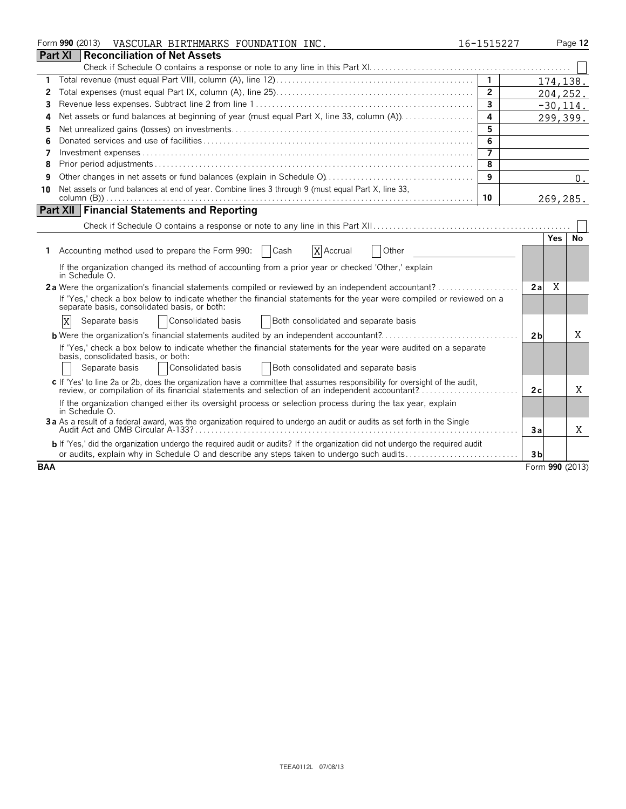|                | Form 990 (2013)<br>VASCULAR BIRTHMARKS FOUNDATION INC.                                                                                                                                                                        | 16-1515227              |                |     | Page 12         |
|----------------|-------------------------------------------------------------------------------------------------------------------------------------------------------------------------------------------------------------------------------|-------------------------|----------------|-----|-----------------|
| <b>Part XI</b> | Reconciliation of Net Assets                                                                                                                                                                                                  |                         |                |     |                 |
|                |                                                                                                                                                                                                                               |                         |                |     |                 |
| 1              |                                                                                                                                                                                                                               | $\mathbf{1}$            |                |     | 174,138.        |
| 2              |                                                                                                                                                                                                                               | $\overline{2}$          |                |     | 204,252.        |
| 3              |                                                                                                                                                                                                                               | $\overline{3}$          |                |     | $-30, 114.$     |
| 4              |                                                                                                                                                                                                                               | $\overline{\mathbf{4}}$ |                |     | 299,399.        |
| 5              |                                                                                                                                                                                                                               | 5                       |                |     |                 |
| 6              |                                                                                                                                                                                                                               | 6                       |                |     |                 |
| 7              |                                                                                                                                                                                                                               | $\overline{7}$          |                |     |                 |
| 8              |                                                                                                                                                                                                                               | 8                       |                |     |                 |
| 9              |                                                                                                                                                                                                                               | 9                       |                |     | 0.              |
| 10             | Net assets or fund balances at end of year. Combine lines 3 through 9 (must equal Part X, line 33,                                                                                                                            |                         |                |     |                 |
|                |                                                                                                                                                                                                                               | 10                      |                |     | 269,285.        |
|                | <b>Part XII Financial Statements and Reporting</b>                                                                                                                                                                            |                         |                |     |                 |
|                |                                                                                                                                                                                                                               |                         |                |     |                 |
|                |                                                                                                                                                                                                                               |                         |                | Yes | No              |
|                | X Accrual<br>1 Accounting method used to prepare the Form 990:<br>  Cash<br>Other                                                                                                                                             |                         |                |     |                 |
|                | If the organization changed its method of accounting from a prior year or checked 'Other,' explain<br>in Schedule O.                                                                                                          |                         |                |     |                 |
|                | 2a Were the organization's financial statements compiled or reviewed by an independent accountant?                                                                                                                            |                         | 2a             | X   |                 |
|                | If 'Yes,' check a box below to indicate whether the financial statements for the year were compiled or reviewed on a<br>separate basis, consolidated basis, or both:                                                          |                         |                |     |                 |
|                | Consolidated basis<br>Both consolidated and separate basis<br>X<br>Separate basis                                                                                                                                             |                         |                |     |                 |
|                |                                                                                                                                                                                                                               |                         | 2 <sub>b</sub> |     | Χ               |
|                | If 'Yes,' check a box below to indicate whether the financial statements for the year were audited on a separate                                                                                                              |                         |                |     |                 |
|                | basis, consolidated basis, or both:                                                                                                                                                                                           |                         |                |     |                 |
|                | Consolidated basis<br>Both consolidated and separate basis<br>Separate basis                                                                                                                                                  |                         |                |     |                 |
|                | c If 'Yes' to line 2a or 2b, does the organization have a committee that assumes responsibility for oversight of the audit,<br>review, or compilation of its financial statements and selection of an independent accountant? |                         | 2c             |     | X               |
|                | If the organization changed either its oversight process or selection process during the tax year, explain<br>in Schedule O.                                                                                                  |                         |                |     |                 |
|                | 3a As a result of a federal award, was the organization required to undergo an audit or audits as set forth in the Single                                                                                                     |                         | 3a             |     | X               |
|                | <b>b</b> If 'Yes,' did the organization undergo the required audit or audits? If the organization did not undergo the required audit                                                                                          |                         |                |     |                 |
|                | or audits, explain why in Schedule O and describe any steps taken to undergo such audits                                                                                                                                      |                         | 3b             |     |                 |
| <b>BAA</b>     |                                                                                                                                                                                                                               |                         |                |     | Form 990 (2013) |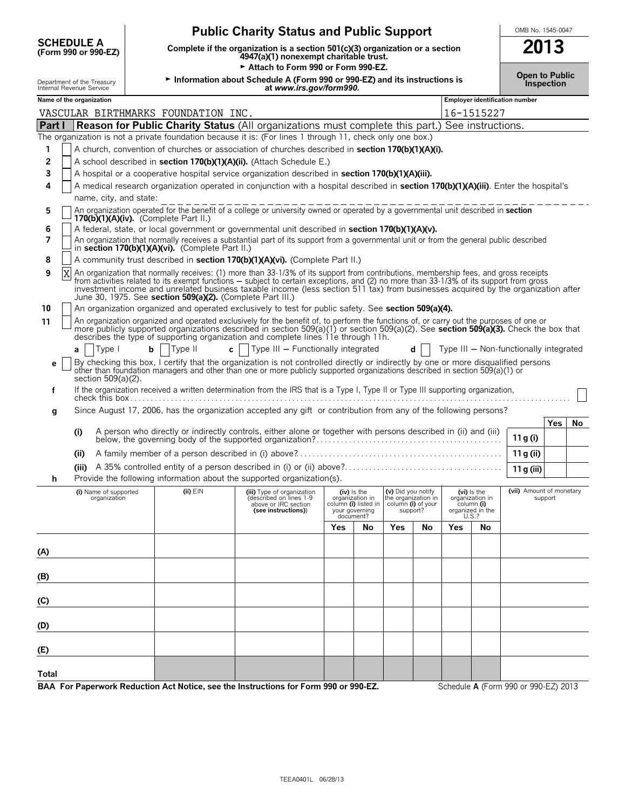| <b>SCHEDULE A</b><br>2013<br>Complete if the organization is a section 501(c)(3) organization or a section<br>(Form 990 or 990-EZ)<br>4947(a)(1) nonexempt charitable trust.<br>Attach to Form 990 or Form 990-EZ.<br><b>Open to Public</b><br>Information about Schedule A (Form 990 or 990-EZ) and its instructions is<br>Department of the Treasury<br>Internal Revenue Service<br>Inspection<br>at www.irs.gov/form990.<br>Employer identification number<br>Name of the organization<br>VASCULAR BIRTHMARKS FOUNDATION INC.<br>16-1515227<br><b>Reason for Public Charity Status (All organizations must complete this part.) See instructions.</b><br>Part I<br>The organization is not a private foundation because it is: (For lines 1 through 11, check only one box.)<br>1<br>A church, convention of churches or association of churches described in section 170(b)(1)(A)(i).<br>2<br>A school described in section 170(b)(1)(A)(ii). (Attach Schedule E.)<br>3<br>A hospital or a cooperative hospital service organization described in section 170(b)(1)(A)(iii).<br>A medical research organization operated in conjunction with a hospital described in section 170(b)(1)(A)(iii). Enter the hospital's<br>4<br>name, city, and state: |
|---------------------------------------------------------------------------------------------------------------------------------------------------------------------------------------------------------------------------------------------------------------------------------------------------------------------------------------------------------------------------------------------------------------------------------------------------------------------------------------------------------------------------------------------------------------------------------------------------------------------------------------------------------------------------------------------------------------------------------------------------------------------------------------------------------------------------------------------------------------------------------------------------------------------------------------------------------------------------------------------------------------------------------------------------------------------------------------------------------------------------------------------------------------------------------------------------------------------------------------------------------|
|                                                                                                                                                                                                                                                                                                                                                                                                                                                                                                                                                                                                                                                                                                                                                                                                                                                                                                                                                                                                                                                                                                                                                                                                                                                         |
|                                                                                                                                                                                                                                                                                                                                                                                                                                                                                                                                                                                                                                                                                                                                                                                                                                                                                                                                                                                                                                                                                                                                                                                                                                                         |
|                                                                                                                                                                                                                                                                                                                                                                                                                                                                                                                                                                                                                                                                                                                                                                                                                                                                                                                                                                                                                                                                                                                                                                                                                                                         |
|                                                                                                                                                                                                                                                                                                                                                                                                                                                                                                                                                                                                                                                                                                                                                                                                                                                                                                                                                                                                                                                                                                                                                                                                                                                         |
|                                                                                                                                                                                                                                                                                                                                                                                                                                                                                                                                                                                                                                                                                                                                                                                                                                                                                                                                                                                                                                                                                                                                                                                                                                                         |
|                                                                                                                                                                                                                                                                                                                                                                                                                                                                                                                                                                                                                                                                                                                                                                                                                                                                                                                                                                                                                                                                                                                                                                                                                                                         |
|                                                                                                                                                                                                                                                                                                                                                                                                                                                                                                                                                                                                                                                                                                                                                                                                                                                                                                                                                                                                                                                                                                                                                                                                                                                         |
|                                                                                                                                                                                                                                                                                                                                                                                                                                                                                                                                                                                                                                                                                                                                                                                                                                                                                                                                                                                                                                                                                                                                                                                                                                                         |
|                                                                                                                                                                                                                                                                                                                                                                                                                                                                                                                                                                                                                                                                                                                                                                                                                                                                                                                                                                                                                                                                                                                                                                                                                                                         |
|                                                                                                                                                                                                                                                                                                                                                                                                                                                                                                                                                                                                                                                                                                                                                                                                                                                                                                                                                                                                                                                                                                                                                                                                                                                         |
|                                                                                                                                                                                                                                                                                                                                                                                                                                                                                                                                                                                                                                                                                                                                                                                                                                                                                                                                                                                                                                                                                                                                                                                                                                                         |
| An organization operated for the benefit of a college or university owned or operated by a governmental unit described in section<br>5                                                                                                                                                                                                                                                                                                                                                                                                                                                                                                                                                                                                                                                                                                                                                                                                                                                                                                                                                                                                                                                                                                                  |
| $170(b)(1)(A)(iv)$ . (Complete Part II.)<br>A federal, state, or local government or governmental unit described in section 170(b)(1)(A)(v).<br>6                                                                                                                                                                                                                                                                                                                                                                                                                                                                                                                                                                                                                                                                                                                                                                                                                                                                                                                                                                                                                                                                                                       |
| An organization that normally receives a substantial part of its support from a governmental unit or from the general public described<br>7<br>in section 170(b)(1)(A)(vi). (Complete Part II.)                                                                                                                                                                                                                                                                                                                                                                                                                                                                                                                                                                                                                                                                                                                                                                                                                                                                                                                                                                                                                                                         |
| A community trust described in section 170(b)(1)(A)(vi). (Complete Part II.)<br>8                                                                                                                                                                                                                                                                                                                                                                                                                                                                                                                                                                                                                                                                                                                                                                                                                                                                                                                                                                                                                                                                                                                                                                       |
| An organization that normally receives: (1) more than 33-1/3% of its support from contributions, membership fees, and gross receipts from activities related to its exempt functions – subject to certain exceptions, and (2)<br>9<br>investment income and unrelated business taxable income (less section 511 tax) from businesses acquired by the organization after<br>June 30, 1975. See section 509(a)(2). (Complete Part III.)                                                                                                                                                                                                                                                                                                                                                                                                                                                                                                                                                                                                                                                                                                                                                                                                                   |
| 10<br>An organization organized and operated exclusively to test for public safety. See section 509(a)(4).                                                                                                                                                                                                                                                                                                                                                                                                                                                                                                                                                                                                                                                                                                                                                                                                                                                                                                                                                                                                                                                                                                                                              |
| An organization organized and operated exclusively for the benefit of, to perform the functions of, or carry out the purposes of one or<br>11<br>more publicly supported organizations described in section 509(a)(1) or section 509(a)(2). See section 509(a)(3). Check the box that<br>describes the type of supporting organization and complete lines 11e through 11h.                                                                                                                                                                                                                                                                                                                                                                                                                                                                                                                                                                                                                                                                                                                                                                                                                                                                              |
| Type II<br>c   $ $ Type III – Functionally integrated<br> Type <br>b <sub>1</sub><br>Type III - Non-functionally integrated<br>d<br>a                                                                                                                                                                                                                                                                                                                                                                                                                                                                                                                                                                                                                                                                                                                                                                                                                                                                                                                                                                                                                                                                                                                   |
| By checking this box, I certify that the organization is not controlled directly or indirectly by one or more disqualified persons<br>е<br>other than foundation managers and other than one or more publicly supported organizations described in section 509(a)(1) or<br>section 509(a)(2).                                                                                                                                                                                                                                                                                                                                                                                                                                                                                                                                                                                                                                                                                                                                                                                                                                                                                                                                                           |
| If the organization received a written determination from the IRS that is a Type I, Type II or Type III supporting organization,<br>f                                                                                                                                                                                                                                                                                                                                                                                                                                                                                                                                                                                                                                                                                                                                                                                                                                                                                                                                                                                                                                                                                                                   |
| Since August 17, 2006, has the organization accepted any gift or contribution from any of the following persons?<br>g                                                                                                                                                                                                                                                                                                                                                                                                                                                                                                                                                                                                                                                                                                                                                                                                                                                                                                                                                                                                                                                                                                                                   |
| Yes<br>(i)<br>11 g (i)                                                                                                                                                                                                                                                                                                                                                                                                                                                                                                                                                                                                                                                                                                                                                                                                                                                                                                                                                                                                                                                                                                                                                                                                                                  |
| 11 g (ii)<br>(i)                                                                                                                                                                                                                                                                                                                                                                                                                                                                                                                                                                                                                                                                                                                                                                                                                                                                                                                                                                                                                                                                                                                                                                                                                                        |
| (iii)<br>11 g (iii)                                                                                                                                                                                                                                                                                                                                                                                                                                                                                                                                                                                                                                                                                                                                                                                                                                                                                                                                                                                                                                                                                                                                                                                                                                     |
| Provide the following information about the supported organization(s).                                                                                                                                                                                                                                                                                                                                                                                                                                                                                                                                                                                                                                                                                                                                                                                                                                                                                                                                                                                                                                                                                                                                                                                  |
| (vii) Amount of monetary<br>$(ii)$ $EIN$<br>(i) Name of supported<br>(iv) is the<br>(v) Did you notify<br>$(vi)$ is the<br>(iii) Type of organization<br>organization in<br>the organization in<br>organization<br>(described on lines 1-9<br>organization in<br>support<br>above or IRC section<br>column (i) listed in<br>column (i) of your<br>column (i)<br>organized in the<br>your governing<br>support?<br>(see instructions))<br>U.S.?<br>document?                                                                                                                                                                                                                                                                                                                                                                                                                                                                                                                                                                                                                                                                                                                                                                                             |
| No<br>Yes<br>No<br>Yes<br>Yes<br>No                                                                                                                                                                                                                                                                                                                                                                                                                                                                                                                                                                                                                                                                                                                                                                                                                                                                                                                                                                                                                                                                                                                                                                                                                     |
|                                                                                                                                                                                                                                                                                                                                                                                                                                                                                                                                                                                                                                                                                                                                                                                                                                                                                                                                                                                                                                                                                                                                                                                                                                                         |
| (A)                                                                                                                                                                                                                                                                                                                                                                                                                                                                                                                                                                                                                                                                                                                                                                                                                                                                                                                                                                                                                                                                                                                                                                                                                                                     |
| (B)                                                                                                                                                                                                                                                                                                                                                                                                                                                                                                                                                                                                                                                                                                                                                                                                                                                                                                                                                                                                                                                                                                                                                                                                                                                     |
| (C)                                                                                                                                                                                                                                                                                                                                                                                                                                                                                                                                                                                                                                                                                                                                                                                                                                                                                                                                                                                                                                                                                                                                                                                                                                                     |
| (D)                                                                                                                                                                                                                                                                                                                                                                                                                                                                                                                                                                                                                                                                                                                                                                                                                                                                                                                                                                                                                                                                                                                                                                                                                                                     |
| (E)                                                                                                                                                                                                                                                                                                                                                                                                                                                                                                                                                                                                                                                                                                                                                                                                                                                                                                                                                                                                                                                                                                                                                                                                                                                     |
| Total<br>BAA For Paperwork Reduction Act Notice, see the Instructions for Form 990 or 990-EZ.<br>Schedule A (Form 990 or 990-EZ) 2013                                                                                                                                                                                                                                                                                                                                                                                                                                                                                                                                                                                                                                                                                                                                                                                                                                                                                                                                                                                                                                                                                                                   |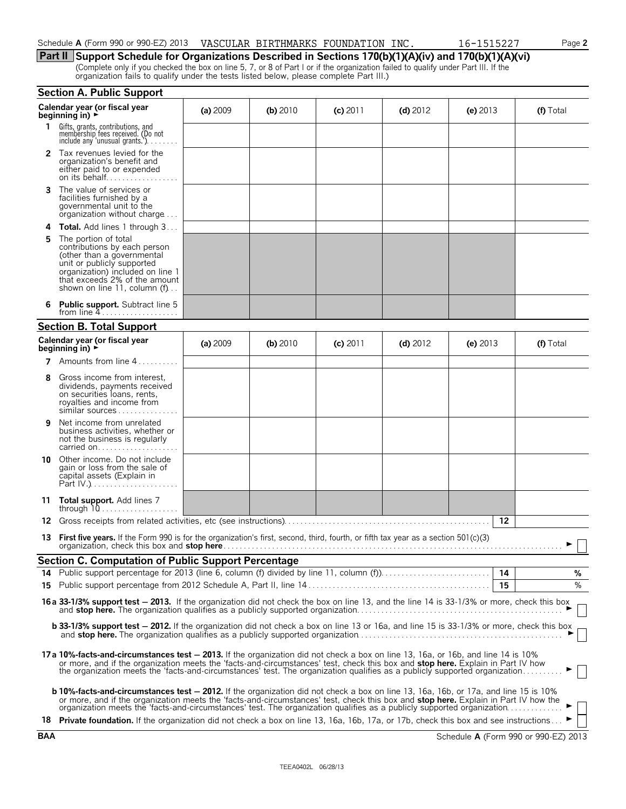| Schedule A (Form 990 or 990-EZ) 2013 | VASCULAR BIRTHMARKS FOUNDATION I | `INC. | <b>FOOT</b><br>151522<br>$-6 -$ | Page 2 |
|--------------------------------------|----------------------------------|-------|---------------------------------|--------|
|                                      |                                  |       |                                 |        |

## **Part II Support Schedule for Organizations Described in Sections 170(b)(1)(A)(iv) and 170(b)(1)(A)(vi)**

(Complete only if you checked the box on line 5, 7, or 8 of Part I or if the organization failed to qualify under Part III. If the organization fails to qualify under the tests listed below, please complete Part III.)

|    | <b>Section A. Public Support</b>                                                                                                                                                                                                                                                                                                                                                                             |          |            |            |            |            |           |
|----|--------------------------------------------------------------------------------------------------------------------------------------------------------------------------------------------------------------------------------------------------------------------------------------------------------------------------------------------------------------------------------------------------------------|----------|------------|------------|------------|------------|-----------|
|    | Calendar year (or fiscal year<br>beginning in) $\rightarrow$                                                                                                                                                                                                                                                                                                                                                 | (a) 2009 | (b) $2010$ | $(c)$ 2011 | (d) $2012$ | (e) $2013$ | (f) Total |
| 1. | Gifts, grants, contributions, and<br>membership fees received. (Do not<br>include any 'unusual grants.')                                                                                                                                                                                                                                                                                                     |          |            |            |            |            |           |
|    | <b>2</b> Tax revenues levied for the<br>organization's benefit and<br>either paid to or expended<br>on its behalf                                                                                                                                                                                                                                                                                            |          |            |            |            |            |           |
| 3  | The value of services or<br>facilities furnished by a<br>governmental unit to the<br>organization without charge                                                                                                                                                                                                                                                                                             |          |            |            |            |            |           |
| 4  | <b>Total.</b> Add lines 1 through 3                                                                                                                                                                                                                                                                                                                                                                          |          |            |            |            |            |           |
| 5  | The portion of total<br>contributions by each person<br>(other than a governmental<br>unit or publicly supported<br>organization) included on line 1<br>that exceeds 2% of the amount<br>shown on line 11, column $(f)$                                                                                                                                                                                      |          |            |            |            |            |           |
|    | <b>Public support.</b> Subtract line 5<br>from line $4$                                                                                                                                                                                                                                                                                                                                                      |          |            |            |            |            |           |
|    | <b>Section B. Total Support</b>                                                                                                                                                                                                                                                                                                                                                                              |          |            |            |            |            |           |
|    | Calendar year (or fiscal year<br>beginning in) $\rightarrow$                                                                                                                                                                                                                                                                                                                                                 | (a) 2009 | (b) 2010   | $(c)$ 2011 | (d) $2012$ | (e) $2013$ | (f) Total |
| 7  | Amounts from line 4                                                                                                                                                                                                                                                                                                                                                                                          |          |            |            |            |            |           |
| 8  | Gross income from interest,<br>dividends, payments received<br>on securities loans, rents,<br>royalties and income from<br>similar sources                                                                                                                                                                                                                                                                   |          |            |            |            |            |           |
| 9  | Net income from unrelated<br>business activities, whether or<br>not the business is regularly<br>carried on                                                                                                                                                                                                                                                                                                  |          |            |            |            |            |           |
|    | <b>10</b> Other income. Do not include<br>gain or loss from the sale of<br>capital assets (Explain in                                                                                                                                                                                                                                                                                                        |          |            |            |            |            |           |
| 11 | <b>Total support.</b> Add lines 7                                                                                                                                                                                                                                                                                                                                                                            |          |            |            |            |            |           |
|    |                                                                                                                                                                                                                                                                                                                                                                                                              |          |            |            |            | 12         |           |
| 13 | <b>First five years.</b> If the Form 990 is for the organization's first, second, third, fourth, or fifth tax year as a section 501(c)(3)<br>organization, check this box and stop here.                                                                                                                                                                                                                     |          |            |            |            |            |           |
|    | Section C. Computation of Public Support Percentage                                                                                                                                                                                                                                                                                                                                                          |          |            |            |            |            |           |
|    |                                                                                                                                                                                                                                                                                                                                                                                                              |          |            |            |            | 14         | %         |
|    |                                                                                                                                                                                                                                                                                                                                                                                                              |          |            |            |            | 15         | %         |
|    | 16a 33-1/3% support test - 2013. If the organization did not check the box on line 13, and the line 14 is 33-1/3% or more, check this box                                                                                                                                                                                                                                                                    |          |            |            |            |            |           |
|    | <b>b</b> 33-1/3% support test - 2012. If the organization did not check a box on line 13 or 16a, and line 15 is 33-1/3% or more, check this box                                                                                                                                                                                                                                                              |          |            |            |            |            |           |
|    | 17a 10%-facts-and-circumstances test - 2013. If the organization did not check a box on line 13, 16a, or 16b, and line 14 is 10%<br>or more, and if the organization meets the 'facts-and-circumstances' test, check this box and stop here. Explain in Part IV how<br>the organization meets the 'facts-and-circumstances' test. The organization qualifies as a publicly supported organization            |          |            |            |            |            |           |
|    | <b>b 10%-facts-and-circumstances test - 2012.</b> If the organization did not check a box on line 13, 16a, 16b, or 17a, and line 15 is 10%<br>or more, and if the organization meets the 'facts-and-circumstances' test, check this box and stop here. Explain in Part IV how the<br>organization meets the 'facts-and-circumstances' test. The organization qualifies as a publicly supported organization. |          |            |            |            |            |           |
|    | 18 Private foundation. If the organization did not check a box on line 13, 16a, 16b, 17a, or 17b, check this box and see instructions ►                                                                                                                                                                                                                                                                      |          |            |            |            |            |           |

**BAA** Schedule **A** (Form 990 or 990-EZ) 2013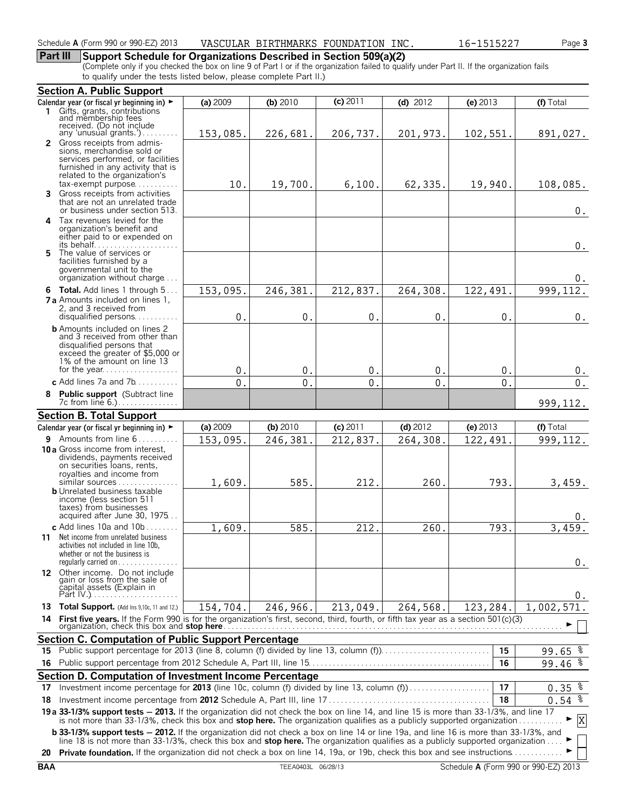## **Part III Support Schedule for Organizations Described in Section 509(a)(2)**

(Complete only if you checked the box on line 9 of Part I or if the organization failed to qualify under Part II. If the organization fails to qualify under the tests listed below, please complete Part II.)

|     | <b>Section A. Public Support</b>                                                                                                                                                                                                                                                |               |                |                |               |                |                      |
|-----|---------------------------------------------------------------------------------------------------------------------------------------------------------------------------------------------------------------------------------------------------------------------------------|---------------|----------------|----------------|---------------|----------------|----------------------|
|     | Calendar year (or fiscal yr beginning in) $\blacktriangleright$                                                                                                                                                                                                                 | (a) 2009      | (b) $2010$     | $(c)$ 2011     | (d) $2012$    | $(e)$ 2013     | (f) Total            |
|     | 1 Gifts, grants, contributions<br>and membership fees                                                                                                                                                                                                                           |               |                |                |               |                |                      |
|     | received. (Do not include                                                                                                                                                                                                                                                       |               |                |                |               |                |                      |
|     | any 'unusual grants.')<br>2 Gross receipts from admis-                                                                                                                                                                                                                          | 153,085.      | 226,681.       | 206,737.       | 201,973.      | 102,551.       | 891,027.             |
|     | sions, merchandise sold or                                                                                                                                                                                                                                                      |               |                |                |               |                |                      |
|     | services performed, or facilities                                                                                                                                                                                                                                               |               |                |                |               |                |                      |
|     | furnished in any activity that is<br>related to the organization's                                                                                                                                                                                                              |               |                |                |               |                |                      |
|     | $tax\text{-}exempt$ purpose                                                                                                                                                                                                                                                     | 10.           | 19,700.        | 6,100.         | 62,335.       | 19,940.        | 108,085.             |
|     | Gross receipts from activities                                                                                                                                                                                                                                                  |               |                |                |               |                |                      |
|     | that are not an unrelated trade<br>or business under section 513.                                                                                                                                                                                                               |               |                |                |               |                |                      |
| 4   | Tax revenues levied for the                                                                                                                                                                                                                                                     |               |                |                |               |                | 0.                   |
|     | organization's benefit and                                                                                                                                                                                                                                                      |               |                |                |               |                |                      |
|     | either paid to or expended on                                                                                                                                                                                                                                                   |               |                |                |               |                |                      |
|     | 5 The value of services or                                                                                                                                                                                                                                                      |               |                |                |               |                | $0$ .                |
|     | facilities furnished by a                                                                                                                                                                                                                                                       |               |                |                |               |                |                      |
|     | governmental unit to the                                                                                                                                                                                                                                                        |               |                |                |               |                |                      |
|     | organization without charge                                                                                                                                                                                                                                                     |               |                |                |               |                | 0.                   |
|     | 6 Total. Add lines 1 through 5                                                                                                                                                                                                                                                  | 153,095.      | 246,381        | 212,837.       | 264,308.      | 122,491        | 999, 112.            |
|     | <b>7 a</b> Amounts included on lines 1.<br>2, and 3 received from                                                                                                                                                                                                               |               |                |                |               |                |                      |
|     | disqualified persons                                                                                                                                                                                                                                                            | 0.            | 0.             | $\mathbf 0$ .  | 0.            | 0.             | $0$ .                |
|     | <b>b</b> Amounts included on lines 2                                                                                                                                                                                                                                            |               |                |                |               |                |                      |
|     | and 3 received from other than                                                                                                                                                                                                                                                  |               |                |                |               |                |                      |
|     | disqualified persons that<br>exceed the greater of \$5,000 or                                                                                                                                                                                                                   |               |                |                |               |                |                      |
|     | 1% of the amount on line 13                                                                                                                                                                                                                                                     |               |                |                |               |                |                      |
|     |                                                                                                                                                                                                                                                                                 | $\mathbf 0$ . | $\mathbf{0}$   | $\mathbf{0}$   | $\mathbf{0}$  | $0$ .          | 0.                   |
|     | c Add lines 7a and 7b                                                                                                                                                                                                                                                           | $\mathbf 0$ . | $\mathbf{0}$ . | $\mathbf{0}$ . | $\mathbf 0$ . | $\mathbf{0}$ . | $\mathbf 0$ .        |
| 8   | Public support (Subtract line                                                                                                                                                                                                                                                   |               |                |                |               |                |                      |
|     | 7c from line 6.)                                                                                                                                                                                                                                                                |               |                |                |               |                | 999, 112.            |
|     | <b>Section B. Total Support</b>                                                                                                                                                                                                                                                 |               |                |                |               |                |                      |
|     | Calendar year (or fiscal yr beginning in) ►                                                                                                                                                                                                                                     | (a) 2009      | (b) 2010       | $(c)$ 2011     | $(d)$ 2012    | (e) $2013$     | (f) Total            |
|     | 9 Amounts from line 6                                                                                                                                                                                                                                                           | 153,095.      | 246,381        | 212,837.       | 264, 308.     | 122,491        | 999, 112.            |
|     | 10 a Gross income from interest.<br>dividends, payments received                                                                                                                                                                                                                |               |                |                |               |                |                      |
|     | on securities loans, rents,                                                                                                                                                                                                                                                     |               |                |                |               |                |                      |
|     | royalties and income from<br>similar sources                                                                                                                                                                                                                                    |               |                |                |               |                |                      |
|     | <b>b</b> Unrelated business taxable                                                                                                                                                                                                                                             | 1,609.        | 585.           | 212.           | 260.          | 793.           | 3,459.               |
|     | income (less section 511                                                                                                                                                                                                                                                        |               |                |                |               |                |                      |
|     | taxes) from businesses<br>acquired after June 30, 1975                                                                                                                                                                                                                          |               |                |                |               |                |                      |
|     | c Add lines $10a$ and $10b$                                                                                                                                                                                                                                                     | 1,609.        | 585.           | 212.           | 260           | 793.           | υ.<br>3,459.         |
|     | 11 Net income from unrelated business                                                                                                                                                                                                                                           |               |                |                |               |                |                      |
|     | activities not included in line 10b,                                                                                                                                                                                                                                            |               |                |                |               |                |                      |
|     | whether or not the business is<br>regularly carried on $\dots\dots\dots\dots\dots$                                                                                                                                                                                              |               |                |                |               |                |                      |
|     | 12 Other income. Do not include                                                                                                                                                                                                                                                 |               |                |                |               |                | 0.                   |
|     | gain or loss from the sale of<br>capital assets (Explain in                                                                                                                                                                                                                     |               |                |                |               |                |                      |
|     |                                                                                                                                                                                                                                                                                 |               |                |                |               |                | 0.                   |
|     | 13 Total Support. (Add Ins 9,10c, 11 and 12.)                                                                                                                                                                                                                                   | 154,704.      | 246,966.       | 213,049.       | 264,568.      | 123,284.       | 1,002,571.           |
| 14  | First five years. If the Form 990 is for the organization's first, second, third, fourth, or fifth tax year as a section 501(c)(3)                                                                                                                                              |               |                |                |               |                |                      |
|     |                                                                                                                                                                                                                                                                                 |               |                |                |               |                |                      |
|     | <b>Section C. Computation of Public Support Percentage</b>                                                                                                                                                                                                                      |               |                |                |               |                |                      |
|     |                                                                                                                                                                                                                                                                                 |               |                |                |               | 15             | 99.65 $\frac{8}{3}$  |
| 16. |                                                                                                                                                                                                                                                                                 |               |                |                |               | 16             | 99.46%               |
|     | Section D. Computation of Investment Income Percentage                                                                                                                                                                                                                          |               |                |                |               |                |                      |
| 17  | Investment income percentage for 2013 (line 10c, column (f) divided by line 13, column (f))                                                                                                                                                                                     |               |                |                |               | 17             | $0.35$ $\frac{8}{3}$ |
| 18  |                                                                                                                                                                                                                                                                                 |               |                |                |               | 18             | $0.54$ $%$           |
|     |                                                                                                                                                                                                                                                                                 |               |                |                |               |                |                      |
|     | 19 a 33-1/3% support tests - 2013. If the organization did not check the box on line 14, and line 15 is more than 33-1/3%, and line 17 is not more than 33-1/3%, check this box and stop here. The organization qualifies as a                                                  |               |                |                |               |                | X                    |
|     | <b>b 33-1/3% support tests - 2012.</b> If the organization did not check a box on line 14 or line 19a, and line 16 is more than 33-1/3%, and<br>line 18 is not more than 33-1/3%, check this box and stop here. The organization qualifies as a publicly supported organization |               |                |                |               |                |                      |
|     | 20 Private foundation. If the organization did not check a box on line 14, 19a, or 19b, check this box and see instructions                                                                                                                                                     |               |                |                |               |                |                      |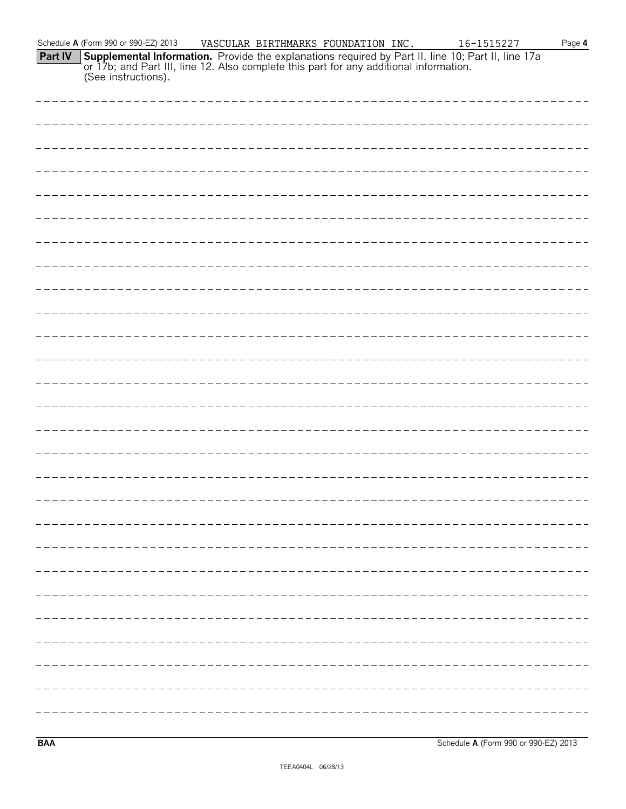|         | Schedule A (Form 990 or 990-EZ) 2013 | VASCULAR BIRTHMARKS FOUNDATION INC. |  | 16-1515227                                                                                                                                                                                                           | Page $4$ |
|---------|--------------------------------------|-------------------------------------|--|----------------------------------------------------------------------------------------------------------------------------------------------------------------------------------------------------------------------|----------|
| Part IV |                                      |                                     |  | <b>Supplemental Information.</b> Provide the explanations required by Part II, line 10; Part II, line 17a or 17b; and Part III, line 12. Also complete this part for any additional information. (See instructions). |          |
|         |                                      |                                     |  |                                                                                                                                                                                                                      |          |
|         |                                      |                                     |  |                                                                                                                                                                                                                      |          |
|         |                                      |                                     |  |                                                                                                                                                                                                                      |          |
|         |                                      |                                     |  |                                                                                                                                                                                                                      |          |
|         |                                      |                                     |  |                                                                                                                                                                                                                      |          |
|         |                                      |                                     |  |                                                                                                                                                                                                                      |          |
|         |                                      |                                     |  |                                                                                                                                                                                                                      |          |
|         |                                      |                                     |  |                                                                                                                                                                                                                      |          |
|         |                                      |                                     |  |                                                                                                                                                                                                                      |          |
|         |                                      |                                     |  |                                                                                                                                                                                                                      |          |
|         |                                      |                                     |  |                                                                                                                                                                                                                      |          |
|         |                                      |                                     |  |                                                                                                                                                                                                                      |          |
|         |                                      |                                     |  |                                                                                                                                                                                                                      |          |
|         |                                      |                                     |  |                                                                                                                                                                                                                      |          |
|         |                                      |                                     |  |                                                                                                                                                                                                                      |          |
|         |                                      |                                     |  |                                                                                                                                                                                                                      |          |
|         |                                      |                                     |  |                                                                                                                                                                                                                      |          |
|         |                                      |                                     |  |                                                                                                                                                                                                                      |          |
|         |                                      |                                     |  |                                                                                                                                                                                                                      |          |
|         |                                      |                                     |  |                                                                                                                                                                                                                      |          |
|         |                                      |                                     |  |                                                                                                                                                                                                                      |          |
|         |                                      |                                     |  |                                                                                                                                                                                                                      |          |
|         |                                      |                                     |  |                                                                                                                                                                                                                      |          |
|         | ----------------------               |                                     |  |                                                                                                                                                                                                                      |          |
|         |                                      |                                     |  |                                                                                                                                                                                                                      |          |
|         |                                      |                                     |  |                                                                                                                                                                                                                      |          |

**BAA** Schedule **A** (Form 990 or 990-EZ) 2013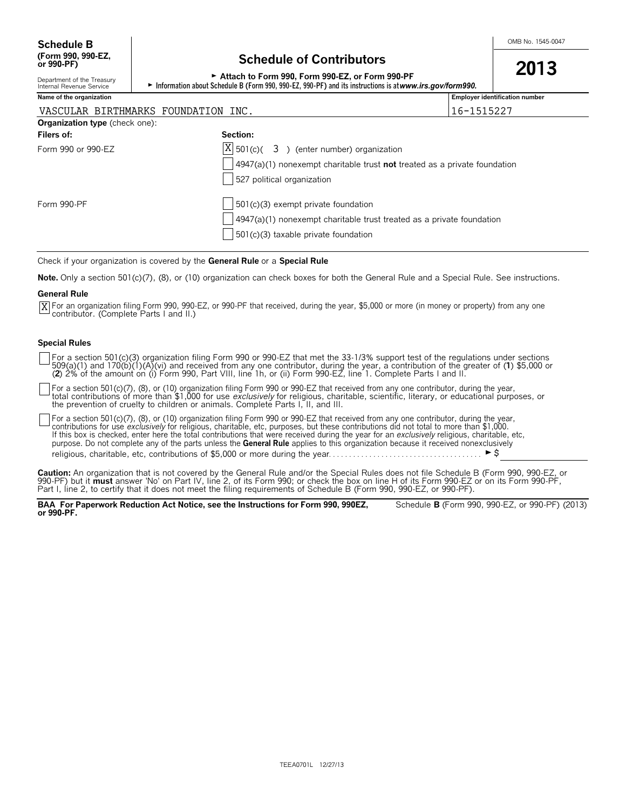## **Schedule of Contributors**

| <u>Scheddie of Sonthbutors</u>                                                                            | 2013 |
|-----------------------------------------------------------------------------------------------------------|------|
| Attach to Form 990. Form 990-EZ, or Form 990-PF                                                           |      |
| ► Information about Schedule B (Form 990, 990-EZ, 990-PF) and its instructions is at www.irs.gov/form990. |      |

Department of the Treasury<br>Internal Revenue Service

| Name of the organization            | <b>Employer identification number</b> |  |  |  |  |  |
|-------------------------------------|---------------------------------------|--|--|--|--|--|
| VASCULAR BIRTHMARKS FOUNDATION INC. | 1515227<br>$16 - 1$                   |  |  |  |  |  |
| Organization type (check one):      |                                       |  |  |  |  |  |

| $\bullet$ . Generation type (onother one). |                                                                                   |
|--------------------------------------------|-----------------------------------------------------------------------------------|
| Filers of:                                 | Section:                                                                          |
| Form 990 or 990-EZ                         | $ X $ 501(c)( 3) (enter number) organization                                      |
|                                            | $\vert$ 4947(a)(1) nonexempt charitable trust not treated as a private foundation |
|                                            | 527 political organization                                                        |
| Form 990-PF                                | $501(c)(3)$ exempt private foundation                                             |
|                                            | $4947(a)(1)$ nonexempt charitable trust treated as a private foundation           |
|                                            | $501(c)(3)$ taxable private foundation                                            |
|                                            |                                                                                   |

Check if your organization is covered by the **General Rule** or a **Special Rule**.

**Note.** Only a section 501(c)(7), (8), or (10) organization can check boxes for both the General Rule and a Special Rule. See instructions.

#### **General Rule**

For an organization filing Form 990, 990-EZ, or 990-PF that received, during the year, \$5,000 or more (in money or property) from any one Xcontributor. (Complete Parts I and II.)

#### **Special Rules**

For a section 501(c)(3) organization filing Form 990 or 990-EZ that met the 33-1/3% support test of the regulations under sections<br>509(a)(1) and 170(b)(1)(A)(vi) and received from any one contributor, during the year, a co (**2**) 2% of the amount on (i) Form 990, Part VIII, line 1h, or (ii) Form 990-EZ, line 1. Complete Parts I and II.

For a section 501(c)(7), (8), or (10) organization filing Form 990 or 990-EZ that received from any one contributor, during the year,<br>total contributions of more than \$1,000 for use *exclusively* for religious, charitable, the prevention of cruelty to children or animals. Complete Parts I, II, and III.

For a section 501(c)(7), (8), or (10) organization filing Form 990 or 990-EZ that received from any one contributor, during the year, contributions for use *exclusively* for religious, charitable, etc, purposes, but these contributions did not total to more than \$1,000.<br>If this box is checked, enter here the total contributions that were received during purpose. Do not complete any of the parts unless the **General Rule** applies to this organization because it received nonexclusively religious, charitable, etc, contributions of \$5,000 or more during the year. . . . . . . . . . . . . . . . . . . . . . . . . . . . . . . . . . . . . . G\$

**Caution:** An organization that is not covered by the General Rule and/or the Special Rules does not file Schedule B (Form 990, 990-EZ, or 990-PF) but it **must** answer 'No' on Part IV, line 2, of its Form 990; or check the box on line H of its Form 990-EZ or on its Form 990-PF, Part I, line 2, to certify that it does not meet the filing requirements of Schedule B (Form 990, 990-EZ, or 990-PF).

**BAA For Paperwork Reduction Act Notice, see the Instructions for Form 990, 990EZ,** Schedule **B** (Form 990, 990-EZ, or 990-PF) (2013) **or 990-PF.**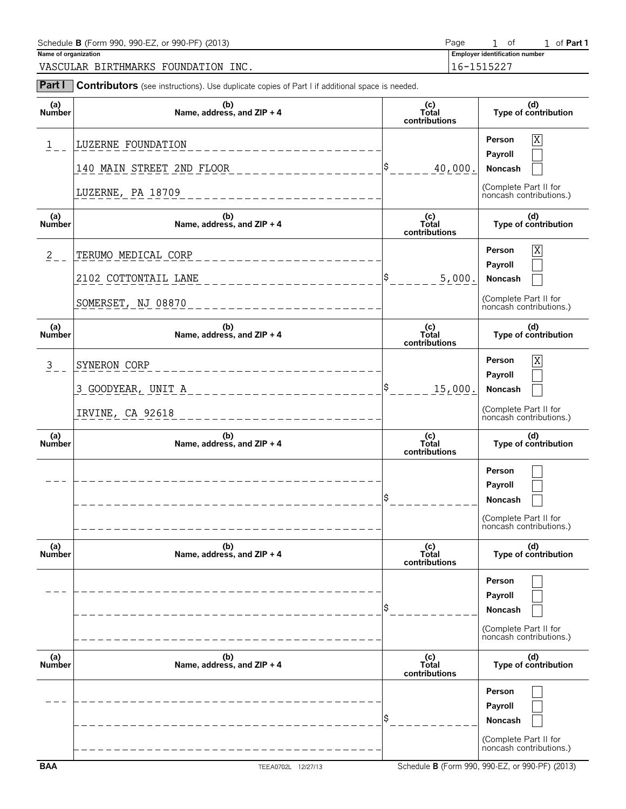| Schedule <b>B</b> (Form 990, 990-EZ, or 990-PF) (2013) | Page       |  | O1                                    |  | of <b>Part</b> 1 |  |  |
|--------------------------------------------------------|------------|--|---------------------------------------|--|------------------|--|--|
| Name of organization                                   |            |  | <b>Employer identification number</b> |  |                  |  |  |
| INC.<br>BIRTHMARKS<br>VASCULAR<br>FOUNDATION           | 16-1515227 |  |                                       |  |                  |  |  |

| Part I               | <b>Contributors</b> (see instructions). Use duplicate copies of Part I if additional space is needed. |                               |                                                                                  |
|----------------------|-------------------------------------------------------------------------------------------------------|-------------------------------|----------------------------------------------------------------------------------|
| (a)<br>Number        | (b)<br>Name, address, and ZIP + 4                                                                     | (c)<br>Total<br>contributions | (d)<br>Type of contribution                                                      |
| 1                    | LUZERNE FOUNDATION                                                                                    |                               | X<br>Person<br>Payroll                                                           |
|                      | 140 MAIN STREET 2ND FLOOR                                                                             | \$<br>40,000.                 | Noncash                                                                          |
|                      | LUZERNE, PA 18709<br>_________________                                                                |                               | (Complete Part II for<br>noncash contributions.)                                 |
| (a)<br>Number        | (b)<br>Name, address, and ZIP + 4                                                                     | (c)<br>Total<br>contributions | (d)<br>Type of contribution                                                      |
| $2 -$                | TERUMO MEDICAL CORP                                                                                   |                               | X<br>Person                                                                      |
|                      | 2102 COTTONTAIL LANE                                                                                  | \$<br>5,000.                  | Payroll<br>Noncash                                                               |
|                      | SOMERSET, NJ 08870                                                                                    |                               | (Complete Part II for<br>noncash contributions.)                                 |
| (a)<br><b>Number</b> | (b)<br>Name, address, and ZIP + 4                                                                     | (c)<br>Total<br>contributions | (d)<br>Type of contribution                                                      |
| 3                    | SYNERON CORP<br>______________________                                                                |                               | X<br>Person                                                                      |
|                      | 3 GOODYEAR, UNIT A___________________                                                                 | \$<br>15,000.                 | Payroll<br>Noncash                                                               |
|                      | IRVINE, CA 92618                                                                                      |                               | (Complete Part II for<br>noncash contributions.)                                 |
| (a)<br><b>Number</b> | (b)<br>Name, address, and ZIP + 4                                                                     | (c)<br>Total<br>contributions | (d)<br>Type of contribution                                                      |
|                      |                                                                                                       |                               | Person                                                                           |
|                      |                                                                                                       |                               | Payroll<br>Noncash                                                               |
|                      |                                                                                                       |                               | (Complete Part II for<br>noncash contributions.)                                 |
| (a)<br><b>Number</b> | (b)<br>Name, address, and ZIP + 4                                                                     | (c)<br>Total<br>contributions | (d)<br>Type of contribution                                                      |
|                      |                                                                                                       |                               | Person<br>Payroll<br>Noncash<br>(Complete Part II for<br>noncash contributions.) |
| (a)<br>Number        | (b)<br>Name, address, and ZIP + 4                                                                     | (c)<br>Total<br>contributions | (d)<br>Type of contribution                                                      |
|                      |                                                                                                       |                               | Person<br>Payroll<br>Noncash<br>(Complete Part II for<br>noncash contributions.) |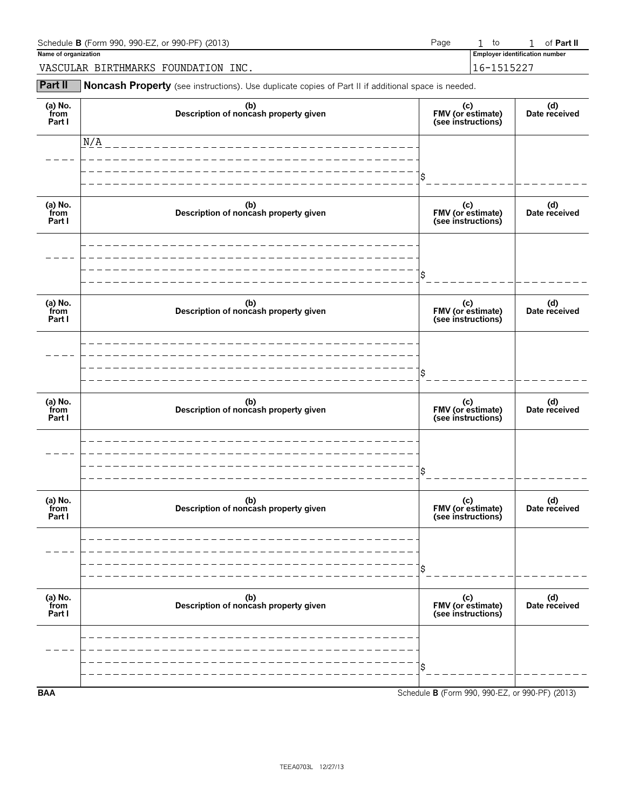| Schedule <b>B</b> (Form 990, 990-EZ, or 990-PF) (2013)<br>Page |  |                                       | of <b>Part II</b> |
|----------------------------------------------------------------|--|---------------------------------------|-------------------|
| Name of organization                                           |  | <b>Employer identification number</b> |                   |
| VASCULAR BIRTHMARKS FOUNDATION INC.                            |  | 16-1515227                            |                   |

**Part II** Noncash Property (see instructions). Use duplicate copies of Part II if additional space is needed.

| (a) No.<br>from<br>Part I | (b)<br>Description of noncash property given | (c)<br>FMV (or estimate)<br>(see instructions)  | (d)<br>Date received |
|---------------------------|----------------------------------------------|-------------------------------------------------|----------------------|
|                           | N/A                                          |                                                 |                      |
|                           |                                              | \$                                              |                      |
| (a) No.<br>from<br>Part I | (b)<br>Description of noncash property given | (c)<br>FMV (or estimate)<br>(see instructions)  | (d)<br>Date received |
|                           |                                              |                                                 |                      |
|                           |                                              | Ś                                               |                      |
| (a) No.<br>from<br>Part I | (b)<br>Description of noncash property given | (c)<br>FMV (or estimate)<br>(see instructions)  | (d)<br>Date received |
|                           |                                              |                                                 |                      |
|                           |                                              | Ś                                               |                      |
| (a) No.<br>from<br>Part I | (b)<br>Description of noncash property given | (c)<br>FMV (or estimate)<br>(see instructions)  | (d)<br>Date received |
|                           |                                              |                                                 |                      |
|                           |                                              | Ś                                               |                      |
| (a) $No.$ from<br>Part I  | (b)<br>Description of noncash property given | (c)<br>FMV (or estimate)<br>(see instructions)  | (d)<br>Date received |
|                           |                                              |                                                 |                      |
|                           |                                              | \$                                              |                      |
| (a) $No.$ from<br>Part I  | (b)<br>Description of noncash property given | (c)<br>FMV (or estimate)<br>(see instructions)  | (d)<br>Date received |
|                           |                                              |                                                 |                      |
|                           |                                              | \$                                              |                      |
| <b>BAA</b>                |                                              | Schedule B (Form 990, 990-EZ, or 990-PF) (2013) |                      |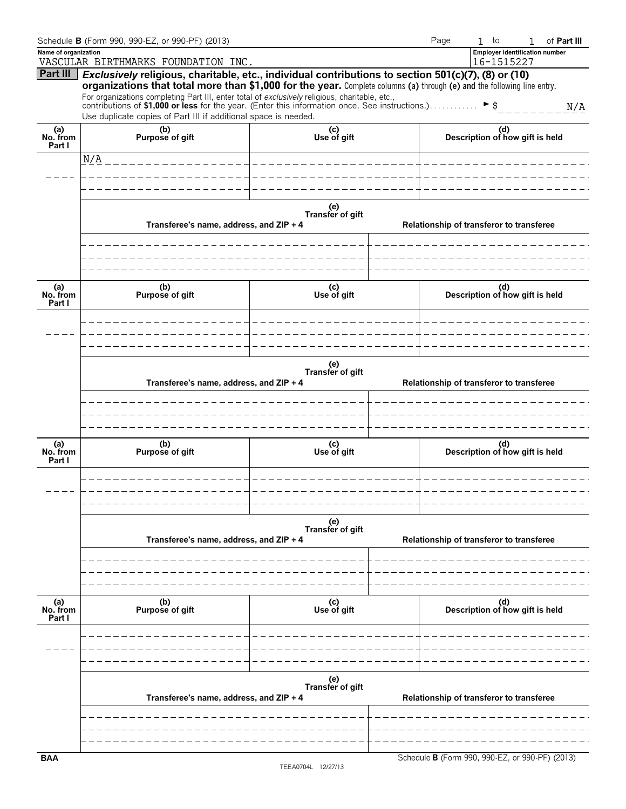|                           | Schedule B (Form 990, 990-EZ, or 990-PF) (2013)                                                                                                                                                         |                         | Page | $1$ to                                          | 1 | of Part III |
|---------------------------|---------------------------------------------------------------------------------------------------------------------------------------------------------------------------------------------------------|-------------------------|------|-------------------------------------------------|---|-------------|
| Name of organization      | VASCULAR BIRTHMARKS FOUNDATION INC.                                                                                                                                                                     |                         |      | Employer identification number<br>16-1515227    |   |             |
| Part III                  | Exclusively religious, charitable, etc., individual contributions to section 501(c)(7), (8) or (10)                                                                                                     |                         |      |                                                 |   |             |
|                           | organizations that total more than \$1,000 for the year. Complete columns (a) through (e) and the following line entry.                                                                                 |                         |      |                                                 |   |             |
|                           | For organizations completing Part III, enter total of exclusively religious, charitable, etc.,<br>contributions of \$1,000 or less for the year. (Enter this information once. See instructions.). ▶ \$ |                         |      |                                                 |   | N/A         |
|                           | Use duplicate copies of Part III if additional space is needed.                                                                                                                                         |                         |      |                                                 |   |             |
| (a)<br>No. from<br>Part I | (b)<br>Purpose of gift                                                                                                                                                                                  | (c)<br>Use of gift      |      | (d)<br>Description of how gift is held          |   |             |
|                           | N/A                                                                                                                                                                                                     |                         |      |                                                 |   |             |
|                           |                                                                                                                                                                                                         |                         |      |                                                 |   |             |
|                           |                                                                                                                                                                                                         |                         |      |                                                 |   |             |
|                           |                                                                                                                                                                                                         |                         |      |                                                 |   |             |
|                           |                                                                                                                                                                                                         | (e)<br>Transfer of gift |      |                                                 |   |             |
|                           | Transferee's name, address, and ZIP + 4                                                                                                                                                                 |                         |      | Relationship of transferor to transferee        |   |             |
|                           |                                                                                                                                                                                                         |                         |      |                                                 |   |             |
|                           |                                                                                                                                                                                                         |                         |      |                                                 |   |             |
|                           |                                                                                                                                                                                                         |                         |      |                                                 |   |             |
| (a)<br>No. from<br>Part I | (b)<br>Purpose of gift                                                                                                                                                                                  | (c)<br>Use of gift      |      | (d)<br>Description of how gift is held          |   |             |
|                           |                                                                                                                                                                                                         |                         |      |                                                 |   |             |
|                           |                                                                                                                                                                                                         |                         |      |                                                 |   |             |
|                           |                                                                                                                                                                                                         |                         |      |                                                 |   |             |
|                           |                                                                                                                                                                                                         |                         |      |                                                 |   |             |
|                           | Transferee's name, address, and ZIP + 4                                                                                                                                                                 | (e)<br>Transfer of gift |      | Relationship of transferor to transferee        |   |             |
|                           |                                                                                                                                                                                                         |                         |      |                                                 |   |             |
|                           |                                                                                                                                                                                                         |                         |      |                                                 |   |             |
|                           |                                                                                                                                                                                                         |                         |      |                                                 |   |             |
|                           |                                                                                                                                                                                                         |                         |      |                                                 |   |             |
| (a)<br>No. from           | (b)<br>Purpose of gift                                                                                                                                                                                  | (c)<br>Use of gift      |      | (d)<br>Description of how gift is held          |   |             |
| Part I                    |                                                                                                                                                                                                         |                         |      |                                                 |   |             |
|                           |                                                                                                                                                                                                         |                         |      |                                                 |   |             |
|                           |                                                                                                                                                                                                         |                         |      |                                                 |   |             |
|                           |                                                                                                                                                                                                         |                         |      |                                                 |   |             |
|                           |                                                                                                                                                                                                         | (e)<br>Transfer of gift |      |                                                 |   |             |
|                           | Transferee's name, address, and ZIP + 4                                                                                                                                                                 |                         |      | Relationship of transferor to transferee        |   |             |
|                           |                                                                                                                                                                                                         |                         |      |                                                 |   |             |
|                           |                                                                                                                                                                                                         |                         |      |                                                 |   |             |
|                           |                                                                                                                                                                                                         |                         |      |                                                 |   |             |
|                           |                                                                                                                                                                                                         |                         |      |                                                 |   |             |
| (a)<br>No. from<br>Part I | (b)<br>Purpose of gift                                                                                                                                                                                  | (c)<br>Use of gift      |      | (d)<br>Description of how gift is held          |   |             |
|                           |                                                                                                                                                                                                         |                         |      |                                                 |   |             |
|                           |                                                                                                                                                                                                         |                         |      |                                                 |   |             |
|                           |                                                                                                                                                                                                         |                         |      |                                                 |   |             |
|                           |                                                                                                                                                                                                         |                         |      |                                                 |   |             |
|                           |                                                                                                                                                                                                         | (e)<br>Transfer of gift |      |                                                 |   |             |
|                           | Transferee's name, address, and ZIP + 4                                                                                                                                                                 |                         |      | Relationship of transferor to transferee        |   |             |
|                           |                                                                                                                                                                                                         |                         |      |                                                 |   |             |
|                           |                                                                                                                                                                                                         |                         |      |                                                 |   |             |
|                           |                                                                                                                                                                                                         |                         |      |                                                 |   |             |
| <b>BAA</b>                |                                                                                                                                                                                                         |                         |      | Schedule B (Form 990, 990-EZ, or 990-PF) (2013) |   |             |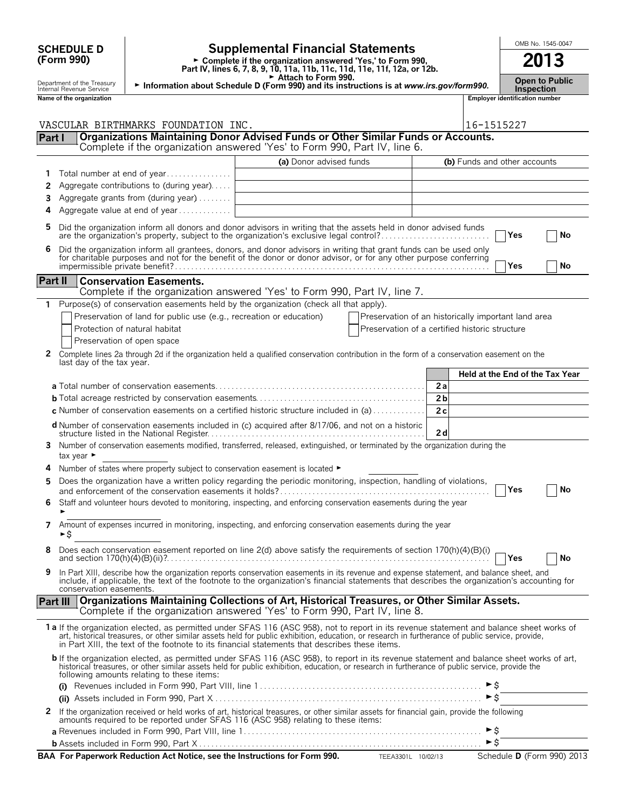| <b>SCHEDULE D</b> |  |
|-------------------|--|
| (Form 990)        |  |

## **SCHEDULE D**  $\begin{bmatrix} 0 \end{bmatrix}$  **Supplemental Financial Statements**  $\begin{bmatrix} 0 \end{bmatrix}$   $\begin{bmatrix} 0 \end{bmatrix}$   $\begin{bmatrix} 0 \end{bmatrix}$

**Part IV, lines 6, 7, 8, 9, 10, 11a, 11b, 11c, 11d, 11e, 11f, 12a, or 12b.**<br>
Part IV, lines 6, 7, 8, 9, 10, 11a, 11b, 11c, 11d, 11e, 11f, 12a, or 12b.

| -uuc J<br><b>POLITIC</b><br>нсна<br>15.75   |  | -------<br>.                                     |
|---------------------------------------------|--|--------------------------------------------------|
| anizatioi.<br><b>Name</b><br>or the<br>orga |  | <br>number<br>$  -$<br>r identification i<br>-mr |

G **Attach to Form 990.** Department of the Treasury **Open to Public** <sup>G</sup> **Information about Schedule D (Form 990) and its instructions is at** *www.irs.gov/form990.* Internal Revenue Service **Inspection**

| <b>IIIPDECU</b>         |
|-------------------------|
| lover identification nu |

|              | VASCULAR BIRTHMARKS FOUNDATION INC.                                                                                                                                                                                                                                                                                                      |                | 16-1515227                      |    |
|--------------|------------------------------------------------------------------------------------------------------------------------------------------------------------------------------------------------------------------------------------------------------------------------------------------------------------------------------------------|----------------|---------------------------------|----|
| Part I       | Organizations Maintaining Donor Advised Funds or Other Similar Funds or Accounts.                                                                                                                                                                                                                                                        |                |                                 |    |
|              | Complete if the organization answered 'Yes' to Form 990, Part IV, line 6.                                                                                                                                                                                                                                                                |                |                                 |    |
|              | (a) Donor advised funds                                                                                                                                                                                                                                                                                                                  |                | (b) Funds and other accounts    |    |
| 1            | Total number at end of year                                                                                                                                                                                                                                                                                                              |                |                                 |    |
| 2            | Aggregate contributions to (during year)                                                                                                                                                                                                                                                                                                 |                |                                 |    |
| 3            | Aggregate grants from (during year)                                                                                                                                                                                                                                                                                                      |                |                                 |    |
| 4            | Aggregate value at end of year                                                                                                                                                                                                                                                                                                           |                |                                 |    |
| 5            | Did the organization inform all donors and donor advisors in writing that the assets held in donor advised funds<br>are the organization's property, subject to the organization's exclusive legal control?                                                                                                                              |                | Yes                             | No |
| 6            | Did the organization inform all grantees, donors, and donor advisors in writing that grant funds can be used only for charitable purposes and not for the benefit of the donor or donor advisor, or for any other purpose conf                                                                                                           |                | Yes                             | No |
| Part II      | <b>Conservation Easements.</b>                                                                                                                                                                                                                                                                                                           |                |                                 |    |
|              | Complete if the organization answered 'Yes' to Form 990, Part IV, line 7.                                                                                                                                                                                                                                                                |                |                                 |    |
|              | 1 Purpose(s) of conservation easements held by the organization (check all that apply).                                                                                                                                                                                                                                                  |                |                                 |    |
|              | Preservation of land for public use (e.g., recreation or education)<br>Preservation of an historically important land area                                                                                                                                                                                                               |                |                                 |    |
|              | Protection of natural habitat<br>Preservation of a certified historic structure                                                                                                                                                                                                                                                          |                |                                 |    |
|              | Preservation of open space                                                                                                                                                                                                                                                                                                               |                |                                 |    |
| 2            | Complete lines 2a through 2d if the organization held a qualified conservation contribution in the form of a conservation easement on the                                                                                                                                                                                                |                |                                 |    |
|              | last day of the tax year.                                                                                                                                                                                                                                                                                                                |                | Held at the End of the Tax Year |    |
|              |                                                                                                                                                                                                                                                                                                                                          | 2a             |                                 |    |
|              |                                                                                                                                                                                                                                                                                                                                          | 2 <sub>b</sub> |                                 |    |
|              | <b>c</b> Number of conservation easements on a certified historic structure included in (a) $\dots \dots \dots$                                                                                                                                                                                                                          | 2c             |                                 |    |
|              |                                                                                                                                                                                                                                                                                                                                          |                |                                 |    |
|              | <b>d</b> Number of conservation easements included in (c) acquired after 8/17/06, and not on a historic                                                                                                                                                                                                                                  | 2d             |                                 |    |
| 3.           | Number of conservation easements modified, transferred, released, extinguished, or terminated by the organization during the<br>tax year ►                                                                                                                                                                                               |                |                                 |    |
|              | Number of states where property subject to conservation easement is located ►                                                                                                                                                                                                                                                            |                |                                 |    |
| 5            | Does the organization have a written policy regarding the periodic monitoring, inspection, handling of violations,                                                                                                                                                                                                                       |                |                                 |    |
|              |                                                                                                                                                                                                                                                                                                                                          |                | Yes                             | No |
| 6            | Staff and volunteer hours devoted to monitoring, inspecting, and enforcing conservation easements during the year                                                                                                                                                                                                                        |                |                                 |    |
| 7            | Amount of expenses incurred in monitoring, inspecting, and enforcing conservation easements during the year<br>►Ŝ                                                                                                                                                                                                                        |                |                                 |    |
|              | Does each conservation easement reported on line 2(d) above satisfy the requirements of section 170(h)(4)(B)(i)                                                                                                                                                                                                                          |                | Yes                             | No |
|              | In Part XIII, describe how the organization reports conservation easements in its revenue and expense statement, and balance sheet, and<br>include, if applicable, the text of the footnote to the organization's financial statements that describes the organization's accounting for                                                  |                |                                 |    |
|              | conservation easements.<br>Part III   Organizations Maintaining Collections of Art, Historical Treasures, or Other Similar Assets.<br>Complete if the organization answered 'Yes' to Form 990, Part IV, line 8.                                                                                                                          |                |                                 |    |
|              | 1a If the organization elected, as permitted under SFAS 116 (ASC 958), not to report in its revenue statement and balance sheet works of                                                                                                                                                                                                 |                |                                 |    |
|              | art, historical treasures, or other similar assets held for public exhibition, education, or research in furtherance of public service, provide,<br>in Part XIII, the text of the footnote to its financial statements that describes these items.                                                                                       |                |                                 |    |
|              | b If the organization elected, as permitted under SFAS 116 (ASC 958), to report in its revenue statement and balance sheet works of art,<br>historical treasures, or other similar assets held for public exhibition, education, or research in furtherance of public service, provide the<br>following amounts relating to these items: |                |                                 |    |
|              |                                                                                                                                                                                                                                                                                                                                          |                |                                 |    |
|              |                                                                                                                                                                                                                                                                                                                                          |                | $\blacktriangleright$ \$        |    |
| $\mathbf{z}$ | If the organization received or held works of art, historical treasures, or other similar assets for financial gain, provide the following<br>amounts required to be reported under SFAS 116 (ASC 958) relating to these items:                                                                                                          |                |                                 |    |
|              |                                                                                                                                                                                                                                                                                                                                          |                | $\blacktriangleright$ \$        |    |
|              |                                                                                                                                                                                                                                                                                                                                          |                | $\triangleright$ \$             |    |

**BAA For Paperwork Reduction Act Notice, see the Instructions for Form 990.** TEEA3301L 10/02/13 Schedule D (Form 990) 2013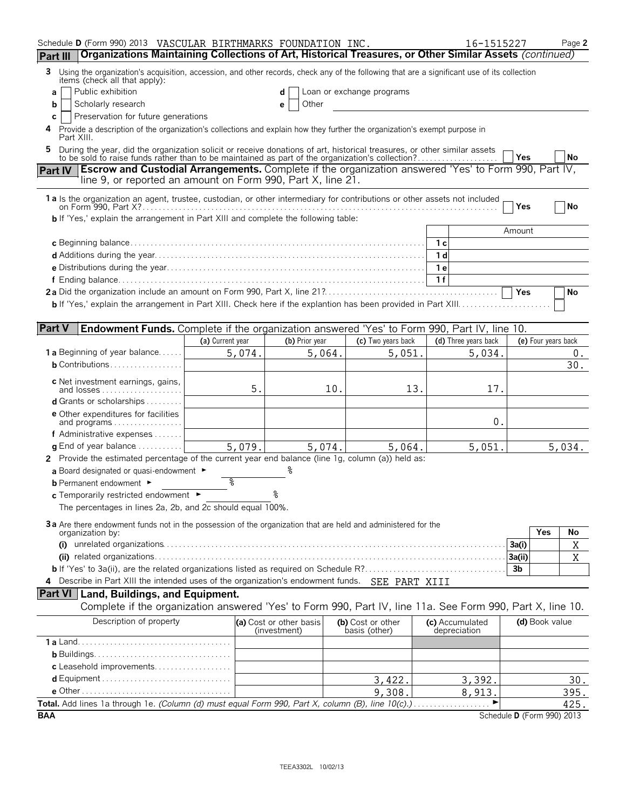| Schedule D (Form 990) 2013 VASCULAR BIRTHMARKS FOUNDATION INC.                                                                                                                                                            |                  |        |                                         |     |                                    | 16-1515227                      |                |                     | Page 2    |
|---------------------------------------------------------------------------------------------------------------------------------------------------------------------------------------------------------------------------|------------------|--------|-----------------------------------------|-----|------------------------------------|---------------------------------|----------------|---------------------|-----------|
| Organizations Maintaining Collections of Art, Historical Treasures, or Other Similar Assets (continued)<br>Part III                                                                                                       |                  |        |                                         |     |                                    |                                 |                |                     |           |
| Using the organization's acquisition, accession, and other records, check any of the following that are a significant use of its collection<br>3<br>items (check all that apply):                                         |                  |        |                                         |     |                                    |                                 |                |                     |           |
| Public exhibition<br>a                                                                                                                                                                                                    |                  |        | d                                       |     | Loan or exchange programs          |                                 |                |                     |           |
| Scholarly research<br>b                                                                                                                                                                                                   |                  |        | Other<br>е                              |     |                                    |                                 |                |                     |           |
| Preservation for future generations<br>C                                                                                                                                                                                  |                  |        |                                         |     |                                    |                                 |                |                     |           |
| Provide a description of the organization's collections and explain how they further the organization's exempt purpose in<br>4<br>Part XIII.                                                                              |                  |        |                                         |     |                                    |                                 |                |                     |           |
| During the year, did the organization solicit or receive donations of art, historical treasures, or other similar assets to be sold to raise funds rather than to be maintained as part of the organization's collection? |                  |        |                                         |     |                                    |                                 | Yes            |                     | <b>No</b> |
| <b>Escrow and Custodial Arrangements.</b> Complete if the organization answered 'Yes' to Form 990, Part IV,<br><b>Part IV</b><br>line 9, or reported an amount on Form 990, Part X, line 21.                              |                  |        |                                         |     |                                    |                                 |                |                     |           |
| 1a Is the organization an agent, trustee, custodian, or other intermediary for contributions or other assets not included                                                                                                 |                  |        |                                         |     |                                    |                                 | Yes            |                     | No        |
| <b>b</b> If 'Yes,' explain the arrangement in Part XIII and complete the following table:                                                                                                                                 |                  |        |                                         |     |                                    |                                 |                |                     |           |
|                                                                                                                                                                                                                           |                  |        |                                         |     |                                    |                                 | Amount         |                     |           |
|                                                                                                                                                                                                                           |                  |        |                                         |     |                                    | 1 с                             |                |                     |           |
|                                                                                                                                                                                                                           |                  |        |                                         |     |                                    | 1 <sub>d</sub>                  |                |                     |           |
|                                                                                                                                                                                                                           |                  |        |                                         |     |                                    | 1 e                             |                |                     |           |
|                                                                                                                                                                                                                           |                  |        |                                         |     |                                    | 1f                              |                |                     |           |
|                                                                                                                                                                                                                           |                  |        |                                         |     |                                    |                                 | Yes            |                     | No        |
|                                                                                                                                                                                                                           |                  |        |                                         |     |                                    |                                 |                |                     |           |
|                                                                                                                                                                                                                           |                  |        |                                         |     |                                    |                                 |                |                     |           |
| <b>Part V</b><br><b>Endowment Funds.</b> Complete if the organization answered 'Yes' to Form 990, Part IV, line 10.                                                                                                       |                  |        |                                         |     |                                    |                                 |                |                     |           |
|                                                                                                                                                                                                                           | (a) Current year |        | (b) Prior year                          |     | (c) Two years back                 | (d) Three years back            |                | (e) Four years back |           |
| <b>1 a</b> Beginning of year balance                                                                                                                                                                                      |                  | 5,074. | 5,064.                                  |     | 5,051.                             | 5,034.                          |                |                     | 0.        |
| $b$ Contributions                                                                                                                                                                                                         |                  |        |                                         |     |                                    |                                 |                |                     | 30.       |
|                                                                                                                                                                                                                           |                  |        |                                         |     |                                    |                                 |                |                     |           |
| c Net investment earnings, gains,<br>and losses                                                                                                                                                                           |                  | 5.     |                                         | 10. | 13.                                | 17.                             |                |                     |           |
| <b>d</b> Grants or scholarships $\ldots$                                                                                                                                                                                  |                  |        |                                         |     |                                    |                                 |                |                     |           |
| e Other expenditures for facilities                                                                                                                                                                                       |                  |        |                                         |     |                                    |                                 |                |                     |           |
| and programs                                                                                                                                                                                                              |                  |        |                                         |     |                                    | 0.                              |                |                     |           |
| f Administrative expenses                                                                                                                                                                                                 |                  |        |                                         |     |                                    |                                 |                |                     |           |
| <b>g</b> End of year balance $\ldots \ldots \ldots$                                                                                                                                                                       |                  | 5,079. | 5,074.                                  |     | 5,064.                             | 5,051.                          |                |                     | 5,034.    |
| 2 Provide the estimated percentage of the current year end balance (line 1g, column (a)) held as:                                                                                                                         |                  |        |                                         |     |                                    |                                 |                |                     |           |
| a Board designated or quasi-endowment $\blacktriangleright$                                                                                                                                                               |                  |        |                                         |     |                                    |                                 |                |                     |           |
| <b>b</b> Permanent endowment ►                                                                                                                                                                                            | နွ               |        |                                         |     |                                    |                                 |                |                     |           |
| c Temporarily restricted endowment ►                                                                                                                                                                                      |                  |        | ٥                                       |     |                                    |                                 |                |                     |           |
| The percentages in lines 2a, 2b, and 2c should equal 100%.                                                                                                                                                                |                  |        |                                         |     |                                    |                                 |                |                     |           |
|                                                                                                                                                                                                                           |                  |        |                                         |     |                                    |                                 |                |                     |           |
| 3a Are there endowment funds not in the possession of the organization that are held and administered for the<br>organization by:                                                                                         |                  |        |                                         |     |                                    |                                 |                | Yes                 | No        |
|                                                                                                                                                                                                                           |                  |        |                                         |     |                                    |                                 | 3a(i)          |                     | Χ         |
|                                                                                                                                                                                                                           |                  |        |                                         |     |                                    |                                 | 3a(ii)         |                     | X         |
|                                                                                                                                                                                                                           |                  |        |                                         |     |                                    |                                 | 3 <sub>b</sub> |                     |           |
| 4 Describe in Part XIII the intended uses of the organization's endowment funds. SEE PART XIII                                                                                                                            |                  |        |                                         |     |                                    |                                 |                |                     |           |
| <b>Part VI</b> Land, Buildings, and Equipment.                                                                                                                                                                            |                  |        |                                         |     |                                    |                                 |                |                     |           |
| Complete if the organization answered 'Yes' to Form 990, Part IV, line 11a. See Form 990, Part X, line 10.                                                                                                                |                  |        |                                         |     |                                    |                                 |                |                     |           |
|                                                                                                                                                                                                                           |                  |        |                                         |     |                                    |                                 |                |                     |           |
| Description of property                                                                                                                                                                                                   |                  |        | (a) Cost or other basis<br>(investment) |     | (b) Cost or other<br>basis (other) | (c) Accumulated<br>depreciation |                | (d) Book value      |           |
|                                                                                                                                                                                                                           |                  |        |                                         |     |                                    |                                 |                |                     |           |
|                                                                                                                                                                                                                           |                  |        |                                         |     |                                    |                                 |                |                     |           |
| c Leasehold improvements                                                                                                                                                                                                  |                  |        |                                         |     |                                    |                                 |                |                     |           |
|                                                                                                                                                                                                                           |                  |        |                                         |     | 3,422.                             | 3,392.                          |                |                     | 30.       |
|                                                                                                                                                                                                                           |                  |        |                                         |     | 9,308.                             | 8,913.                          |                |                     | 395.      |
|                                                                                                                                                                                                                           |                  |        |                                         |     |                                    |                                 |                |                     | 425.      |
| <b>BAA</b>                                                                                                                                                                                                                |                  |        |                                         |     |                                    | Schedule D (Form 990) 2013      |                |                     |           |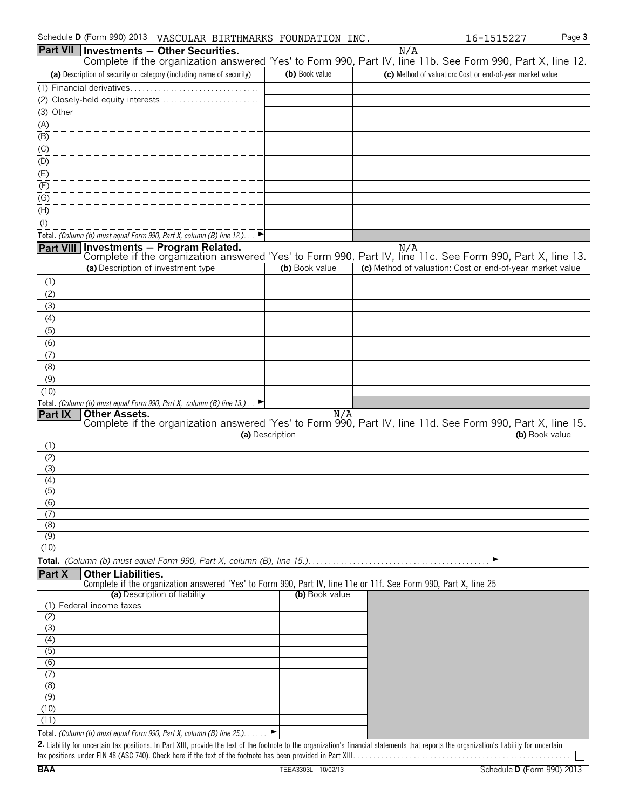| Schedule <b>D</b> (Form 990) 2013<br>VASCULAR BIRTHMARKS FOUNDATION INC.                                                                                      |                |     | 16-1515227                                                | Page 3 |
|---------------------------------------------------------------------------------------------------------------------------------------------------------------|----------------|-----|-----------------------------------------------------------|--------|
| <b>Part VII Investments - Other Securities.</b><br>Complete if the organization answered 'Yes' to Form 990, Part IV, line 11b. See Form 990, Part X, line 12. |                | N/A |                                                           |        |
| (a) Description of security or category (including name of security)                                                                                          | (b) Book value |     | (c) Method of valuation: Cost or end-of-year market value |        |
|                                                                                                                                                               |                |     |                                                           |        |
|                                                                                                                                                               |                |     |                                                           |        |
| (3) Other                                                                                                                                                     |                |     |                                                           |        |
| (A)                                                                                                                                                           |                |     |                                                           |        |
| (B)                                                                                                                                                           |                |     |                                                           |        |
| (C)                                                                                                                                                           |                |     |                                                           |        |
| (D)                                                                                                                                                           |                |     |                                                           |        |
| (E)                                                                                                                                                           |                |     |                                                           |        |
| (F)                                                                                                                                                           |                |     |                                                           |        |
| $\sim$                                                                                                                                                        |                |     |                                                           |        |

| $\frac{(D)}{(E)}$                                                                                                                                             |                 |                                                           |                |
|---------------------------------------------------------------------------------------------------------------------------------------------------------------|-----------------|-----------------------------------------------------------|----------------|
| (F)                                                                                                                                                           |                 |                                                           |                |
| $\underline{(G)}$                                                                                                                                             |                 |                                                           |                |
| (H)                                                                                                                                                           |                 |                                                           |                |
| $($ l $)$                                                                                                                                                     |                 |                                                           |                |
| Total. (Column (b) must equal Form 990, Part X, column (B) line 12.). $\Box$                                                                                  |                 |                                                           |                |
| <b>Part VIII</b> Investments - Program Related.<br>Complete if the organization answered 'Yes' to Form 990, Part IV, line 11c. See Form 990, Part X, line 13. |                 |                                                           |                |
| (a) Description of investment type                                                                                                                            | (b) Book value  | (c) Method of valuation: Cost or end-of-year market value |                |
| (1)                                                                                                                                                           |                 |                                                           |                |
| (2)                                                                                                                                                           |                 |                                                           |                |
| (3)                                                                                                                                                           |                 |                                                           |                |
| (4)                                                                                                                                                           |                 |                                                           |                |
| (5)                                                                                                                                                           |                 |                                                           |                |
| (6)                                                                                                                                                           |                 |                                                           |                |
| (7)                                                                                                                                                           |                 |                                                           |                |
| (8)                                                                                                                                                           |                 |                                                           |                |
| (9)                                                                                                                                                           |                 |                                                           |                |
| (10)                                                                                                                                                          |                 |                                                           |                |
| Total. (Column (b) must equal Form 990, Part X, column (B) line 13.) $\Box$                                                                                   |                 |                                                           |                |
| <b>Part IX</b><br><b>Other Assets.</b><br>Complete if the organization answered 'Yes' to Form 990, Part IV, line 11d. See Form 990, Part X, line 15.          | N/A             |                                                           |                |
|                                                                                                                                                               | (a) Description |                                                           | (b) Book value |
| (1)                                                                                                                                                           |                 |                                                           |                |
| (2)                                                                                                                                                           |                 |                                                           |                |
|                                                                                                                                                               |                 |                                                           |                |

| (4)              |  |
|------------------|--|
| (3)              |  |
| (4)              |  |
| $\overline{(5)}$ |  |
| (6)              |  |
| $\sigma$         |  |
| (8)              |  |
| (9)              |  |
| (10)             |  |
|                  |  |

**Total.** *(Column (b) must equal Form 990, Part X, column (B), line 15.)*. . . . . . . . . . . . . . . . . . . . . . . . . . . . . . . . . . . . . . . . . . . . . G

**Part X Other Liabilities.**

Complete if the organization answered 'Yes' to Form 990, Part IV, line 11e or 11f. See Form 990, Part X, line 25

| (a) Description of liability                                                              | (b) Book value |
|-------------------------------------------------------------------------------------------|----------------|
| (1) Federal income taxes                                                                  |                |
| (2)                                                                                       |                |
| (3)                                                                                       |                |
| (4)                                                                                       |                |
| (5)                                                                                       |                |
| (6)                                                                                       |                |
| (7)                                                                                       |                |
| (8)                                                                                       |                |
| (9)                                                                                       |                |
| (10)                                                                                      |                |
| (11)                                                                                      |                |
| <b>Total.</b> (Column (b) must equal Form 990, Part X, column (B) line $25$ .). $\dots$ . |                |

**2.** Liability for uncertain tax positions. In Part XIII, provide the text of the footnote to the organization's financial statements that reports the organization's liability for uncertain tax positions under FIN 48 (ASC 740). Check here if the text of the footnote has been provided in Part XIII. . . . . . . . . . . . . . . . . . . . . . . . . . . . . . . . . . . . . . . . . . . . . . . . . . . . . .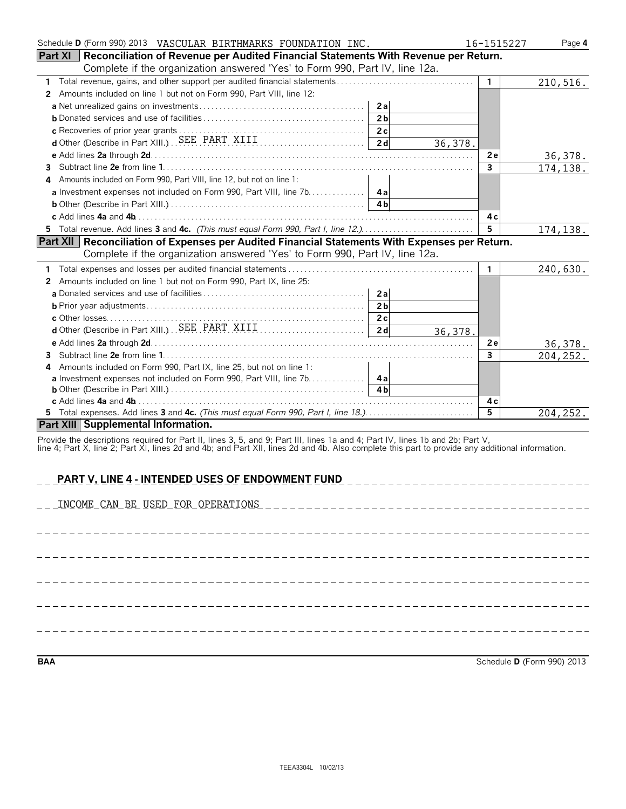| Schedule D (Form 990) 2013 VASCULAR BIRTHMARKS FOUNDATION INC.                                                                | 16-1515227     | Page 4   |
|-------------------------------------------------------------------------------------------------------------------------------|----------------|----------|
| Part XI   Reconciliation of Revenue per Audited Financial Statements With Revenue per Return.                                 |                |          |
| Complete if the organization answered 'Yes' to Form 990, Part IV, line 12a.                                                   |                |          |
|                                                                                                                               | $\mathbf{1}$   | 210,516. |
| 2 Amounts included on line 1 but not on Form 990, Part VIII, line 12:                                                         |                |          |
|                                                                                                                               |                |          |
|                                                                                                                               |                |          |
|                                                                                                                               |                |          |
| d Other (Describe in Part XIII.) SEE PART XIII [1]<br>36,378.                                                                 |                |          |
|                                                                                                                               | <b>2e</b>      | 36,378.  |
| 3                                                                                                                             | $\overline{3}$ | 174,138. |
| Amounts included on Form 990, Part VIII, line 12, but not on line 1:                                                          |                |          |
|                                                                                                                               |                |          |
|                                                                                                                               |                |          |
|                                                                                                                               | 4с             |          |
| 5 Total revenue. Add lines 3 and 4c. (This must equal Form 990, Part I, line 12.)                                             | 5              | 174,138. |
| Part XII   Reconciliation of Expenses per Audited Financial Statements With Expenses per Return.                              |                |          |
| Complete if the organization answered 'Yes' to Form 990, Part IV, line 12a.                                                   |                |          |
| 1.                                                                                                                            | $\mathbf{1}$   | 240,630. |
| Amounts included on line 1 but not on Form 990, Part IX, line 25:<br>2                                                        |                |          |
|                                                                                                                               |                |          |
| 2 <sub>b</sub>                                                                                                                |                |          |
|                                                                                                                               |                |          |
| 36,378.                                                                                                                       |                |          |
|                                                                                                                               | 2e             | 36,378.  |
| 3.                                                                                                                            | 3              | 204,252. |
| Amounts included on Form 990, Part IX, line 25, but not on line 1:<br>4                                                       |                |          |
| a Investment expenses not included on Form 990, Part VIII, line 7b. 4a                                                        |                |          |
|                                                                                                                               |                |          |
|                                                                                                                               | 4 c            |          |
|                                                                                                                               | $\overline{5}$ | 204,252. |
| Part XIII Supplemental Information.                                                                                           |                |          |
| Provide the descriptions required for Part II, lines 3, 5, and 9; Part III, lines 1a and 4; Part IV, lines 1b and 2b; Part V, |                |          |

line 4; Part X, line 2; Part XI, lines 2d and 4b; and Part XII, lines 2d and 4b. Also complete this part to provide any additional information.

| <b>PART V, LINE 4 - INTENDED USES OF ENDOWMENT FUND</b> |
|---------------------------------------------------------|
|                                                         |
|                                                         |
|                                                         |
|                                                         |
|                                                         |
|                                                         |

**BAA** Schedule **D** (Form 990) 2013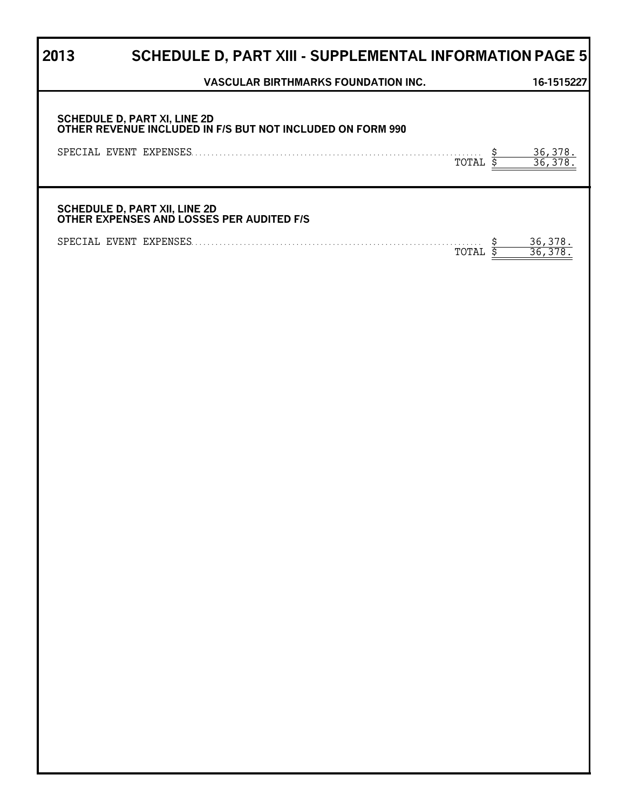# **2013 SCHEDULE D, PART XIII - SUPPLEMENTAL INFORMATION PAGE 5**

| <b>VASCULAR BIRTHMARKS FOUNDATION INC.</b>                                                               | 16-1515227                |
|----------------------------------------------------------------------------------------------------------|---------------------------|
| SCHEDULE D, PART XI, LINE 2D<br>OTHER REVENUE INCLUDED IN F/S BUT NOT INCLUDED ON FORM 990<br>Ş<br>TOTAL | $\frac{36,378.}{36,378.}$ |
| SCHEDULE D, PART XII, LINE 2D<br>OTHER EXPENSES AND LOSSES PER AUDITED F/S                               |                           |
| <u>\$</u><br>TOTAL \$                                                                                    | $\frac{36,378}{36,378}$ . |
|                                                                                                          |                           |
|                                                                                                          |                           |
|                                                                                                          |                           |
|                                                                                                          |                           |
|                                                                                                          |                           |
|                                                                                                          |                           |
|                                                                                                          |                           |
|                                                                                                          |                           |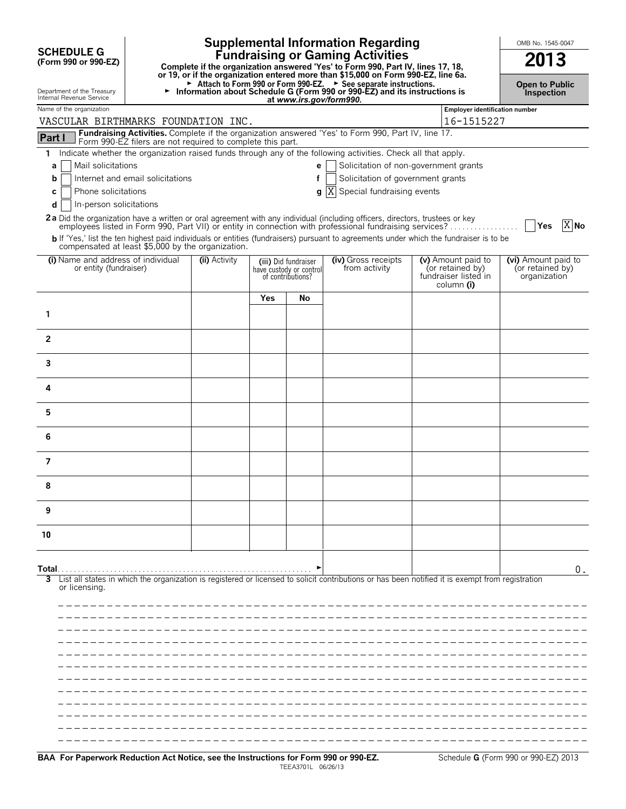| <b>SCHEDULE G</b><br>(Form 990 or 990-EZ)<br>Department of the Treasury<br>Internal Revenue Service                                                               | <b>Supplemental Information Regarding</b><br><b>Fundraising or Gaming Activities</b><br>Complete if the organization answered 'Yes' to Form 990, Part IV, lines 17, 18,<br>or 19, or if the organization entered more than \$15,000 on Form 990-EZ, line 6a.<br>Attach to Form 990 or Form 990-EZ. > See separate instructions.<br>Information about Schedule G (Form 990 or 990-EZ) and its instructions is<br>►<br>at www.irs.gov/form990.                                                                                                             |               |     |                                                                      |                                                                                                                                                                                                                                                   |  |                                                                              |                                                         |        |
|-------------------------------------------------------------------------------------------------------------------------------------------------------------------|----------------------------------------------------------------------------------------------------------------------------------------------------------------------------------------------------------------------------------------------------------------------------------------------------------------------------------------------------------------------------------------------------------------------------------------------------------------------------------------------------------------------------------------------------------|---------------|-----|----------------------------------------------------------------------|---------------------------------------------------------------------------------------------------------------------------------------------------------------------------------------------------------------------------------------------------|--|------------------------------------------------------------------------------|---------------------------------------------------------|--------|
| Name of the organization                                                                                                                                          |                                                                                                                                                                                                                                                                                                                                                                                                                                                                                                                                                          |               |     |                                                                      |                                                                                                                                                                                                                                                   |  | <b>Employer identification number</b>                                        |                                                         |        |
| VASCULAR BIRTHMARKS FOUNDATION INC.                                                                                                                               |                                                                                                                                                                                                                                                                                                                                                                                                                                                                                                                                                          |               |     |                                                                      |                                                                                                                                                                                                                                                   |  | 16-1515227                                                                   |                                                         |        |
| Part I                                                                                                                                                            |                                                                                                                                                                                                                                                                                                                                                                                                                                                                                                                                                          |               |     |                                                                      | Fundraising Activities. Complete if the organization answered 'Yes' to Form 990, Part IV, line 17.                                                                                                                                                |  |                                                                              |                                                         |        |
| $\mathbf{1}$<br>a<br>b<br>C<br>d                                                                                                                                  | Form 990-EZ filers are not required to complete this part.<br>Indicate whether the organization raised funds through any of the following activities. Check all that apply.<br>Mail solicitations<br>Solicitation of non-government grants<br>e<br>Solicitation of government grants<br>Internet and email solicitations<br>f<br>ΙX<br>Special fundraising events<br>Phone solicitations<br>q<br>In-person solicitations<br>2a Did the organization have a written or oral agreement with any individual (including officers, directors, trustees or key |               |     |                                                                      |                                                                                                                                                                                                                                                   |  |                                                                              |                                                         |        |
| compensated at least \$5,000 by the organization.                                                                                                                 |                                                                                                                                                                                                                                                                                                                                                                                                                                                                                                                                                          |               |     |                                                                      | employees listed in Form 990, Part VII) or entity in connection with professional fundraising services?<br>b If 'Yes,' list the ten highest paid individuals or entities (fundraisers) pursuant to agreements under which the fundraiser is to be |  |                                                                              | │  Yes                                                  | $X$ No |
| (i) Name and address of individual<br>or entity (fundraiser)                                                                                                      |                                                                                                                                                                                                                                                                                                                                                                                                                                                                                                                                                          | (ii) Activity |     | (iii) Did fundraiser<br>have custody or control<br>of contributions? | (iv) Gross receipts<br>from activity                                                                                                                                                                                                              |  | (v) Amount paid to<br>(or retained by)<br>fundraiser listed in<br>column (i) | (vi) Amount paid to<br>(or retained by)<br>organization |        |
|                                                                                                                                                                   |                                                                                                                                                                                                                                                                                                                                                                                                                                                                                                                                                          |               | Yes | No                                                                   |                                                                                                                                                                                                                                                   |  |                                                                              |                                                         |        |
| 1                                                                                                                                                                 |                                                                                                                                                                                                                                                                                                                                                                                                                                                                                                                                                          |               |     |                                                                      |                                                                                                                                                                                                                                                   |  |                                                                              |                                                         |        |
| $\overline{2}$                                                                                                                                                    |                                                                                                                                                                                                                                                                                                                                                                                                                                                                                                                                                          |               |     |                                                                      |                                                                                                                                                                                                                                                   |  |                                                                              |                                                         |        |
| 3                                                                                                                                                                 |                                                                                                                                                                                                                                                                                                                                                                                                                                                                                                                                                          |               |     |                                                                      |                                                                                                                                                                                                                                                   |  |                                                                              |                                                         |        |
| 4                                                                                                                                                                 |                                                                                                                                                                                                                                                                                                                                                                                                                                                                                                                                                          |               |     |                                                                      |                                                                                                                                                                                                                                                   |  |                                                                              |                                                         |        |
| 5                                                                                                                                                                 |                                                                                                                                                                                                                                                                                                                                                                                                                                                                                                                                                          |               |     |                                                                      |                                                                                                                                                                                                                                                   |  |                                                                              |                                                         |        |
| 6                                                                                                                                                                 |                                                                                                                                                                                                                                                                                                                                                                                                                                                                                                                                                          |               |     |                                                                      |                                                                                                                                                                                                                                                   |  |                                                                              |                                                         |        |
| 7                                                                                                                                                                 |                                                                                                                                                                                                                                                                                                                                                                                                                                                                                                                                                          |               |     |                                                                      |                                                                                                                                                                                                                                                   |  |                                                                              |                                                         |        |
| 8                                                                                                                                                                 |                                                                                                                                                                                                                                                                                                                                                                                                                                                                                                                                                          |               |     |                                                                      |                                                                                                                                                                                                                                                   |  |                                                                              |                                                         |        |
| 9                                                                                                                                                                 |                                                                                                                                                                                                                                                                                                                                                                                                                                                                                                                                                          |               |     |                                                                      |                                                                                                                                                                                                                                                   |  |                                                                              |                                                         |        |
| 10                                                                                                                                                                |                                                                                                                                                                                                                                                                                                                                                                                                                                                                                                                                                          |               |     |                                                                      |                                                                                                                                                                                                                                                   |  |                                                                              |                                                         |        |
| Total.                                                                                                                                                            |                                                                                                                                                                                                                                                                                                                                                                                                                                                                                                                                                          |               |     |                                                                      |                                                                                                                                                                                                                                                   |  |                                                                              |                                                         | 0.     |
| List all states in which the organization is registered or licensed to solicit contributions or has been notified it is exempt from registration<br>or licensing. |                                                                                                                                                                                                                                                                                                                                                                                                                                                                                                                                                          |               |     |                                                                      |                                                                                                                                                                                                                                                   |  |                                                                              |                                                         |        |
|                                                                                                                                                                   |                                                                                                                                                                                                                                                                                                                                                                                                                                                                                                                                                          |               |     |                                                                      |                                                                                                                                                                                                                                                   |  |                                                                              |                                                         |        |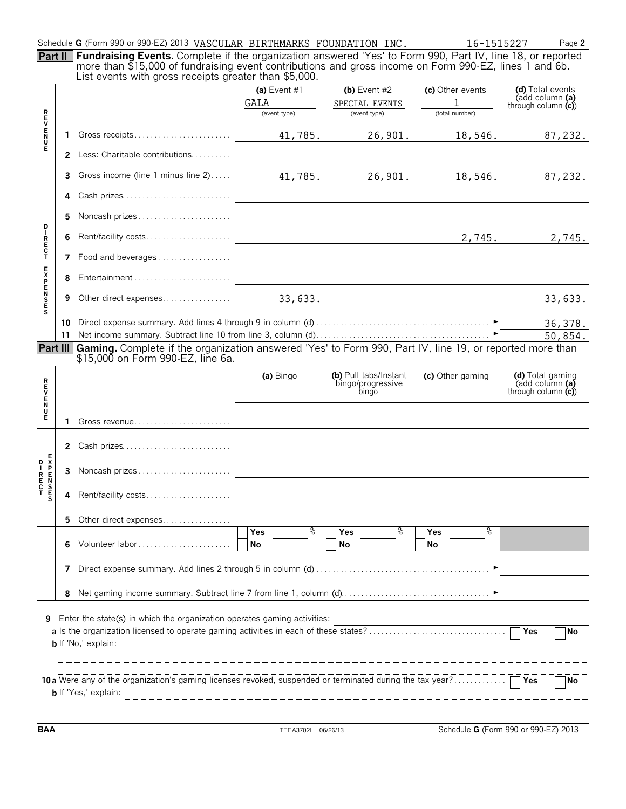#### Schedule **G** (Form 990 or 990-EZ) 2013 VASCULAR BIRTHMARKS FOUNDATION INC.  $16-1515227$  Page 2

**Part II Fundraising Events.** Complete if the organization answered 'Yes' to Form 990, Part IV, line 18, or reported more than \$15,000 of fundraising event contributions and gross income on Form 990-EZ, lines 1 and 6b. List events with gross receipts greater than \$5,000.

|                  |              | List events with gross receipts greater than \$9,000.                                                    |                |                                            |                  |                                                             |
|------------------|--------------|----------------------------------------------------------------------------------------------------------|----------------|--------------------------------------------|------------------|-------------------------------------------------------------|
|                  |              |                                                                                                          | (a) Event $#1$ | (b) Event $#2$                             | (c) Other events | (d) Total events                                            |
|                  |              |                                                                                                          | GALA           | SPECIAL EVENTS                             | 1                | (add column (a)                                             |
|                  |              |                                                                                                          | (event type)   | (event type)                               | (total number)   | through column $(c)$                                        |
|                  |              |                                                                                                          |                |                                            |                  |                                                             |
| <b>REVENT</b>    | 1            | Gross receipts                                                                                           |                |                                            |                  |                                                             |
|                  |              |                                                                                                          | 41,785.        | 26,901.                                    | 18,546.          | 87,232.                                                     |
|                  | $\mathbf{2}$ | Less: Charitable contributions                                                                           |                |                                            |                  |                                                             |
|                  |              |                                                                                                          |                |                                            |                  |                                                             |
|                  | 3            | Gross income (line 1 minus line 2)                                                                       | 41,785.        | 26,901.                                    |                  | 87,232.                                                     |
|                  |              |                                                                                                          |                |                                            | 18,546.          |                                                             |
|                  | 4            | Cash prizes                                                                                              |                |                                            |                  |                                                             |
|                  |              |                                                                                                          |                |                                            |                  |                                                             |
|                  | 5            | Noncash prizes                                                                                           |                |                                            |                  |                                                             |
| D                |              |                                                                                                          |                |                                            |                  |                                                             |
| $\mathbf{I}$     | 6            | Rent/facility costs                                                                                      |                |                                            | 2,745.           | 2,745.                                                      |
| R<br>E<br>C<br>T |              |                                                                                                          |                |                                            |                  |                                                             |
|                  |              | 7 Food and beverages                                                                                     |                |                                            |                  |                                                             |
|                  |              |                                                                                                          |                |                                            |                  |                                                             |
|                  | 8            |                                                                                                          |                |                                            |                  |                                                             |
|                  |              |                                                                                                          |                |                                            |                  |                                                             |
|                  | 9            | Other direct expenses                                                                                    | 33,633.        |                                            |                  | 33,633.                                                     |
| <b>EXPENSES</b>  |              |                                                                                                          |                |                                            |                  |                                                             |
|                  |              |                                                                                                          |                |                                            |                  |                                                             |
|                  | 10           |                                                                                                          |                |                                            |                  | 36,378.                                                     |
|                  | 11           |                                                                                                          |                |                                            |                  | 50,854.                                                     |
| Part III         |              | Gaming. Complete if the organization answered 'Yes' to Form 990, Part IV, line 19, or reported more than |                |                                            |                  |                                                             |
|                  |              | \$15,000 on Form 990-EZ, line 6a.                                                                        |                |                                            |                  |                                                             |
|                  |              |                                                                                                          |                |                                            |                  |                                                             |
|                  |              |                                                                                                          | (a) Bingo      | (b) Pull tabs/Instant<br>bingo/progressive | (c) Other gaming | (d) Total gaming<br>$\overline{a}$ dd column $\overline{a}$ |
|                  |              |                                                                                                          |                | bingo                                      |                  | through column (c)                                          |
| R<br>EV<br>N     |              |                                                                                                          |                |                                            |                  |                                                             |
| U                |              |                                                                                                          |                |                                            |                  |                                                             |
| Е                | 1            | Gross revenue                                                                                            |                |                                            |                  |                                                             |
|                  |              |                                                                                                          |                |                                            |                  |                                                             |
|                  |              | 2 Cash prizes                                                                                            |                |                                            |                  |                                                             |
|                  |              |                                                                                                          |                |                                            |                  |                                                             |
|                  |              |                                                                                                          |                |                                            |                  |                                                             |
|                  | 3            | Noncash prizes                                                                                           |                |                                            |                  |                                                             |
|                  |              |                                                                                                          |                |                                            |                  |                                                             |
|                  | 4            | Rent/facility costs                                                                                      |                |                                            |                  |                                                             |
|                  |              |                                                                                                          |                |                                            |                  |                                                             |
|                  |              |                                                                                                          |                |                                            |                  |                                                             |
|                  | 5.           | Other direct expenses                                                                                    |                |                                            |                  |                                                             |
|                  |              |                                                                                                          | %<br>Yes       | နွ<br>Yes                                  | နွ<br>Yes        |                                                             |
|                  | 6            | Volunteer labor                                                                                          | No             | No                                         | No               |                                                             |
|                  |              |                                                                                                          |                |                                            |                  |                                                             |
|                  | 7            |                                                                                                          |                |                                            |                  |                                                             |
|                  |              |                                                                                                          |                |                                            |                  |                                                             |
|                  | 8            |                                                                                                          |                |                                            |                  |                                                             |
|                  |              |                                                                                                          |                |                                            |                  |                                                             |
|                  |              |                                                                                                          |                |                                            |                  |                                                             |
| 9                |              | Enter the state(s) in which the organization operates gaming activities:                                 |                |                                            |                  |                                                             |
|                  |              |                                                                                                          |                |                                            |                  | <b>No</b>                                                   |
|                  |              | <b>b</b> If 'No,' explain:                                                                               |                |                                            |                  |                                                             |
|                  |              |                                                                                                          |                |                                            |                  |                                                             |
|                  |              |                                                                                                          |                |                                            |                  |                                                             |
|                  |              |                                                                                                          |                |                                            |                  |                                                             |
|                  |              |                                                                                                          |                |                                            |                  |                                                             |
|                  |              | <b>b</b> If 'Yes,' explain:                                                                              |                |                                            |                  |                                                             |
|                  |              |                                                                                                          |                |                                            |                  |                                                             |
|                  |              |                                                                                                          |                |                                            |                  |                                                             |

**BAA** TEEA3702L 06/26/13 Schedule **G** (Form 990 or 990-EZ) 2013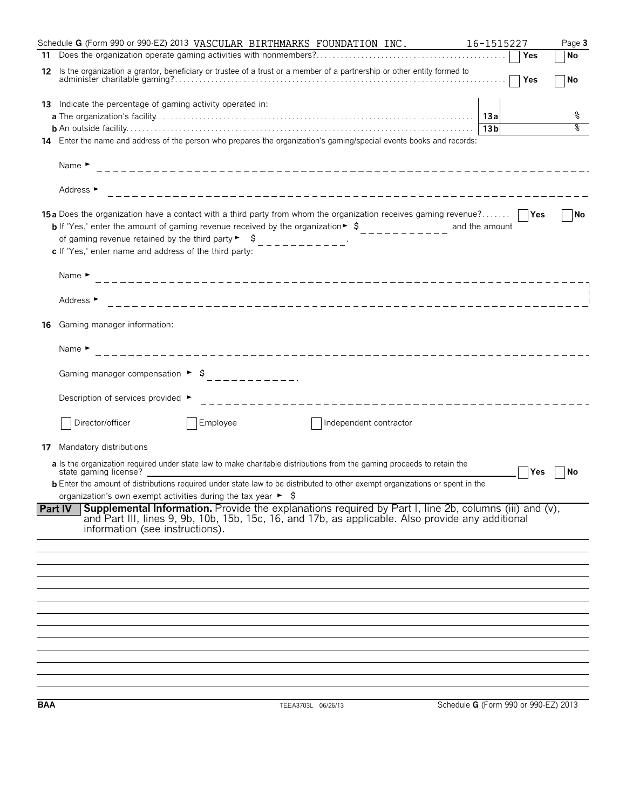|            | Schedule G (Form 990 or 990-EZ) 2013 VASCULAR BIRTHMARKS FOUNDATION INC.                                                                                                                                                                                                                                                                                                                                         | 16-1515227                           | Page 3 |
|------------|------------------------------------------------------------------------------------------------------------------------------------------------------------------------------------------------------------------------------------------------------------------------------------------------------------------------------------------------------------------------------------------------------------------|--------------------------------------|--------|
| 11         |                                                                                                                                                                                                                                                                                                                                                                                                                  | Yes                                  | No     |
| 12         | Is the organization a grantor, beneficiary or trustee of a trust or a member of a partnership or other entity formed to                                                                                                                                                                                                                                                                                          | $\Box$ Yes                           | No     |
|            | 13 Indicate the percentage of gaming activity operated in:                                                                                                                                                                                                                                                                                                                                                       |                                      |        |
|            |                                                                                                                                                                                                                                                                                                                                                                                                                  |                                      | ိစ     |
|            |                                                                                                                                                                                                                                                                                                                                                                                                                  | 13 <sub>b</sub>                      | ०      |
| 14         | Enter the name and address of the person who prepares the organization's gaming/special events books and records:                                                                                                                                                                                                                                                                                                |                                      |        |
|            | Name $\blacktriangleright$                                                                                                                                                                                                                                                                                                                                                                                       |                                      |        |
|            | Address ►                                                                                                                                                                                                                                                                                                                                                                                                        |                                      |        |
|            | 15a Does the organization have a contact with a third party from whom the organization receives gaming revenue?     Yes<br><b>b</b> If 'Yes,' enter the amount of gaming revenue received by the organization $\triangleright$ \$<br>of gaming revenue retained by the third party $\begin{bmatrix} 1 & 1 \\ 2 & -1 & -1 \\ 3 & -1 & -1 \end{bmatrix}$<br>c If 'Yes,' enter name and address of the third party: |                                      | No     |
|            | Name $\blacktriangleright$                                                                                                                                                                                                                                                                                                                                                                                       |                                      |        |
|            | Address ►                                                                                                                                                                                                                                                                                                                                                                                                        |                                      |        |
| 16         | Gaming manager information:                                                                                                                                                                                                                                                                                                                                                                                      |                                      |        |
|            | Name $\blacktriangleright$                                                                                                                                                                                                                                                                                                                                                                                       |                                      |        |
|            |                                                                                                                                                                                                                                                                                                                                                                                                                  |                                      |        |
|            | Description of services provided ▶                                                                                                                                                                                                                                                                                                                                                                               |                                      |        |
|            | Director/officer<br>Employee<br>Independent contractor                                                                                                                                                                                                                                                                                                                                                           |                                      |        |
| 17         | Mandatory distributions                                                                                                                                                                                                                                                                                                                                                                                          |                                      |        |
|            | a Is the organization required under state law to make charitable distributions from the gaming proceeds to retain the                                                                                                                                                                                                                                                                                           |                                      |        |
|            | state gaming license?<br><b>b</b> Enter the amount of distributions required under state law to be distributed to other exempt organizations or spent in the                                                                                                                                                                                                                                                     | Yes                                  | No     |
|            | organization's own exempt activities during the tax year $\triangleright$ \$                                                                                                                                                                                                                                                                                                                                     |                                      |        |
|            | <b>Supplemental Information.</b> Provide the explanations required by Part I, line 2b, columns (iii) and (v),<br><b>Part IV</b><br>and Part III, lines 9, 9b, 10b, 15b, 15c, 16, and 17b, as applicable. Also provide any additional<br>information (see instructions).                                                                                                                                          |                                      |        |
|            |                                                                                                                                                                                                                                                                                                                                                                                                                  |                                      |        |
|            |                                                                                                                                                                                                                                                                                                                                                                                                                  |                                      |        |
|            |                                                                                                                                                                                                                                                                                                                                                                                                                  |                                      |        |
|            |                                                                                                                                                                                                                                                                                                                                                                                                                  |                                      |        |
|            |                                                                                                                                                                                                                                                                                                                                                                                                                  |                                      |        |
|            |                                                                                                                                                                                                                                                                                                                                                                                                                  |                                      |        |
|            |                                                                                                                                                                                                                                                                                                                                                                                                                  |                                      |        |
|            |                                                                                                                                                                                                                                                                                                                                                                                                                  |                                      |        |
|            |                                                                                                                                                                                                                                                                                                                                                                                                                  |                                      |        |
|            |                                                                                                                                                                                                                                                                                                                                                                                                                  |                                      |        |
| <b>BAA</b> | TEEA3703L 06/26/13                                                                                                                                                                                                                                                                                                                                                                                               | Schedule G (Form 990 or 990-EZ) 2013 |        |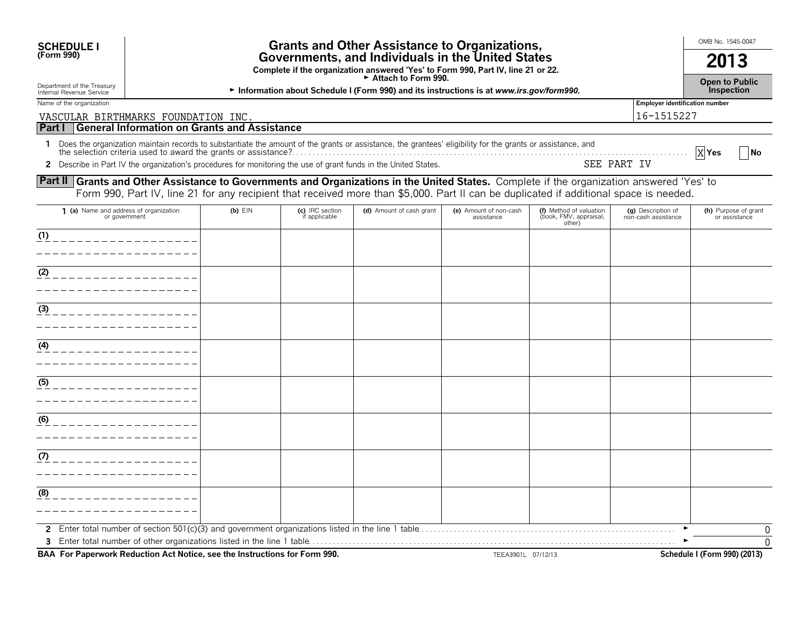| <b>SCHEDULE I</b><br>(Form 990)                                                                                                                  | <b>Grants and Other Assistance to Organizations,</b><br>Governments, and Individuals in the United States |                                                                                                         |                                  |                                                                                                                                                                                                                                |                                      |                                                             |                                           |                                       |  |
|--------------------------------------------------------------------------------------------------------------------------------------------------|-----------------------------------------------------------------------------------------------------------|---------------------------------------------------------------------------------------------------------|----------------------------------|--------------------------------------------------------------------------------------------------------------------------------------------------------------------------------------------------------------------------------|--------------------------------------|-------------------------------------------------------------|-------------------------------------------|---------------------------------------|--|
|                                                                                                                                                  |                                                                                                           | Complete if the organization answered 'Yes' to Form 990, Part IV, line 21 or 22.<br>Attach to Form 990. |                                  |                                                                                                                                                                                                                                |                                      |                                                             |                                           |                                       |  |
| Department of the Treasury<br>Internal Revenue Service                                                                                           |                                                                                                           | Information about Schedule I (Form 990) and its instructions is at www.irs.gov/form990.                 |                                  |                                                                                                                                                                                                                                |                                      |                                                             |                                           |                                       |  |
| Name of the organization<br><b>Employer identification number</b>                                                                                |                                                                                                           |                                                                                                         |                                  |                                                                                                                                                                                                                                |                                      |                                                             |                                           |                                       |  |
| VASCULAR BIRTHMARKS FOUNDATION INC.                                                                                                              |                                                                                                           |                                                                                                         |                                  |                                                                                                                                                                                                                                |                                      |                                                             | 16-1515227                                |                                       |  |
| Part I                                                                                                                                           |                                                                                                           | General Information on Grants and Assistance                                                            |                                  |                                                                                                                                                                                                                                |                                      |                                                             |                                           |                                       |  |
|                                                                                                                                                  |                                                                                                           |                                                                                                         |                                  | 1 Does the organization maintain records to substantiate the amount of the grants or assistance, the grantees' eligibility for the grants or assistance, and<br>the selection criteria used to award the grants or assistance? |                                      |                                                             |                                           | XYes<br><b>No</b>                     |  |
|                                                                                                                                                  |                                                                                                           |                                                                                                         |                                  | 2 Describe in Part IV the organization's procedures for monitoring the use of grant funds in the United States.                                                                                                                |                                      |                                                             | SEE PART IV                               |                                       |  |
| <b>Part II Grants and Other Assistance to Governments and Organizations in the United States.</b> Complete if the organization answered 'Yes' to |                                                                                                           |                                                                                                         |                                  |                                                                                                                                                                                                                                |                                      |                                                             |                                           |                                       |  |
|                                                                                                                                                  |                                                                                                           |                                                                                                         |                                  | Form 990, Part IV, line 21 for any recipient that received more than \$5,000. Part II can be duplicated if additional space is needed.                                                                                         |                                      |                                                             |                                           |                                       |  |
| 1 (a) Name and address of organization<br>or government                                                                                          |                                                                                                           | $(b)$ EIN                                                                                               | (c) IRC section<br>if applicable | (d) Amount of cash grant                                                                                                                                                                                                       | (e) Amount of non-cash<br>assistance | (f) Method of valuation<br>(book, FMV, appraisal,<br>other) | (g) Description of<br>non-cash assistance | (h) Purpose of grant<br>or assistance |  |
| (1)                                                                                                                                              |                                                                                                           |                                                                                                         |                                  |                                                                                                                                                                                                                                |                                      |                                                             |                                           |                                       |  |
|                                                                                                                                                  |                                                                                                           |                                                                                                         |                                  |                                                                                                                                                                                                                                |                                      |                                                             |                                           |                                       |  |
| (2)                                                                                                                                              |                                                                                                           |                                                                                                         |                                  |                                                                                                                                                                                                                                |                                      |                                                             |                                           |                                       |  |
|                                                                                                                                                  |                                                                                                           |                                                                                                         |                                  |                                                                                                                                                                                                                                |                                      |                                                             |                                           |                                       |  |
|                                                                                                                                                  |                                                                                                           |                                                                                                         |                                  |                                                                                                                                                                                                                                |                                      |                                                             |                                           |                                       |  |
| (3)                                                                                                                                              |                                                                                                           |                                                                                                         |                                  |                                                                                                                                                                                                                                |                                      |                                                             |                                           |                                       |  |
|                                                                                                                                                  |                                                                                                           |                                                                                                         |                                  |                                                                                                                                                                                                                                |                                      |                                                             |                                           |                                       |  |
| (4)<br>_____________                                                                                                                             |                                                                                                           |                                                                                                         |                                  |                                                                                                                                                                                                                                |                                      |                                                             |                                           |                                       |  |
|                                                                                                                                                  |                                                                                                           |                                                                                                         |                                  |                                                                                                                                                                                                                                |                                      |                                                             |                                           |                                       |  |
|                                                                                                                                                  |                                                                                                           |                                                                                                         |                                  |                                                                                                                                                                                                                                |                                      |                                                             |                                           |                                       |  |
| (5)                                                                                                                                              |                                                                                                           |                                                                                                         |                                  |                                                                                                                                                                                                                                |                                      |                                                             |                                           |                                       |  |
|                                                                                                                                                  |                                                                                                           |                                                                                                         |                                  |                                                                                                                                                                                                                                |                                      |                                                             |                                           |                                       |  |
| (6)                                                                                                                                              |                                                                                                           |                                                                                                         |                                  |                                                                                                                                                                                                                                |                                      |                                                             |                                           |                                       |  |
|                                                                                                                                                  |                                                                                                           |                                                                                                         |                                  |                                                                                                                                                                                                                                |                                      |                                                             |                                           |                                       |  |
| (7)                                                                                                                                              |                                                                                                           |                                                                                                         |                                  |                                                                                                                                                                                                                                |                                      |                                                             |                                           |                                       |  |
|                                                                                                                                                  |                                                                                                           |                                                                                                         |                                  |                                                                                                                                                                                                                                |                                      |                                                             |                                           |                                       |  |
|                                                                                                                                                  |                                                                                                           |                                                                                                         |                                  |                                                                                                                                                                                                                                |                                      |                                                             |                                           |                                       |  |
| (8)                                                                                                                                              |                                                                                                           |                                                                                                         |                                  |                                                                                                                                                                                                                                |                                      |                                                             |                                           |                                       |  |
|                                                                                                                                                  |                                                                                                           |                                                                                                         |                                  |                                                                                                                                                                                                                                |                                      |                                                             |                                           |                                       |  |
|                                                                                                                                                  |                                                                                                           |                                                                                                         |                                  |                                                                                                                                                                                                                                |                                      |                                                             |                                           | 0                                     |  |
|                                                                                                                                                  |                                                                                                           |                                                                                                         |                                  |                                                                                                                                                                                                                                |                                      |                                                             |                                           | $\Omega$                              |  |

**BAA For Paperwork Reduction Act Notice, see the Instructions for Form 990.** TEEA3901L 07/12/13 Schedule I (Form 990) (2013)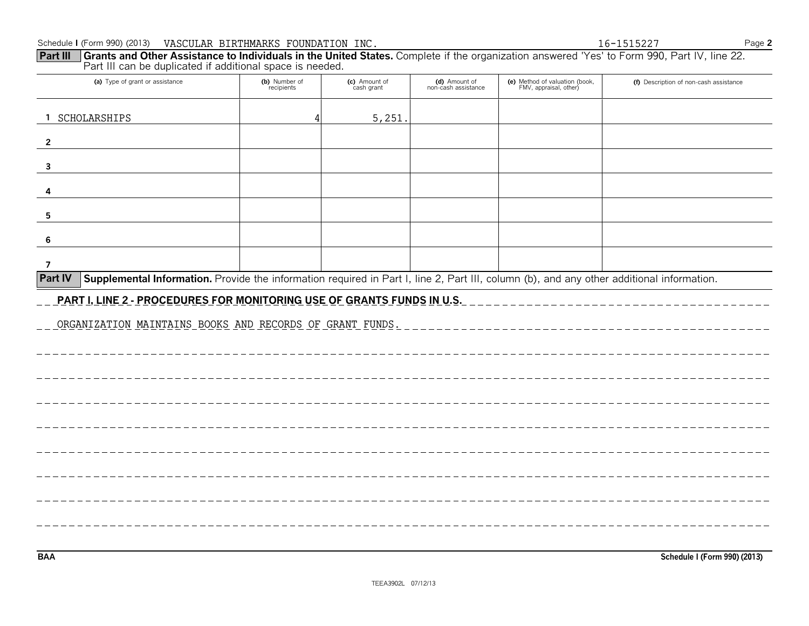| Schedule I (Form 990) (2013)                                                                                                                                                                                                | VASCULAR BIRTHMARKS FOUNDATION INC. |                             |                                      |                                                          | 16-1515227                             | Page 2 |
|-----------------------------------------------------------------------------------------------------------------------------------------------------------------------------------------------------------------------------|-------------------------------------|-----------------------------|--------------------------------------|----------------------------------------------------------|----------------------------------------|--------|
| Grants and Other Assistance to Individuals in the United States. Complete if the organization answered 'Yes' to Form 990, Part IV, line 22.<br><b>Part III</b><br>Part III can be duplicated if additional space is needed. |                                     |                             |                                      |                                                          |                                        |        |
| (a) Type of grant or assistance                                                                                                                                                                                             | (b) Number of<br>recipients         | (c) Amount of<br>cash grant | (d) Amount of<br>non-cash assistance | (e) Method of valuation (book,<br>FMV, appraisal, other) | (f) Description of non-cash assistance |        |
| SCHOLARSHIPS                                                                                                                                                                                                                |                                     | 5,251                       |                                      |                                                          |                                        |        |
| $\mathbf{2}$                                                                                                                                                                                                                |                                     |                             |                                      |                                                          |                                        |        |
| -3                                                                                                                                                                                                                          |                                     |                             |                                      |                                                          |                                        |        |
|                                                                                                                                                                                                                             |                                     |                             |                                      |                                                          |                                        |        |
| 5                                                                                                                                                                                                                           |                                     |                             |                                      |                                                          |                                        |        |
| -6                                                                                                                                                                                                                          |                                     |                             |                                      |                                                          |                                        |        |
|                                                                                                                                                                                                                             |                                     |                             |                                      |                                                          |                                        |        |
| <b>Part IV</b><br>Supplemental Information. Provide the information required in Part I, line 2, Part III, column (b), and any other additional information.                                                                 |                                     |                             |                                      |                                                          |                                        |        |
| <b>PART I, LINE 2 - PROCEDURES FOR MONITORING USE OF GRANTS FUNDS IN U.S.</b>                                                                                                                                               |                                     |                             |                                      |                                                          |                                        |        |
| ORGANIZATION MAINTAINS BOOKS AND RECORDS OF GRANT FUNDS.                                                                                                                                                                    |                                     |                             |                                      |                                                          |                                        |        |

. \_ \_ \_ \_ \_ \_ \_ \_ \_ \_ \_ \_ \_ \_ \_ \_

\_\_\_\_\_\_\_\_\_\_\_\_\_\_\_\_\_\_\_\_\_\_\_\_\_\_\_\_\_\_\_\_\_\_\_

----------------------------

**BAA Schedule I (Form 990) (2013)**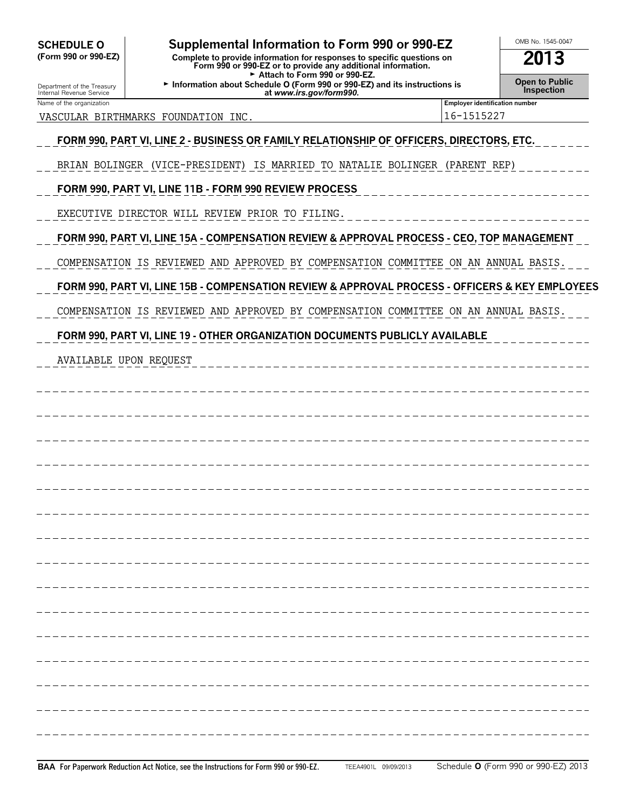| <b>SCHEDULE O</b><br>(Form 990 or 990-EZ)              | OMB No. 1545-0047<br>2013                                                                       |                                                     |  |
|--------------------------------------------------------|-------------------------------------------------------------------------------------------------|-----------------------------------------------------|--|
| Department of the Treasury<br>Internal Revenue Service | Open to Public<br><b>Inspection</b>                                                             |                                                     |  |
| Name of the organization<br>VASCULAR BIRTHMARKS        | FOUNDATION INC                                                                                  | <b>Employer identification number</b><br>16-1515227 |  |
|                                                        | FORM 990, PART VI, LINE 2 - BUSINESS OR FAMILY RELATIONSHIP OF OFFICERS, DIRECTORS, ETC.        |                                                     |  |
|                                                        | BRIAN BOLINGER (VICE-PRESIDENT) IS MARRIED TO NATALIE BOLINGER (PARENT REP)                     |                                                     |  |
|                                                        | FORM 990, PART VI, LINE 11B - FORM 990 REVIEW PROCESS                                           |                                                     |  |
|                                                        | EXECUTIVE DIRECTOR WILL REVIEW PRIOR TO FILING.                                                 |                                                     |  |
|                                                        | FORM 990, PART VI, LINE 15A - COMPENSATION REVIEW & APPROVAL PROCESS - CEO, TOP MANAGEMENT      |                                                     |  |
|                                                        | COMPENSATION IS REVIEWED AND APPROVED BY COMPENSATION COMMITTEE ON AN ANNUAL BASIS.             |                                                     |  |
|                                                        | FORM 990, PART VI, LINE 15B - COMPENSATION REVIEW & APPROVAL PROCESS - OFFICERS & KEY EMPLOYEES |                                                     |  |
|                                                        | COMPENSATION IS REVIEWED AND APPROVED BY COMPENSATION COMMITTEE ON AN ANNUAL BASIS.             |                                                     |  |
|                                                        | FORM 990, PART VI, LINE 19 - OTHER ORGANIZATION DOCUMENTS PUBLICLY AVAILABLE                    |                                                     |  |
| <b>AVAILABLE UPON REQUEST</b>                          |                                                                                                 |                                                     |  |
|                                                        |                                                                                                 |                                                     |  |
|                                                        |                                                                                                 |                                                     |  |
|                                                        |                                                                                                 |                                                     |  |
|                                                        |                                                                                                 |                                                     |  |
|                                                        |                                                                                                 |                                                     |  |
|                                                        |                                                                                                 |                                                     |  |
|                                                        |                                                                                                 |                                                     |  |
|                                                        |                                                                                                 |                                                     |  |
|                                                        |                                                                                                 |                                                     |  |
|                                                        |                                                                                                 |                                                     |  |
|                                                        |                                                                                                 |                                                     |  |
|                                                        |                                                                                                 |                                                     |  |
|                                                        |                                                                                                 |                                                     |  |
|                                                        |                                                                                                 |                                                     |  |
|                                                        |                                                                                                 |                                                     |  |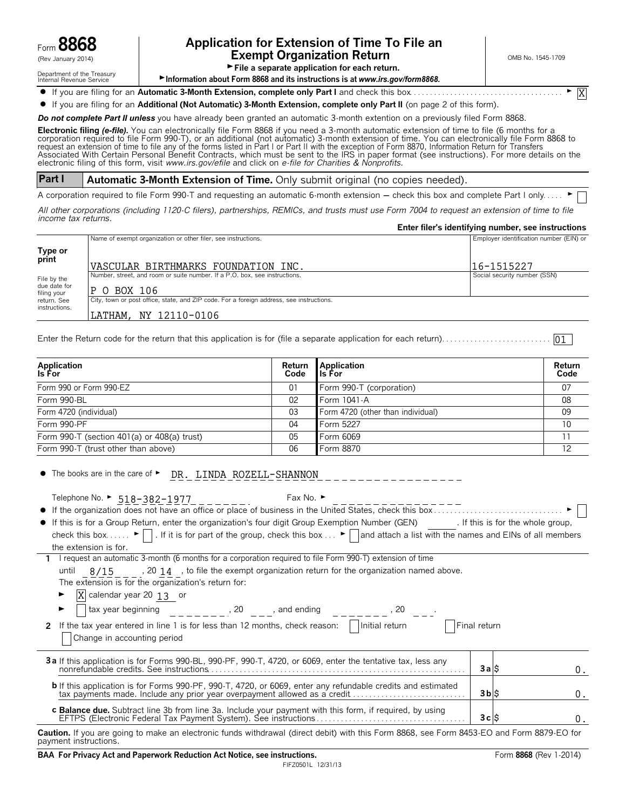

## Form **8868 Application for Extension of Time To File an**  $\mathcal{L}_{\text{new}}$  and  $\mathcal{L}_{\text{new}}$  and  $\mathcal{L}_{\text{new}}$  and  $\mathcal{L}_{\text{new}}$  and  $\mathcal{L}_{\text{new}}$  and  $\mathcal{L}_{\text{new}}$  and  $\mathcal{L}_{\text{new}}$  and  $\mathcal{L}_{\text{new}}$  and  $\mathcal{L}_{\text{new}}$  and  $\mathcal{L}_{\text{new}}$  and  $\mathcal{L}_{\text{new}}$  and  $\mathcal{L}_{\text{new}}$  and  $\mathcal{$

X

Department of the Treasury<br>Internal Revenue Service

File a separate application for each return.

► Information about Form 8868 and its instructions is at *www.irs.gov/form8868.* 

? If you are filing for an **Automatic 3-Month Extension, complete only Part I** and check this box. . . . . . . . . . . . . . . . . . . . . . . . . . . . . . . . . . . . . . G

? If you are filing for an **Additional (Not Automatic) 3-Month Extension, complete only Part II** (on page 2 of this form).

*Do not complete Part II unless* you have already been granted an automatic 3-month extention on a previously filed Form 8868.

**Electronic filing** *(e-file).* You can electronically file Form 8868 if you need a 3-month automatic extension of time to file (6 months for a corporation required to file Form 990-T), or an additional (not automatic) 3-month extension of time. You can electronically file Form 8868 to<br>request an extension of time to file any of the forms listed in Part I or Part electronic filing of this form, visit *www.irs.gov/efile* and click on *e-file for Charities & Nonprofits.*

**Part I Automatic 3-Month Extension of Time.** Only submit original (no copies needed).

A corporation required to file Form 990-T and requesting an automatic 6-month extension - check this box and complete Part I only. .

*All other corporations (including 1120-C filers), partnerships, REMICs, and trusts must use Form 7004 to request an extension of time to file income tax returns.*

|                                                                                          | Enter filer's identifying number, see instructions |
|------------------------------------------------------------------------------------------|----------------------------------------------------|
| Name of exempt organization or other filer, see instructions.                            | Employer identification number (EIN) or            |
|                                                                                          |                                                    |
|                                                                                          |                                                    |
|                                                                                          | 16-1515227                                         |
| Number, street, and room or suite number. If a P.O. box, see instructions.               | Social security number (SSN)                       |
| IP O BOX 106                                                                             |                                                    |
| City, town or post office, state, and ZIP code. For a foreign address, see instructions. |                                                    |
| LATHAM, NY 12110-0106                                                                    |                                                    |
|                                                                                          | VASCULAR BIRTHMARKS FOUNDATION INC.                |

Enter the Return code for the return that this application is for (file a separate application for each return). . . . . . . . . . . . . . . . . . . . . . . . . . . 01

| <b>Application</b><br>Is For                | Return<br>Code | Application<br>l Is For           | Return<br>Code |
|---------------------------------------------|----------------|-----------------------------------|----------------|
| Form 990 or Form 990-EZ                     | 01             | Form 990-T (corporation)          | 07             |
| Form 990-BL                                 | 02             | Form 1041-A                       | 08             |
| Form 4720 (individual)                      | 03             | Form 4720 (other than individual) | 09             |
| Form 990-PF                                 | 04             | Form 5227                         | 10             |
| Form 990-T (section 401(a) or 408(a) trust) | 05             | Form 6069                         |                |
| Form 990-T (trust other than above)         | 06             | Form 8870                         | 12             |

| Telephone No. ▶ 518-382-1977 Fax No. ▶                                                                                                                                                                                                     |                 |    |
|--------------------------------------------------------------------------------------------------------------------------------------------------------------------------------------------------------------------------------------------|-----------------|----|
|                                                                                                                                                                                                                                            |                 |    |
| • If this is for a Group Return, enter the organization's four digit Group Exemption Number (GEN) [f this is for the whole group,                                                                                                          |                 |    |
| check this box $\blacktriangleright$   . If it is for part of the group, check this box $\blacktriangleright$   and attach a list with the names and EINs of all members                                                                   |                 |    |
| the extension is for.                                                                                                                                                                                                                      |                 |    |
| 1 I request an automatic 3-month (6 months for a corporation required to file Form 990-T) extension of time                                                                                                                                |                 |    |
| until $8/15$ , 20 14, to file the exempt organization return for the organization named above.                                                                                                                                             |                 |    |
| The extension is for the organization's return for:                                                                                                                                                                                        |                 |    |
| $\overline{X}$ calendar year 20 13 or                                                                                                                                                                                                      |                 |    |
| and ending $(20 - 9)$ and ending $(30 - 9)$ and ending $(30 - 9)$ and $(30 - 9)$ and $(30 - 9)$ and $(30 - 9)$ and $(30 - 9)$ and $(30 - 9)$ and $(30 - 9)$ and $(30 - 9)$ and $(30 - 9)$ and $(30 - 9)$ and $(30 - 9)$ and $(30 - 9)$ and |                 |    |
| If the tax year entered in line 1 is for less than 12 months, check reason: $\vert$   Initial return<br>2                                                                                                                                  | Final return    |    |
| Change in accounting period                                                                                                                                                                                                                |                 |    |
|                                                                                                                                                                                                                                            |                 |    |
| 3a If this application is for Forms 990-BL, 990-PF, 990-T, 4720, or 6069, enter the tentative tax, less any                                                                                                                                |                 |    |
|                                                                                                                                                                                                                                            | 3a              | 0. |
| <b>b</b> If this application is for Forms 990-PF, 990-T, 4720, or 6069, enter any refundable credits and estimated                                                                                                                         |                 |    |
|                                                                                                                                                                                                                                            | $3b$ $\vert$ \$ | 0. |
| c Balance due. Subtract line 3b from line 3a. Include your payment with this form, if required, by using                                                                                                                                   |                 |    |
|                                                                                                                                                                                                                                            | 3c              | 0. |

**Caution.** If you are going to make an electronic funds withdrawal (direct debit) with this Form 8868, see Form 8453-EO and Form 8879-EO for payment instructions.